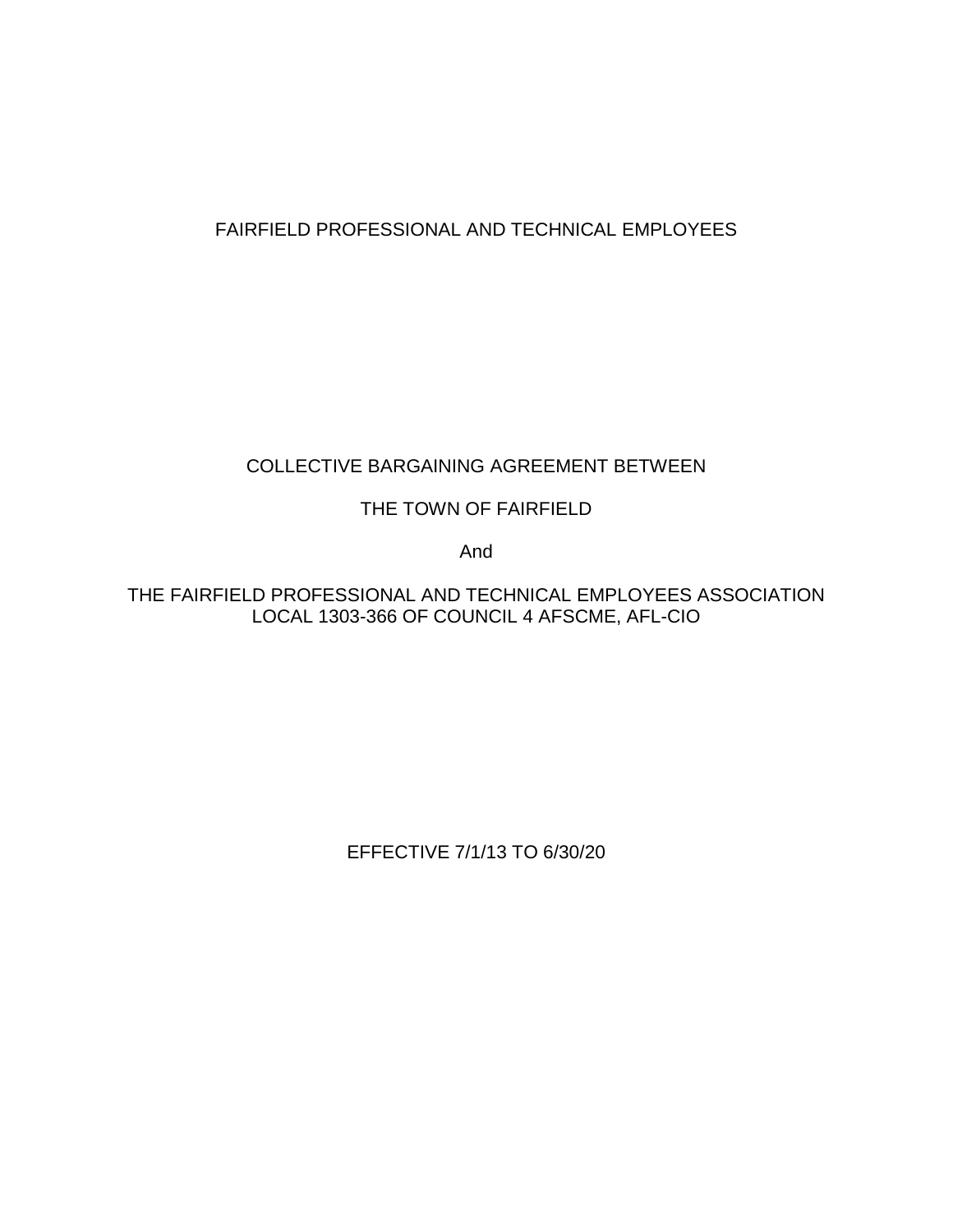# FAIRFIELD PROFESSIONAL AND TECHNICAL EMPLOYEES

# COLLECTIVE BARGAINING AGREEMENT BETWEEN

## THE TOWN OF FAIRFIELD

And

THE FAIRFIELD PROFESSIONAL AND TECHNICAL EMPLOYEES ASSOCIATION LOCAL 1303-366 OF COUNCIL 4 AFSCME, AFL-CIO

EFFECTIVE 7/1/13 TO 6/30/20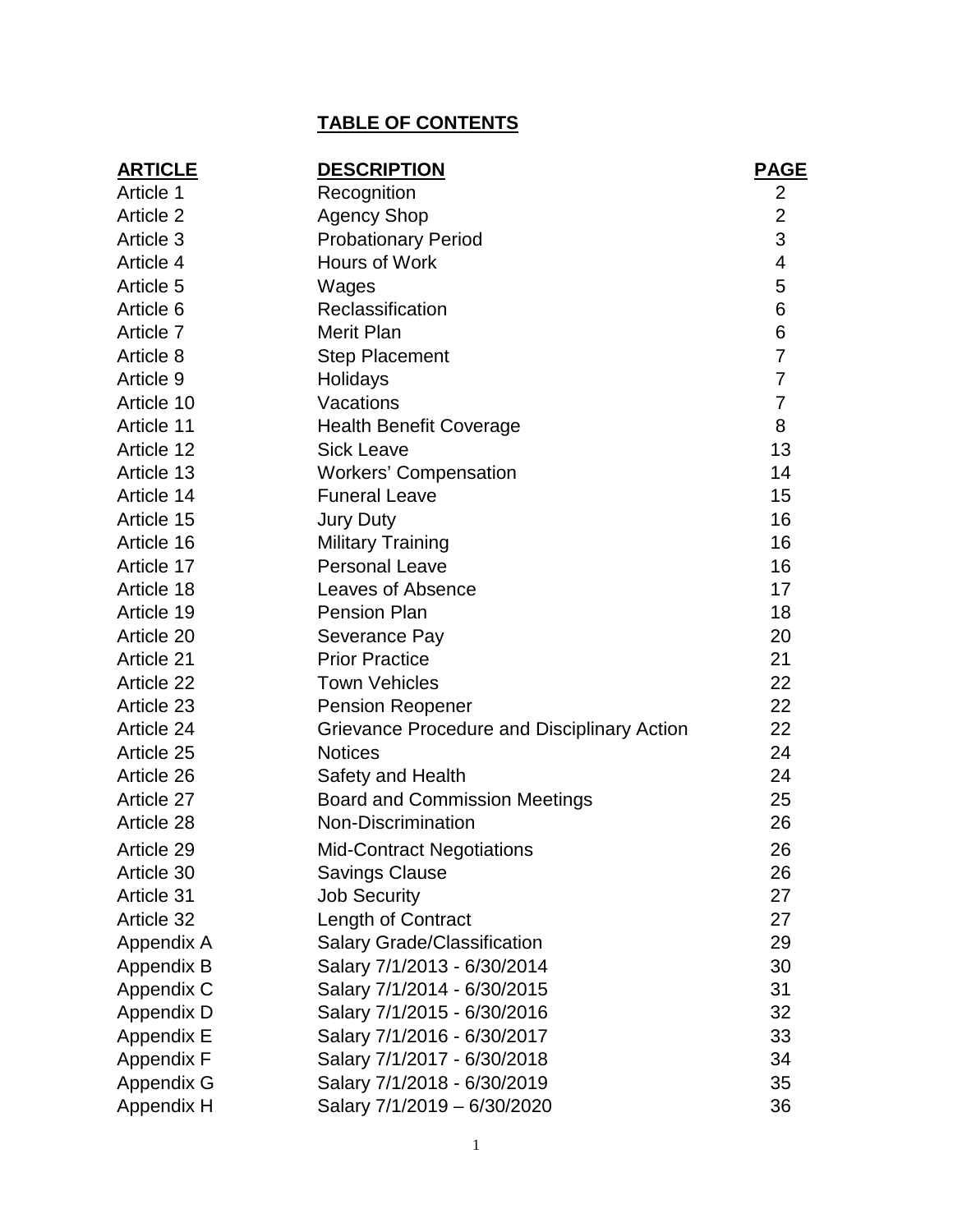# **TABLE OF CONTENTS**

| <b>DESCRIPTION</b>                          | <b>PAGE</b>                                               |
|---------------------------------------------|-----------------------------------------------------------|
| Recognition                                 | $\overline{c}$                                            |
| <b>Agency Shop</b>                          | $\overline{2}$                                            |
| <b>Probationary Period</b>                  | $\overline{3}$                                            |
| Hours of Work                               | $\overline{\mathbf{4}}$                                   |
| Wages                                       | 5                                                         |
| Reclassification                            | $6\phantom{1}6$                                           |
| <b>Merit Plan</b>                           | $6\phantom{1}6$                                           |
| <b>Step Placement</b>                       | $\overline{7}$                                            |
| Holidays                                    | $\overline{7}$                                            |
| Vacations                                   | $\overline{7}$                                            |
| <b>Health Benefit Coverage</b>              | 8                                                         |
| <b>Sick Leave</b>                           | 13                                                        |
| <b>Workers' Compensation</b>                | 14                                                        |
| <b>Funeral Leave</b>                        | 15                                                        |
| <b>Jury Duty</b>                            | 16                                                        |
| <b>Military Training</b>                    | 16                                                        |
| <b>Personal Leave</b>                       | 16                                                        |
| Leaves of Absence                           | 17                                                        |
| <b>Pension Plan</b>                         | 18                                                        |
| Severance Pay                               | 20                                                        |
| <b>Prior Practice</b>                       | 21                                                        |
| <b>Town Vehicles</b>                        | 22                                                        |
| <b>Pension Reopener</b>                     | 22                                                        |
| Grievance Procedure and Disciplinary Action | 22                                                        |
| <b>Notices</b>                              | 24                                                        |
| Safety and Health                           | 24                                                        |
| <b>Board and Commission Meetings</b>        | 25                                                        |
| Non-Discrimination                          | 26                                                        |
|                                             | 26                                                        |
|                                             | 26                                                        |
| <b>Job Security</b>                         | 27                                                        |
| Length of Contract                          | 27                                                        |
| <b>Salary Grade/Classification</b>          | 29                                                        |
| Salary 7/1/2013 - 6/30/2014                 | 30                                                        |
| Salary 7/1/2014 - 6/30/2015                 | 31                                                        |
| Salary 7/1/2015 - 6/30/2016                 | 32                                                        |
| Salary 7/1/2016 - 6/30/2017                 | 33                                                        |
| Salary 7/1/2017 - 6/30/2018                 | 34                                                        |
| Salary 7/1/2018 - 6/30/2019                 | 35                                                        |
| Salary 7/1/2019 - 6/30/2020                 | 36                                                        |
|                                             | <b>Mid-Contract Negotiations</b><br><b>Savings Clause</b> |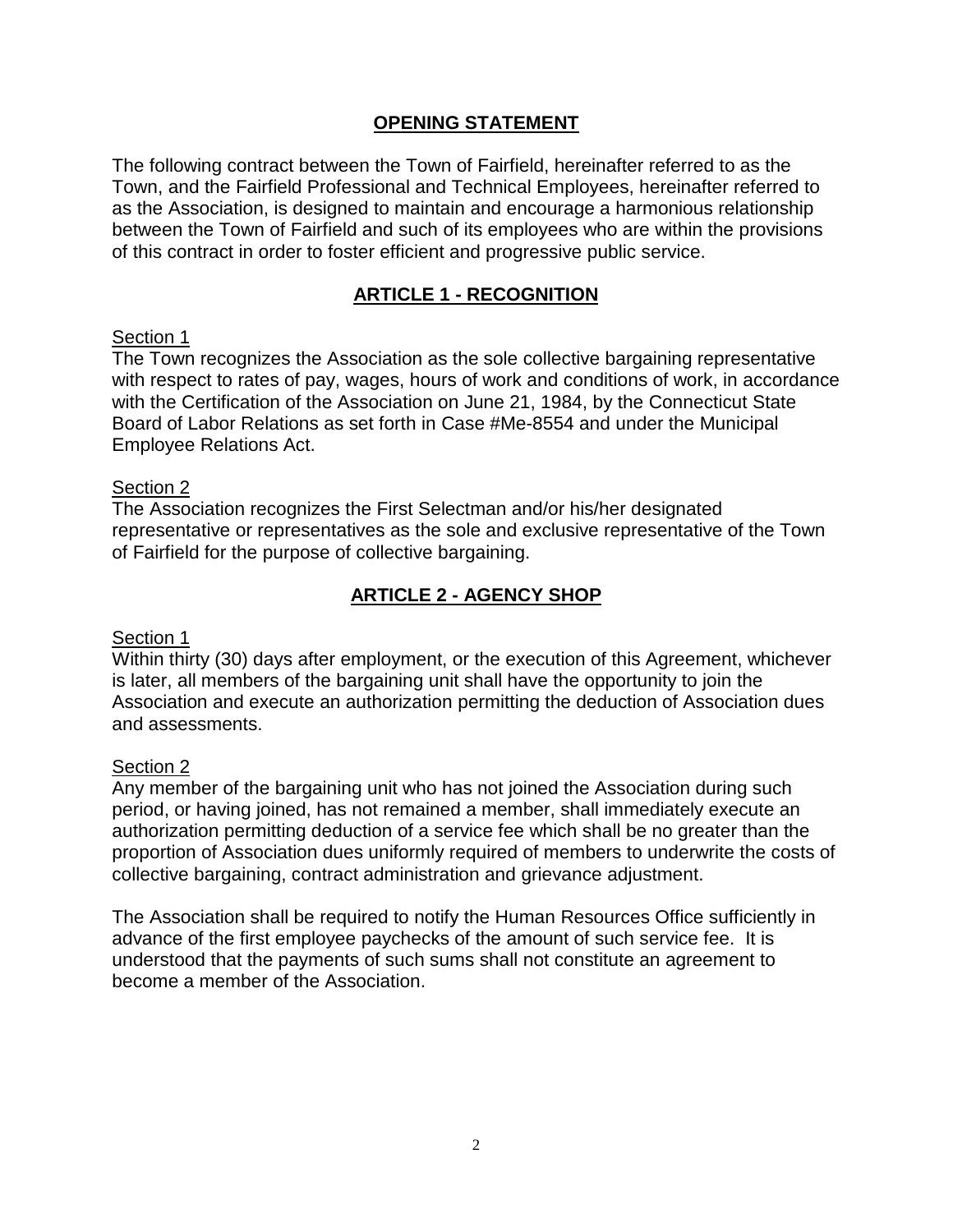## **OPENING STATEMENT**

The following contract between the Town of Fairfield, hereinafter referred to as the Town, and the Fairfield Professional and Technical Employees, hereinafter referred to as the Association, is designed to maintain and encourage a harmonious relationship between the Town of Fairfield and such of its employees who are within the provisions of this contract in order to foster efficient and progressive public service.

## **ARTICLE 1 - RECOGNITION**

#### Section 1

The Town recognizes the Association as the sole collective bargaining representative with respect to rates of pay, wages, hours of work and conditions of work, in accordance with the Certification of the Association on June 21, 1984, by the Connecticut State Board of Labor Relations as set forth in Case #Me-8554 and under the Municipal Employee Relations Act.

#### Section 2

The Association recognizes the First Selectman and/or his/her designated representative or representatives as the sole and exclusive representative of the Town of Fairfield for the purpose of collective bargaining.

## **ARTICLE 2 - AGENCY SHOP**

#### Section 1

Within thirty (30) days after employment, or the execution of this Agreement, whichever is later, all members of the bargaining unit shall have the opportunity to join the Association and execute an authorization permitting the deduction of Association dues and assessments.

#### Section 2

Any member of the bargaining unit who has not joined the Association during such period, or having joined, has not remained a member, shall immediately execute an authorization permitting deduction of a service fee which shall be no greater than the proportion of Association dues uniformly required of members to underwrite the costs of collective bargaining, contract administration and grievance adjustment.

The Association shall be required to notify the Human Resources Office sufficiently in advance of the first employee paychecks of the amount of such service fee. It is understood that the payments of such sums shall not constitute an agreement to become a member of the Association.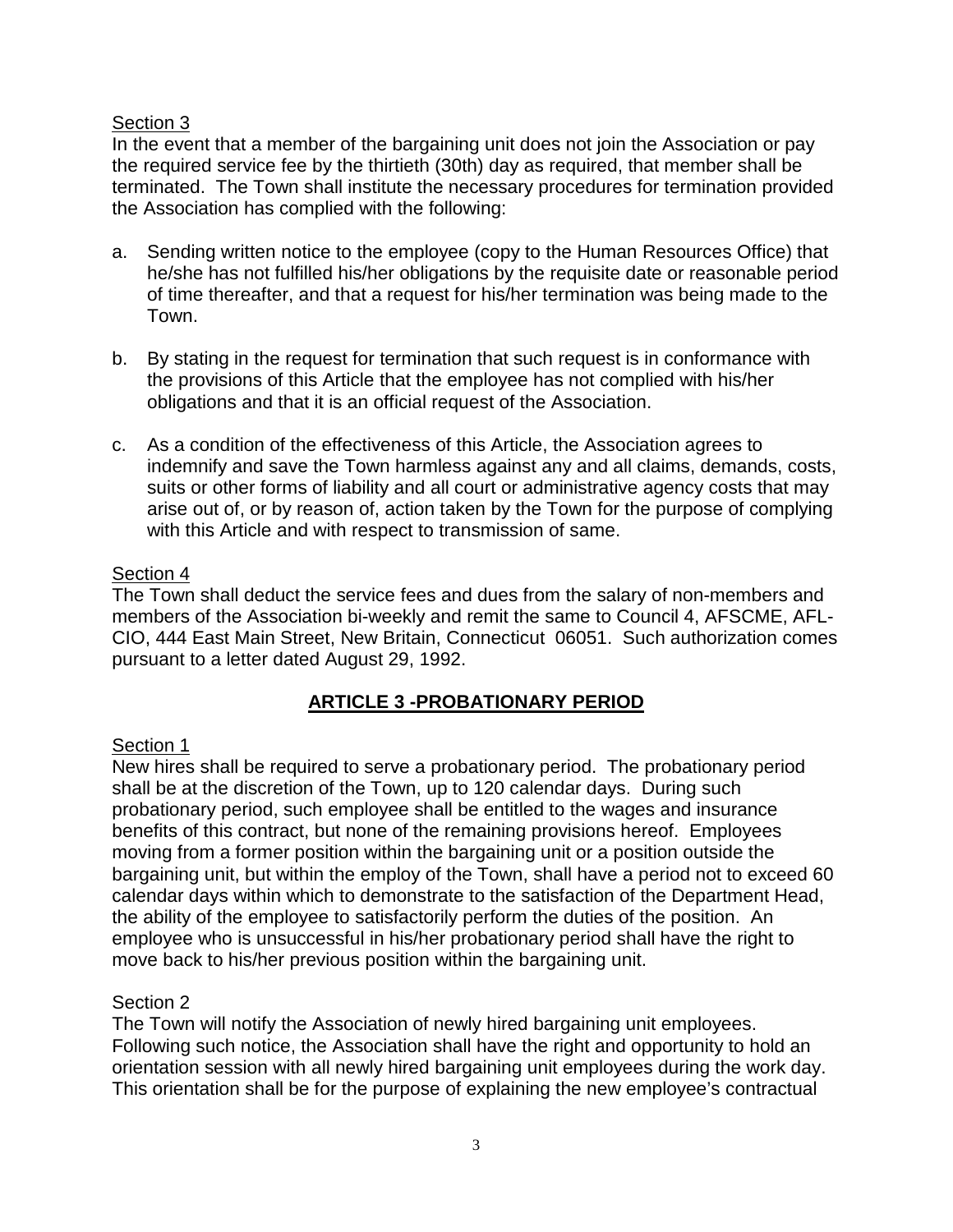In the event that a member of the bargaining unit does not join the Association or pay the required service fee by the thirtieth (30th) day as required, that member shall be terminated. The Town shall institute the necessary procedures for termination provided the Association has complied with the following:

- a. Sending written notice to the employee (copy to the Human Resources Office) that he/she has not fulfilled his/her obligations by the requisite date or reasonable period of time thereafter, and that a request for his/her termination was being made to the Town.
- b. By stating in the request for termination that such request is in conformance with the provisions of this Article that the employee has not complied with his/her obligations and that it is an official request of the Association.
- c. As a condition of the effectiveness of this Article, the Association agrees to indemnify and save the Town harmless against any and all claims, demands, costs, suits or other forms of liability and all court or administrative agency costs that may arise out of, or by reason of, action taken by the Town for the purpose of complying with this Article and with respect to transmission of same.

## Section 4

The Town shall deduct the service fees and dues from the salary of non-members and members of the Association bi-weekly and remit the same to Council 4, AFSCME, AFL-CIO, 444 East Main Street, New Britain, Connecticut 06051. Such authorization comes pursuant to a letter dated August 29, 1992.

## **ARTICLE 3 -PROBATIONARY PERIOD**

## Section 1

New hires shall be required to serve a probationary period. The probationary period shall be at the discretion of the Town, up to 120 calendar days. During such probationary period, such employee shall be entitled to the wages and insurance benefits of this contract, but none of the remaining provisions hereof. Employees moving from a former position within the bargaining unit or a position outside the bargaining unit, but within the employ of the Town, shall have a period not to exceed 60 calendar days within which to demonstrate to the satisfaction of the Department Head, the ability of the employee to satisfactorily perform the duties of the position. An employee who is unsuccessful in his/her probationary period shall have the right to move back to his/her previous position within the bargaining unit.

#### Section 2

The Town will notify the Association of newly hired bargaining unit employees. Following such notice, the Association shall have the right and opportunity to hold an orientation session with all newly hired bargaining unit employees during the work day. This orientation shall be for the purpose of explaining the new employee's contractual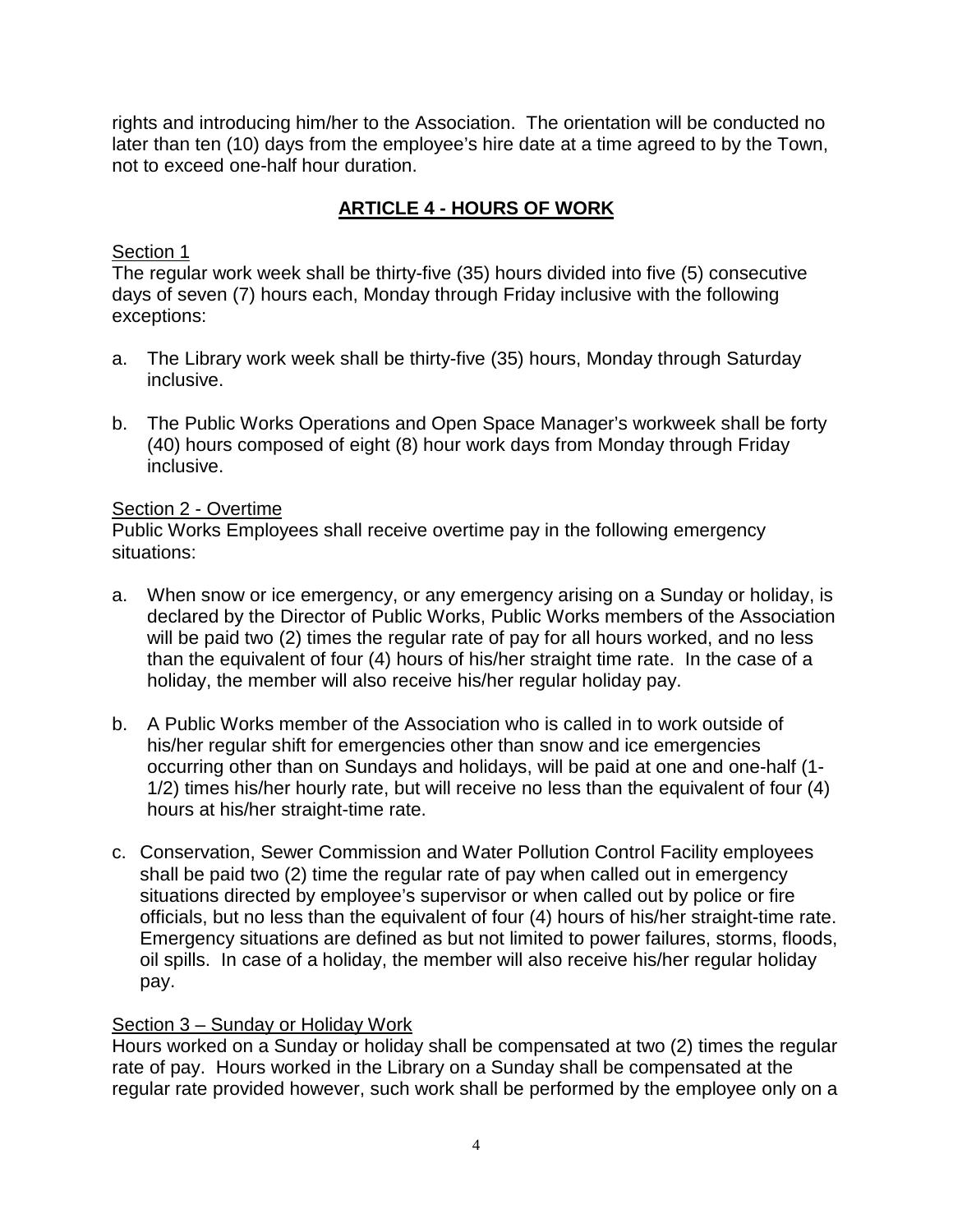rights and introducing him/her to the Association. The orientation will be conducted no later than ten (10) days from the employee's hire date at a time agreed to by the Town, not to exceed one-half hour duration.

# **ARTICLE 4 - HOURS OF WORK**

## Section 1

The regular work week shall be thirty-five (35) hours divided into five (5) consecutive days of seven (7) hours each, Monday through Friday inclusive with the following exceptions:

- a. The Library work week shall be thirty-five (35) hours, Monday through Saturday inclusive.
- b. The Public Works Operations and Open Space Manager's workweek shall be forty (40) hours composed of eight (8) hour work days from Monday through Friday inclusive.

## Section 2 - Overtime

Public Works Employees shall receive overtime pay in the following emergency situations:

- a. When snow or ice emergency, or any emergency arising on a Sunday or holiday, is declared by the Director of Public Works, Public Works members of the Association will be paid two (2) times the regular rate of pay for all hours worked, and no less than the equivalent of four (4) hours of his/her straight time rate. In the case of a holiday, the member will also receive his/her regular holiday pay.
- b. A Public Works member of the Association who is called in to work outside of his/her regular shift for emergencies other than snow and ice emergencies occurring other than on Sundays and holidays, will be paid at one and one-half (1- 1/2) times his/her hourly rate, but will receive no less than the equivalent of four (4) hours at his/her straight-time rate.
- c. Conservation, Sewer Commission and Water Pollution Control Facility employees shall be paid two (2) time the regular rate of pay when called out in emergency situations directed by employee's supervisor or when called out by police or fire officials, but no less than the equivalent of four (4) hours of his/her straight-time rate. Emergency situations are defined as but not limited to power failures, storms, floods, oil spills. In case of a holiday, the member will also receive his/her regular holiday pay.

## Section 3 – Sunday or Holiday Work

Hours worked on a Sunday or holiday shall be compensated at two (2) times the regular rate of pay. Hours worked in the Library on a Sunday shall be compensated at the regular rate provided however, such work shall be performed by the employee only on a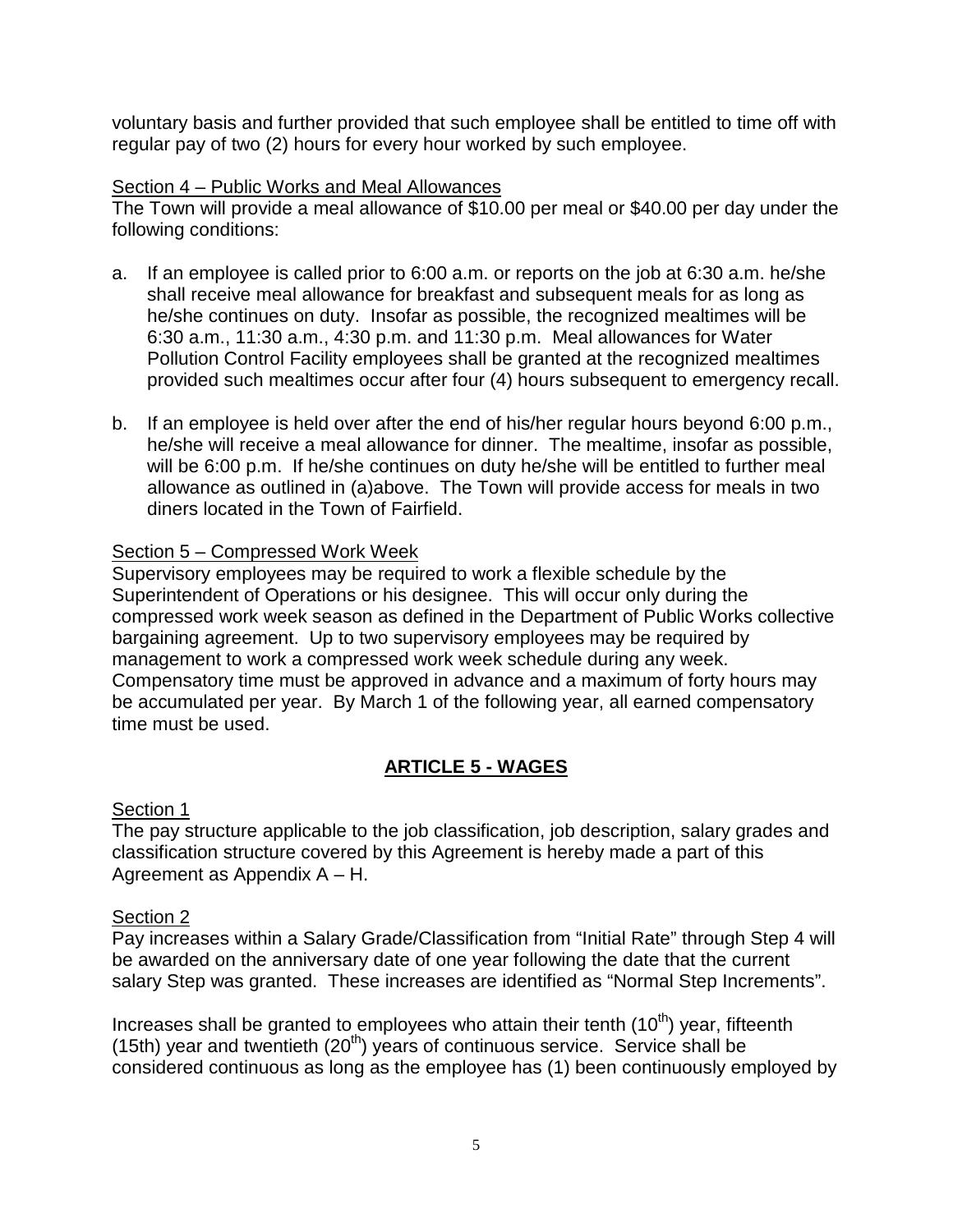voluntary basis and further provided that such employee shall be entitled to time off with regular pay of two (2) hours for every hour worked by such employee.

# Section 4 – Public Works and Meal Allowances

The Town will provide a meal allowance of \$10.00 per meal or \$40.00 per day under the following conditions:

- a. If an employee is called prior to 6:00 a.m. or reports on the job at 6:30 a.m. he/she shall receive meal allowance for breakfast and subsequent meals for as long as he/she continues on duty. Insofar as possible, the recognized mealtimes will be 6:30 a.m., 11:30 a.m., 4:30 p.m. and 11:30 p.m. Meal allowances for Water Pollution Control Facility employees shall be granted at the recognized mealtimes provided such mealtimes occur after four (4) hours subsequent to emergency recall.
- b. If an employee is held over after the end of his/her regular hours beyond 6:00 p.m., he/she will receive a meal allowance for dinner. The mealtime, insofar as possible, will be 6:00 p.m. If he/she continues on duty he/she will be entitled to further meal allowance as outlined in (a)above. The Town will provide access for meals in two diners located in the Town of Fairfield.

#### Section 5 – Compressed Work Week

Supervisory employees may be required to work a flexible schedule by the Superintendent of Operations or his designee. This will occur only during the compressed work week season as defined in the Department of Public Works collective bargaining agreement. Up to two supervisory employees may be required by management to work a compressed work week schedule during any week. Compensatory time must be approved in advance and a maximum of forty hours may be accumulated per year. By March 1 of the following year, all earned compensatory time must be used.

## **ARTICLE 5 - WAGES**

#### Section 1

The pay structure applicable to the job classification, job description, salary grades and classification structure covered by this Agreement is hereby made a part of this Agreement as Appendix A – H.

#### Section 2

Pay increases within a Salary Grade/Classification from "Initial Rate" through Step 4 will be awarded on the anniversary date of one year following the date that the current salary Step was granted. These increases are identified as "Normal Step Increments".

Increases shall be granted to employees who attain their tenth  $(10<sup>th</sup>)$  year, fifteenth (15th) year and twentieth  $(20<sup>th</sup>)$  years of continuous service. Service shall be considered continuous as long as the employee has (1) been continuously employed by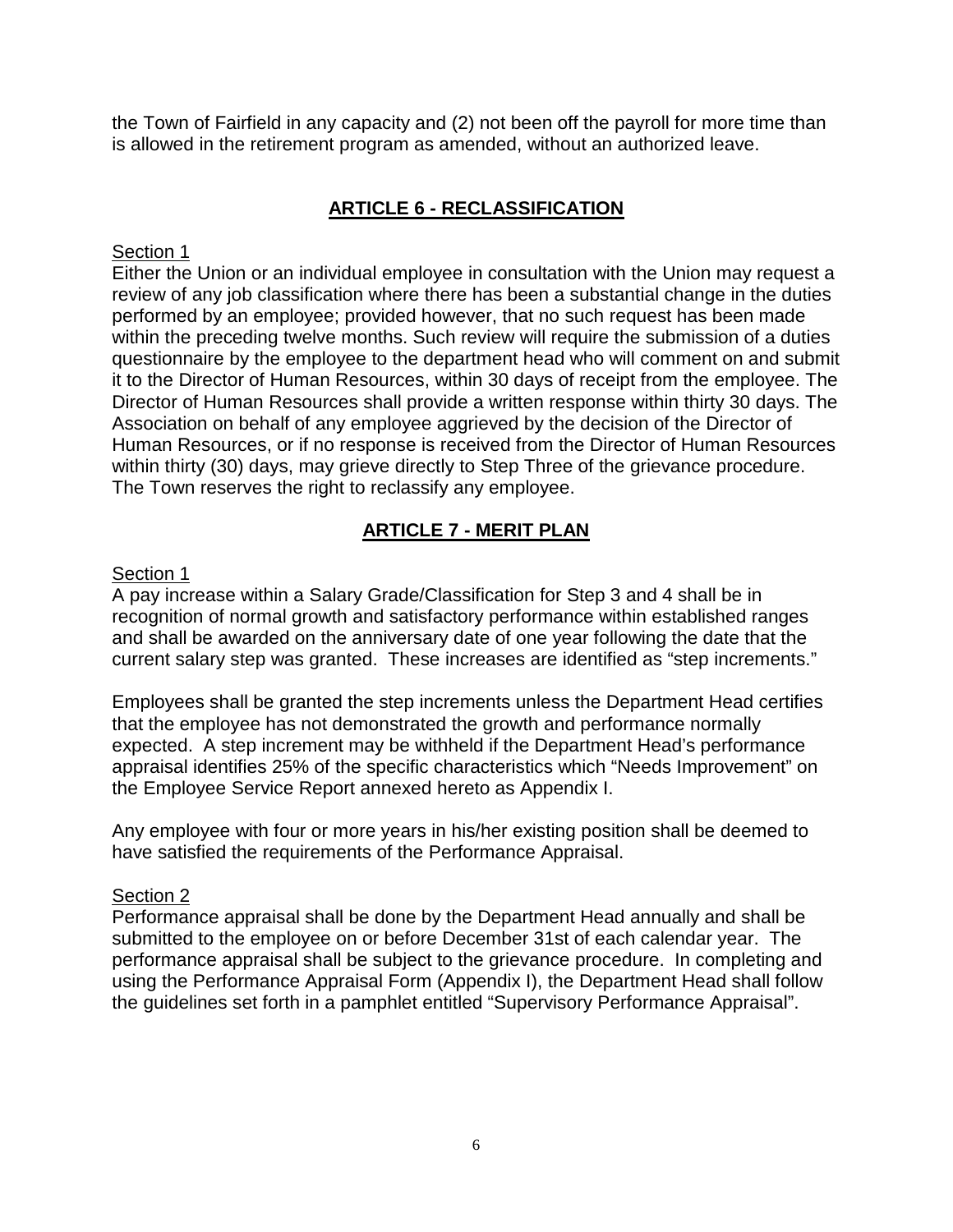the Town of Fairfield in any capacity and (2) not been off the payroll for more time than is allowed in the retirement program as amended, without an authorized leave.

# **ARTICLE 6 - RECLASSIFICATION**

#### Section 1

Either the Union or an individual employee in consultation with the Union may request a review of any job classification where there has been a substantial change in the duties performed by an employee; provided however, that no such request has been made within the preceding twelve months. Such review will require the submission of a duties questionnaire by the employee to the department head who will comment on and submit it to the Director of Human Resources, within 30 days of receipt from the employee. The Director of Human Resources shall provide a written response within thirty 30 days. The Association on behalf of any employee aggrieved by the decision of the Director of Human Resources, or if no response is received from the Director of Human Resources within thirty (30) days, may grieve directly to Step Three of the grievance procedure. The Town reserves the right to reclassify any employee.

# **ARTICLE 7 - MERIT PLAN**

#### Section 1

A pay increase within a Salary Grade/Classification for Step 3 and 4 shall be in recognition of normal growth and satisfactory performance within established ranges and shall be awarded on the anniversary date of one year following the date that the current salary step was granted. These increases are identified as "step increments."

Employees shall be granted the step increments unless the Department Head certifies that the employee has not demonstrated the growth and performance normally expected. A step increment may be withheld if the Department Head's performance appraisal identifies 25% of the specific characteristics which "Needs Improvement" on the Employee Service Report annexed hereto as Appendix I.

Any employee with four or more years in his/her existing position shall be deemed to have satisfied the requirements of the Performance Appraisal.

#### Section 2

Performance appraisal shall be done by the Department Head annually and shall be submitted to the employee on or before December 31st of each calendar year. The performance appraisal shall be subject to the grievance procedure. In completing and using the Performance Appraisal Form (Appendix I), the Department Head shall follow the guidelines set forth in a pamphlet entitled "Supervisory Performance Appraisal".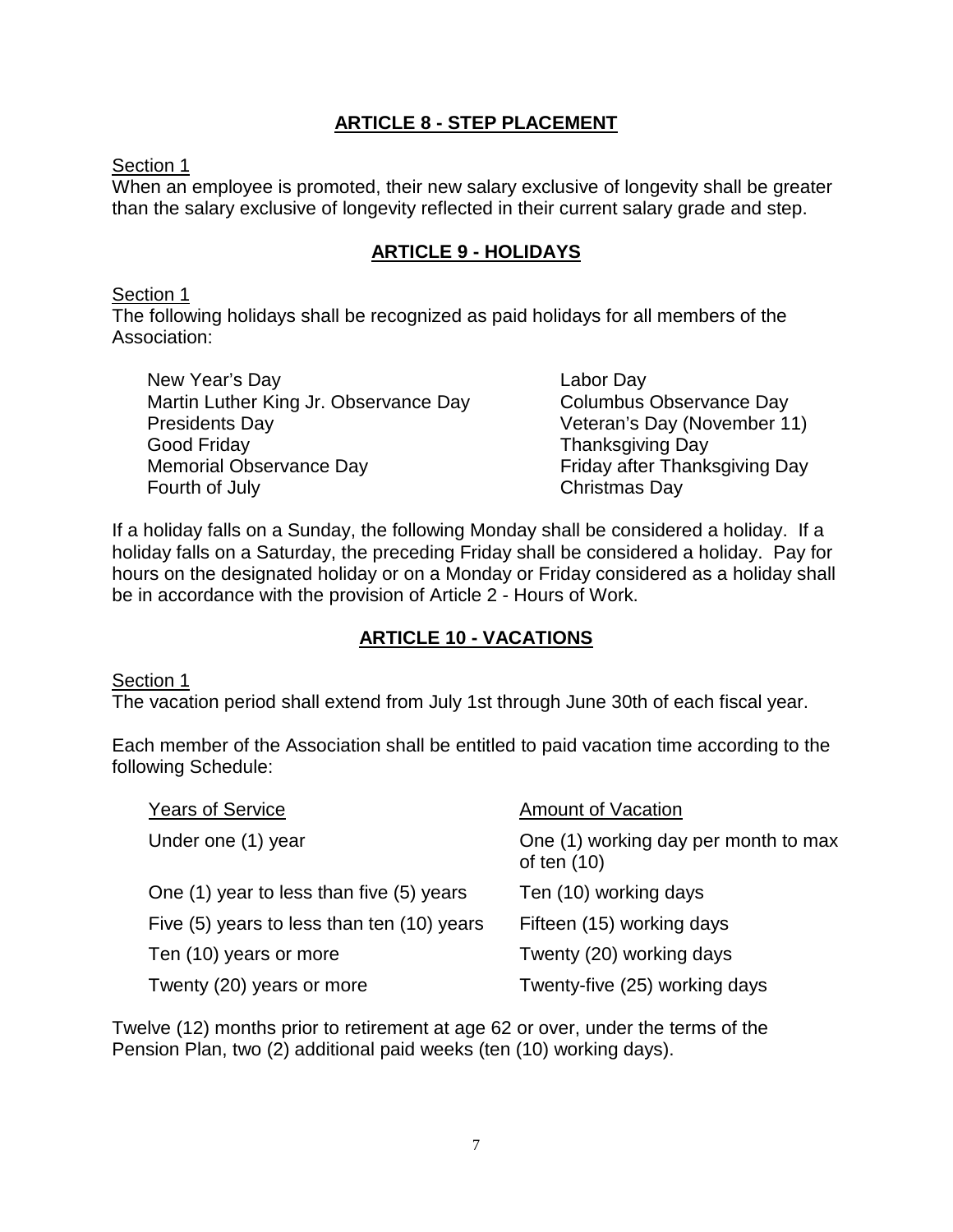## **ARTICLE 8 - STEP PLACEMENT**

Section 1

When an employee is promoted, their new salary exclusive of longevity shall be greater than the salary exclusive of longevity reflected in their current salary grade and step.

## **ARTICLE 9 - HOLIDAYS**

#### Section 1

The following holidays shall be recognized as paid holidays for all members of the Association:

New Year's Day Labor Day Martin Luther King Jr. Observance Day Columbus Observance Day Presidents Day **Presidents** Day (November 11) Good Friday **Thanksgiving Day** Memorial Observance Day **Friday after Thanksgiving Day** Fourth of July **Christmas Day** 

If a holiday falls on a Sunday, the following Monday shall be considered a holiday. If a holiday falls on a Saturday, the preceding Friday shall be considered a holiday. Pay for hours on the designated holiday or on a Monday or Friday considered as a holiday shall be in accordance with the provision of Article 2 - Hours of Work.

## **ARTICLE 10 - VACATIONS**

#### Section 1

The vacation period shall extend from July 1st through June 30th of each fiscal year.

Each member of the Association shall be entitled to paid vacation time according to the following Schedule:

| <b>Years of Service</b>                    | <b>Amount of Vacation</b>                             |
|--------------------------------------------|-------------------------------------------------------|
| Under one (1) year                         | One (1) working day per month to max<br>of ten $(10)$ |
| One (1) year to less than five (5) years   | Ten (10) working days                                 |
| Five (5) years to less than ten (10) years | Fifteen (15) working days                             |
| Ten (10) years or more                     | Twenty (20) working days                              |
| Twenty (20) years or more                  | Twenty-five (25) working days                         |

Twelve (12) months prior to retirement at age 62 or over, under the terms of the Pension Plan, two (2) additional paid weeks (ten (10) working days).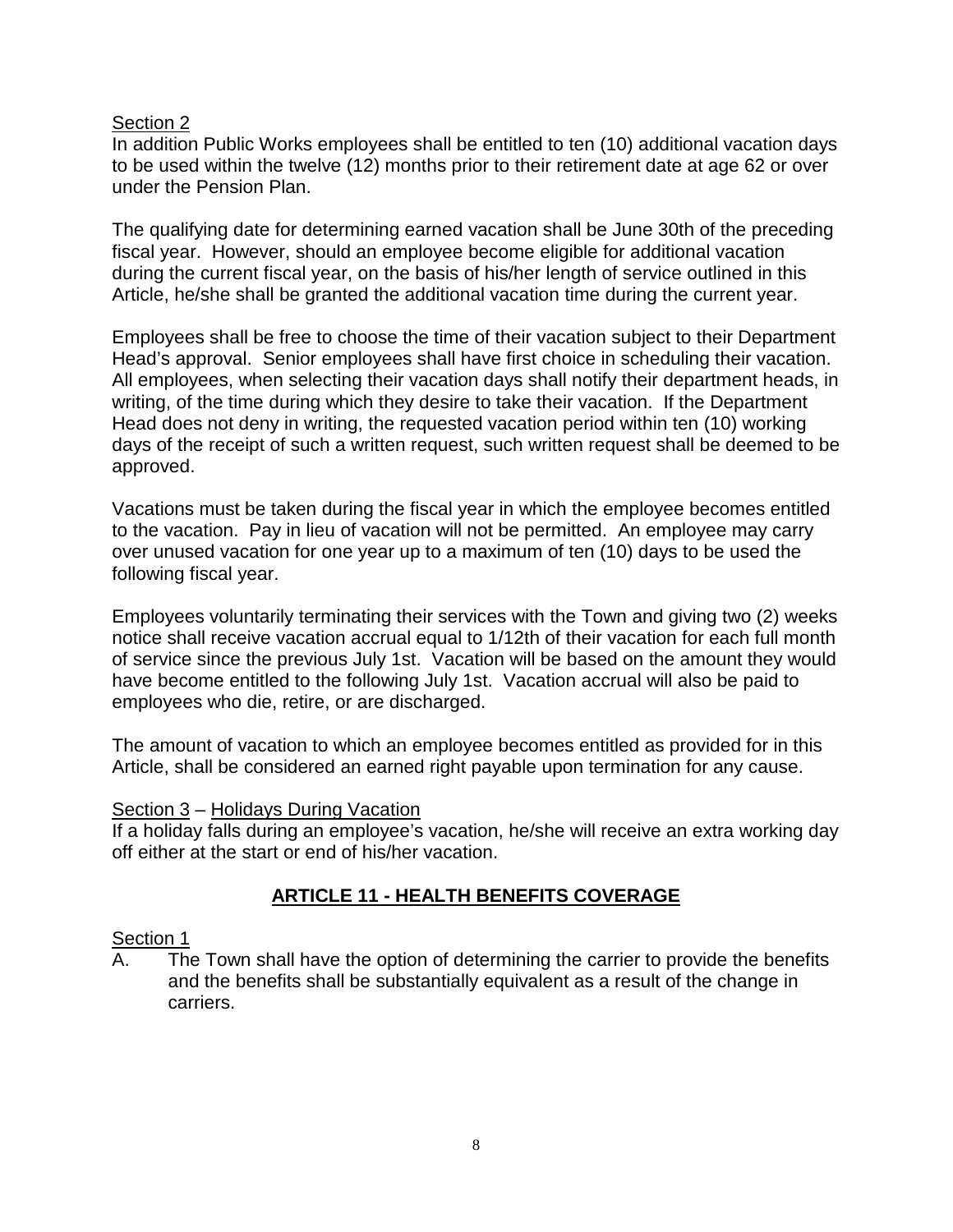In addition Public Works employees shall be entitled to ten (10) additional vacation days to be used within the twelve (12) months prior to their retirement date at age 62 or over under the Pension Plan.

The qualifying date for determining earned vacation shall be June 30th of the preceding fiscal year. However, should an employee become eligible for additional vacation during the current fiscal year, on the basis of his/her length of service outlined in this Article, he/she shall be granted the additional vacation time during the current year.

Employees shall be free to choose the time of their vacation subject to their Department Head's approval. Senior employees shall have first choice in scheduling their vacation. All employees, when selecting their vacation days shall notify their department heads, in writing, of the time during which they desire to take their vacation. If the Department Head does not deny in writing, the requested vacation period within ten (10) working days of the receipt of such a written request, such written request shall be deemed to be approved.

Vacations must be taken during the fiscal year in which the employee becomes entitled to the vacation. Pay in lieu of vacation will not be permitted. An employee may carry over unused vacation for one year up to a maximum of ten (10) days to be used the following fiscal year.

Employees voluntarily terminating their services with the Town and giving two (2) weeks notice shall receive vacation accrual equal to 1/12th of their vacation for each full month of service since the previous July 1st. Vacation will be based on the amount they would have become entitled to the following July 1st. Vacation accrual will also be paid to employees who die, retire, or are discharged.

The amount of vacation to which an employee becomes entitled as provided for in this Article, shall be considered an earned right payable upon termination for any cause.

#### Section 3 – Holidays During Vacation

If a holiday falls during an employee's vacation, he/she will receive an extra working day off either at the start or end of his/her vacation.

## **ARTICLE 11 - HEALTH BENEFITS COVERAGE**

#### Section 1

A. The Town shall have the option of determining the carrier to provide the benefits and the benefits shall be substantially equivalent as a result of the change in carriers.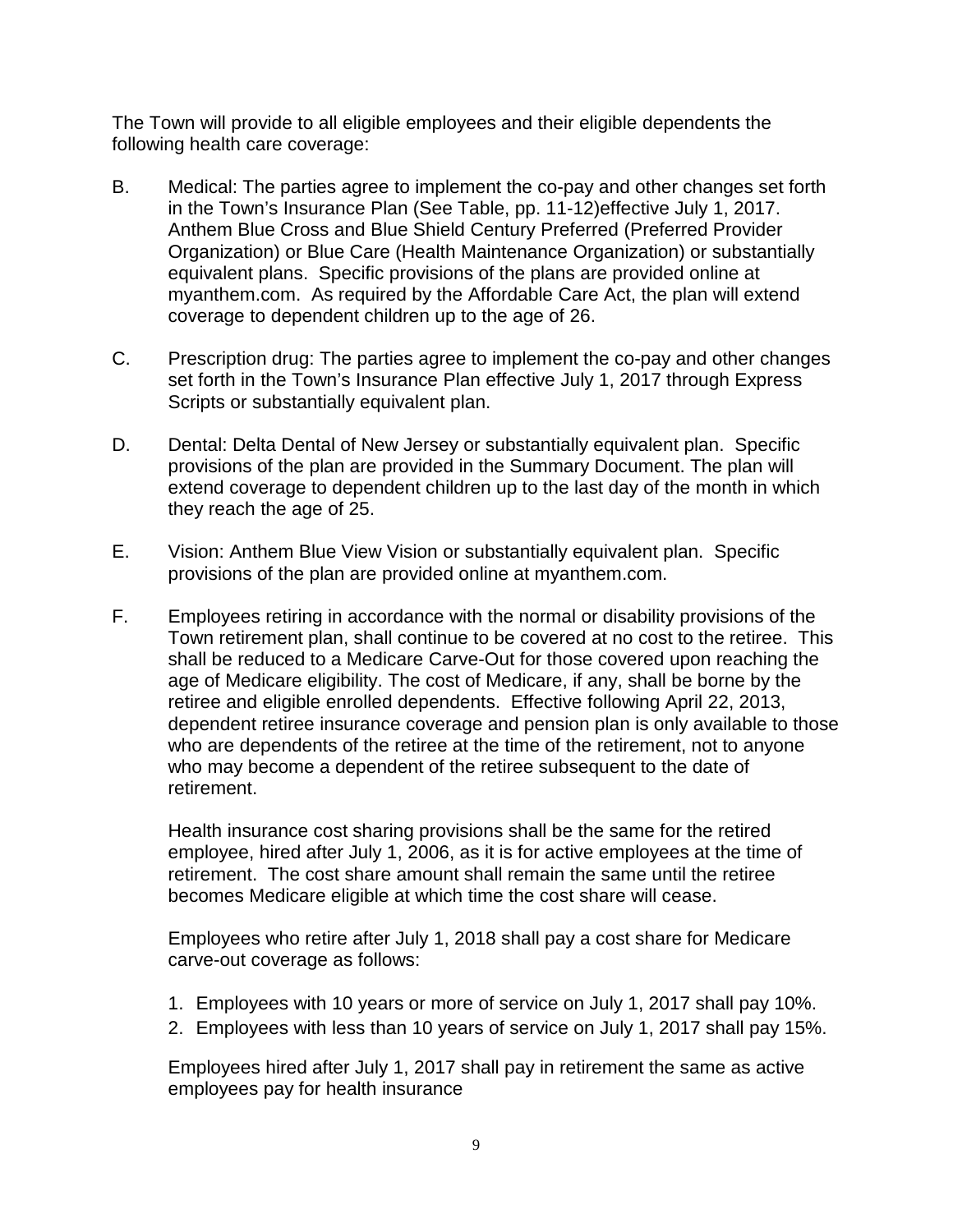The Town will provide to all eligible employees and their eligible dependents the following health care coverage:

- B. Medical: The parties agree to implement the co-pay and other changes set forth in the Town's Insurance Plan (See Table, pp. 11-12)effective July 1, 2017. Anthem Blue Cross and Blue Shield Century Preferred (Preferred Provider Organization) or Blue Care (Health Maintenance Organization) or substantially equivalent plans. Specific provisions of the plans are provided online at myanthem.com. As required by the Affordable Care Act, the plan will extend coverage to dependent children up to the age of 26.
- C. Prescription drug: The parties agree to implement the co-pay and other changes set forth in the Town's Insurance Plan effective July 1, 2017 through Express Scripts or substantially equivalent plan.
- D. Dental: Delta Dental of New Jersey or substantially equivalent plan. Specific provisions of the plan are provided in the Summary Document. The plan will extend coverage to dependent children up to the last day of the month in which they reach the age of 25.
- E. Vision: Anthem Blue View Vision or substantially equivalent plan. Specific provisions of the plan are provided online at myanthem.com.
- F. Employees retiring in accordance with the normal or disability provisions of the Town retirement plan, shall continue to be covered at no cost to the retiree. This shall be reduced to a Medicare Carve-Out for those covered upon reaching the age of Medicare eligibility. The cost of Medicare, if any, shall be borne by the retiree and eligible enrolled dependents. Effective following April 22, 2013, dependent retiree insurance coverage and pension plan is only available to those who are dependents of the retiree at the time of the retirement, not to anyone who may become a dependent of the retiree subsequent to the date of retirement.

Health insurance cost sharing provisions shall be the same for the retired employee, hired after July 1, 2006, as it is for active employees at the time of retirement. The cost share amount shall remain the same until the retiree becomes Medicare eligible at which time the cost share will cease.

Employees who retire after July 1, 2018 shall pay a cost share for Medicare carve-out coverage as follows:

- 1. Employees with 10 years or more of service on July 1, 2017 shall pay 10%.
- 2. Employees with less than 10 years of service on July 1, 2017 shall pay 15%.

Employees hired after July 1, 2017 shall pay in retirement the same as active employees pay for health insurance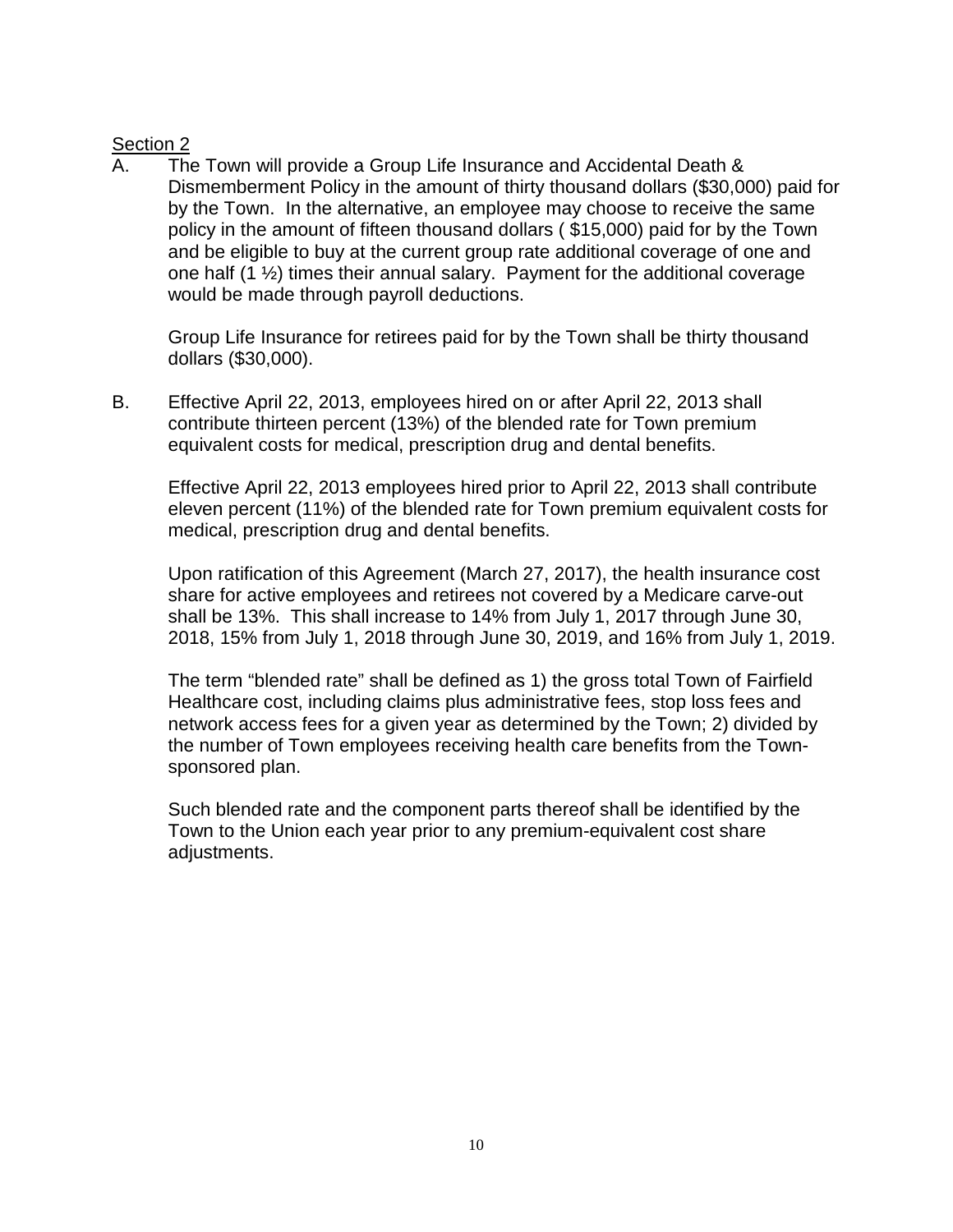A. The Town will provide a Group Life Insurance and Accidental Death & Dismemberment Policy in the amount of thirty thousand dollars (\$30,000) paid for by the Town. In the alternative, an employee may choose to receive the same policy in the amount of fifteen thousand dollars ( \$15,000) paid for by the Town and be eligible to buy at the current group rate additional coverage of one and one half  $(1 \frac{1}{2})$  times their annual salary. Payment for the additional coverage would be made through payroll deductions.

Group Life Insurance for retirees paid for by the Town shall be thirty thousand dollars (\$30,000).

B. Effective April 22, 2013, employees hired on or after April 22, 2013 shall contribute thirteen percent (13%) of the blended rate for Town premium equivalent costs for medical, prescription drug and dental benefits.

Effective April 22, 2013 employees hired prior to April 22, 2013 shall contribute eleven percent (11%) of the blended rate for Town premium equivalent costs for medical, prescription drug and dental benefits.

Upon ratification of this Agreement (March 27, 2017), the health insurance cost share for active employees and retirees not covered by a Medicare carve-out shall be 13%. This shall increase to 14% from July 1, 2017 through June 30, 2018, 15% from July 1, 2018 through June 30, 2019, and 16% from July 1, 2019.

The term "blended rate" shall be defined as 1) the gross total Town of Fairfield Healthcare cost, including claims plus administrative fees, stop loss fees and network access fees for a given year as determined by the Town; 2) divided by the number of Town employees receiving health care benefits from the Townsponsored plan.

Such blended rate and the component parts thereof shall be identified by the Town to the Union each year prior to any premium-equivalent cost share adjustments.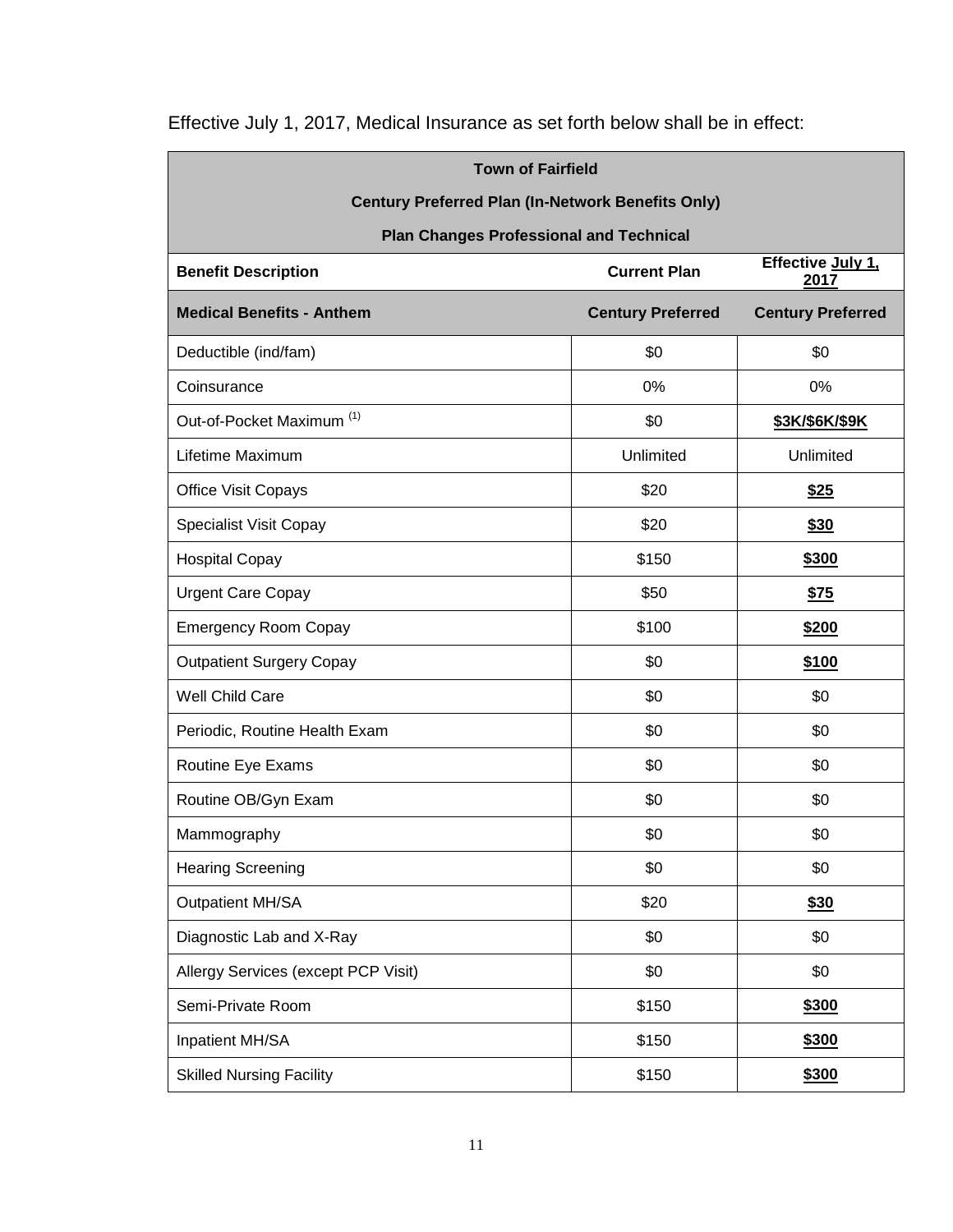| <b>Town of Fairfield</b>                                                       |                          |                          |  |  |  |
|--------------------------------------------------------------------------------|--------------------------|--------------------------|--|--|--|
| <b>Century Preferred Plan (In-Network Benefits Only)</b>                       |                          |                          |  |  |  |
| <b>Plan Changes Professional and Technical</b>                                 |                          |                          |  |  |  |
| Effective July 1,<br><b>Benefit Description</b><br><b>Current Plan</b><br>2017 |                          |                          |  |  |  |
| <b>Medical Benefits - Anthem</b>                                               | <b>Century Preferred</b> | <b>Century Preferred</b> |  |  |  |
| Deductible (ind/fam)                                                           | \$0                      | \$0                      |  |  |  |
| Coinsurance                                                                    | 0%                       | 0%                       |  |  |  |
| Out-of-Pocket Maximum <sup>(1)</sup>                                           | \$0                      | \$3K/\$6K/\$9K           |  |  |  |
| Lifetime Maximum                                                               | Unlimited                | Unlimited                |  |  |  |
| <b>Office Visit Copays</b>                                                     | \$20                     | <u>\$25</u>              |  |  |  |
| <b>Specialist Visit Copay</b>                                                  | \$20                     | \$30                     |  |  |  |
| <b>Hospital Copay</b>                                                          | \$150                    | \$300                    |  |  |  |
| <b>Urgent Care Copay</b>                                                       | \$50                     | \$75                     |  |  |  |
| <b>Emergency Room Copay</b>                                                    | \$100                    | \$200                    |  |  |  |
| <b>Outpatient Surgery Copay</b>                                                | \$0                      | \$100                    |  |  |  |
| Well Child Care                                                                | \$0                      | \$0                      |  |  |  |
| Periodic, Routine Health Exam                                                  | \$0                      | \$0                      |  |  |  |
| Routine Eye Exams                                                              | \$0                      | \$0                      |  |  |  |
| Routine OB/Gyn Exam                                                            | \$0                      | \$0                      |  |  |  |
| Mammography                                                                    | \$0                      | \$0                      |  |  |  |
| <b>Hearing Screening</b>                                                       | \$0                      | \$0                      |  |  |  |
| Outpatient MH/SA                                                               | \$20                     | \$30                     |  |  |  |
| Diagnostic Lab and X-Ray                                                       | \$0                      | \$0                      |  |  |  |
| Allergy Services (except PCP Visit)                                            | \$0                      | \$0                      |  |  |  |
| Semi-Private Room                                                              | \$150                    | \$300                    |  |  |  |
| Inpatient MH/SA                                                                | \$150                    | \$300                    |  |  |  |
| <b>Skilled Nursing Facility</b>                                                | \$150                    | \$300                    |  |  |  |

Effective July 1, 2017, Medical Insurance as set forth below shall be in effect: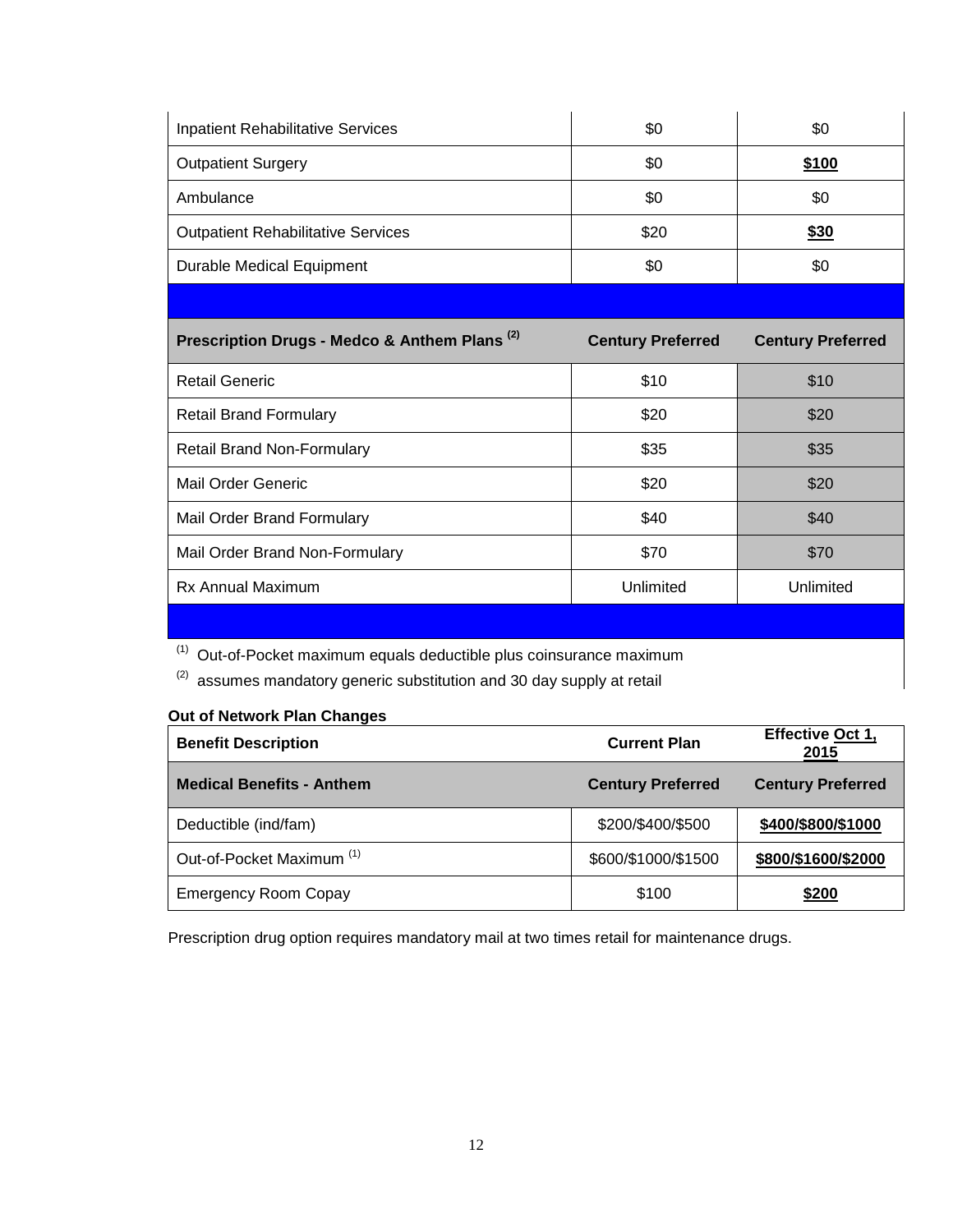| <b>Inpatient Rehabilitative Services</b>                 | \$0                      | \$0                      |
|----------------------------------------------------------|--------------------------|--------------------------|
| <b>Outpatient Surgery</b>                                | \$0                      | \$100                    |
| Ambulance                                                | \$0                      | \$0                      |
| <b>Outpatient Rehabilitative Services</b>                | \$20                     | \$30                     |
| <b>Durable Medical Equipment</b>                         | \$0                      | \$0                      |
|                                                          |                          |                          |
|                                                          |                          |                          |
| Prescription Drugs - Medco & Anthem Plans <sup>(2)</sup> | <b>Century Preferred</b> | <b>Century Preferred</b> |
| <b>Retail Generic</b>                                    | \$10                     | \$10                     |
| <b>Retail Brand Formulary</b>                            | \$20                     | \$20                     |

Mail Order Generic **business and the Contract Contract Contract Contract Contract Contract Contract Contract Contract Contract Contract Contract Contract Contract Contract Contract Contract Contract Contract Contract Contr** 

Mail Order Brand Formulary **1988 640 \$40 \$40 \$40** 

Mail Order Brand Non-Formulary **1988 1988 670 670 570** 

Rx Annual Maximum **National According Contract Contract Contract Contract Contract Contract Contract Contract Contract Contract Contract Contract Contract Contract Contract Contract Contract Contract Contract Contract Cont** 

 $(1)$  Out-of-Pocket maximum equals deductible plus coinsurance maximum

 $(2)$  assumes mandatory generic substitution and 30 day supply at retail

#### **Out of Network Plan Changes**

| <b>Benefit Description</b>           | <b>Current Plan</b>      | Effective Oct 1,<br>2015 |
|--------------------------------------|--------------------------|--------------------------|
| <b>Medical Benefits - Anthem</b>     | <b>Century Preferred</b> | <b>Century Preferred</b> |
| Deductible (ind/fam)                 | \$200/\$400/\$500        | \$400/\$800/\$1000       |
| Out-of-Pocket Maximum <sup>(1)</sup> | \$600/\$1000/\$1500      | \$800/\$1600/\$2000      |
| <b>Emergency Room Copay</b>          | \$100                    | \$200                    |

Prescription drug option requires mandatory mail at two times retail for maintenance drugs.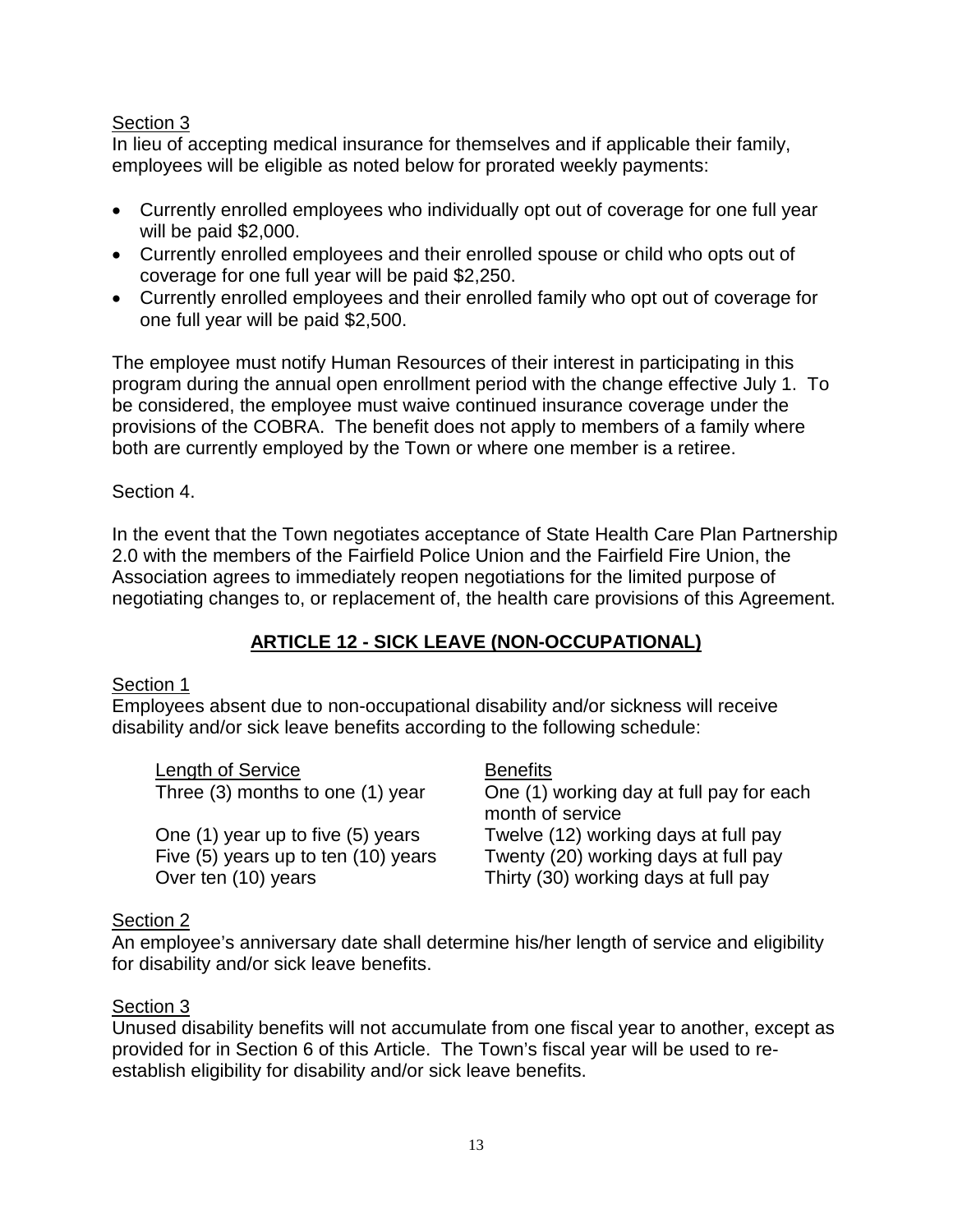In lieu of accepting medical insurance for themselves and if applicable their family, employees will be eligible as noted below for prorated weekly payments:

- Currently enrolled employees who individually opt out of coverage for one full year will be paid \$2,000.
- Currently enrolled employees and their enrolled spouse or child who opts out of coverage for one full year will be paid \$2,250.
- Currently enrolled employees and their enrolled family who opt out of coverage for one full year will be paid \$2,500.

The employee must notify Human Resources of their interest in participating in this program during the annual open enrollment period with the change effective July 1. To be considered, the employee must waive continued insurance coverage under the provisions of the COBRA. The benefit does not apply to members of a family where both are currently employed by the Town or where one member is a retiree.

#### Section 4.

In the event that the Town negotiates acceptance of State Health Care Plan Partnership 2.0 with the members of the Fairfield Police Union and the Fairfield Fire Union, the Association agrees to immediately reopen negotiations for the limited purpose of negotiating changes to, or replacement of, the health care provisions of this Agreement.

## **ARTICLE 12 - SICK LEAVE (NON-OCCUPATIONAL)**

#### Section 1

Employees absent due to non-occupational disability and/or sickness will receive disability and/or sick leave benefits according to the following schedule:

| Length of Service                   | <b>Benefits</b>                                              |
|-------------------------------------|--------------------------------------------------------------|
| Three (3) months to one (1) year    | One (1) working day at full pay for each<br>month of service |
| One (1) year up to five (5) years   | Twelve (12) working days at full pay                         |
| Five (5) years up to ten (10) years | Twenty (20) working days at full pay                         |
| Over ten (10) years                 | Thirty (30) working days at full pay                         |

#### Section 2

An employee's anniversary date shall determine his/her length of service and eligibility for disability and/or sick leave benefits.

#### Section 3

Unused disability benefits will not accumulate from one fiscal year to another, except as provided for in Section 6 of this Article. The Town's fiscal year will be used to reestablish eligibility for disability and/or sick leave benefits.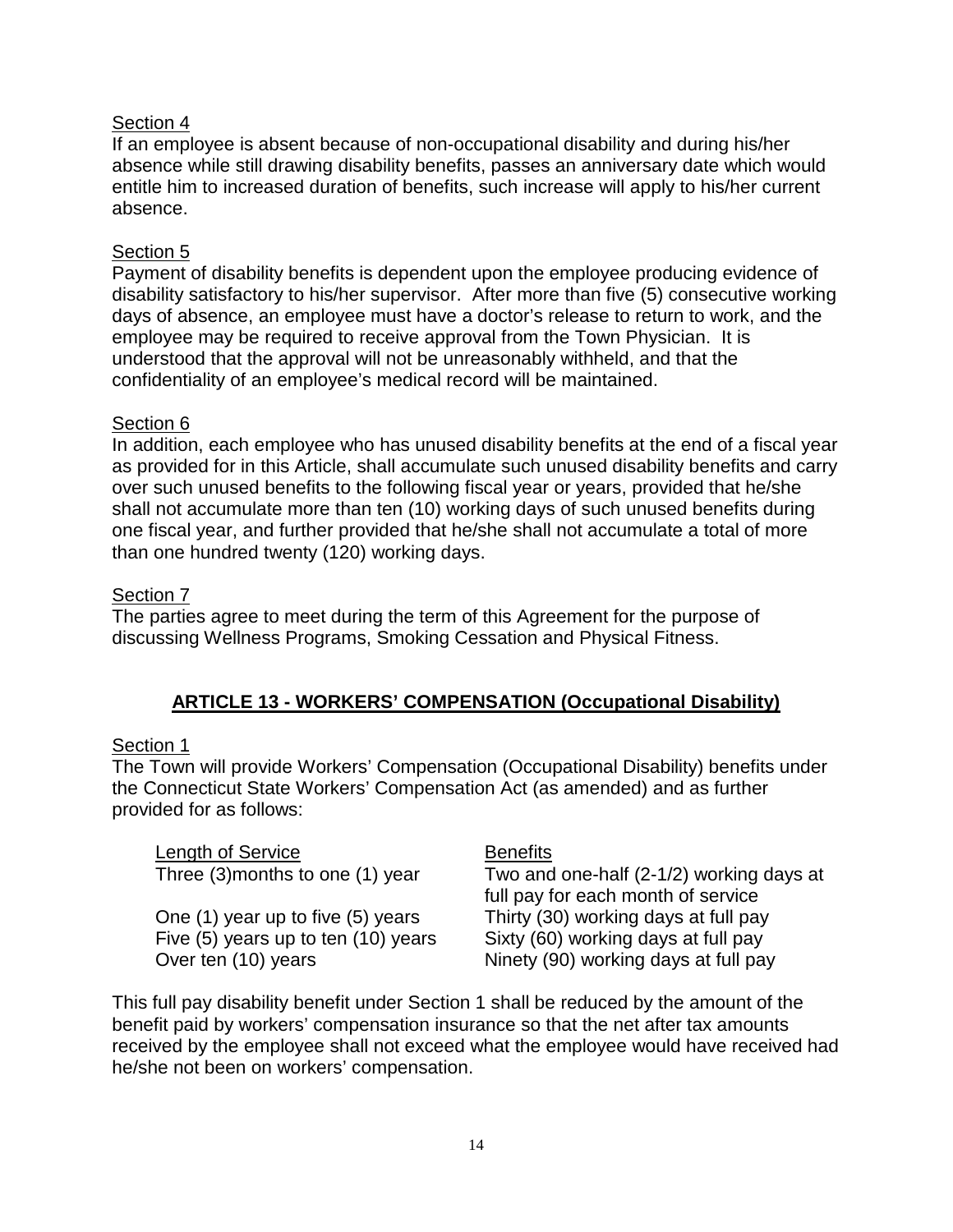If an employee is absent because of non-occupational disability and during his/her absence while still drawing disability benefits, passes an anniversary date which would entitle him to increased duration of benefits, such increase will apply to his/her current absence.

## Section 5

Payment of disability benefits is dependent upon the employee producing evidence of disability satisfactory to his/her supervisor. After more than five (5) consecutive working days of absence, an employee must have a doctor's release to return to work, and the employee may be required to receive approval from the Town Physician. It is understood that the approval will not be unreasonably withheld, and that the confidentiality of an employee's medical record will be maintained.

#### Section 6

In addition, each employee who has unused disability benefits at the end of a fiscal year as provided for in this Article, shall accumulate such unused disability benefits and carry over such unused benefits to the following fiscal year or years, provided that he/she shall not accumulate more than ten (10) working days of such unused benefits during one fiscal year, and further provided that he/she shall not accumulate a total of more than one hundred twenty (120) working days.

## Section 7

The parties agree to meet during the term of this Agreement for the purpose of discussing Wellness Programs, Smoking Cessation and Physical Fitness.

## **ARTICLE 13 - WORKERS' COMPENSATION (Occupational Disability)**

# Section 1

The Town will provide Workers' Compensation (Occupational Disability) benefits under the Connecticut State Workers' Compensation Act (as amended) and as further provided for as follows:

Length of Service<br>Three (3)months to one (1) year Two and

Two and one-half (2-1/2) working days at full pay for each month of service One (1) year up to five (5) years Thirty (30) working days at full pay Five  $(5)$  years up to ten  $(10)$  years Sixty  $(60)$  working days at full pay Over ten (10) years Ninety (90) working days at full pay

This full pay disability benefit under Section 1 shall be reduced by the amount of the benefit paid by workers' compensation insurance so that the net after tax amounts received by the employee shall not exceed what the employee would have received had he/she not been on workers' compensation.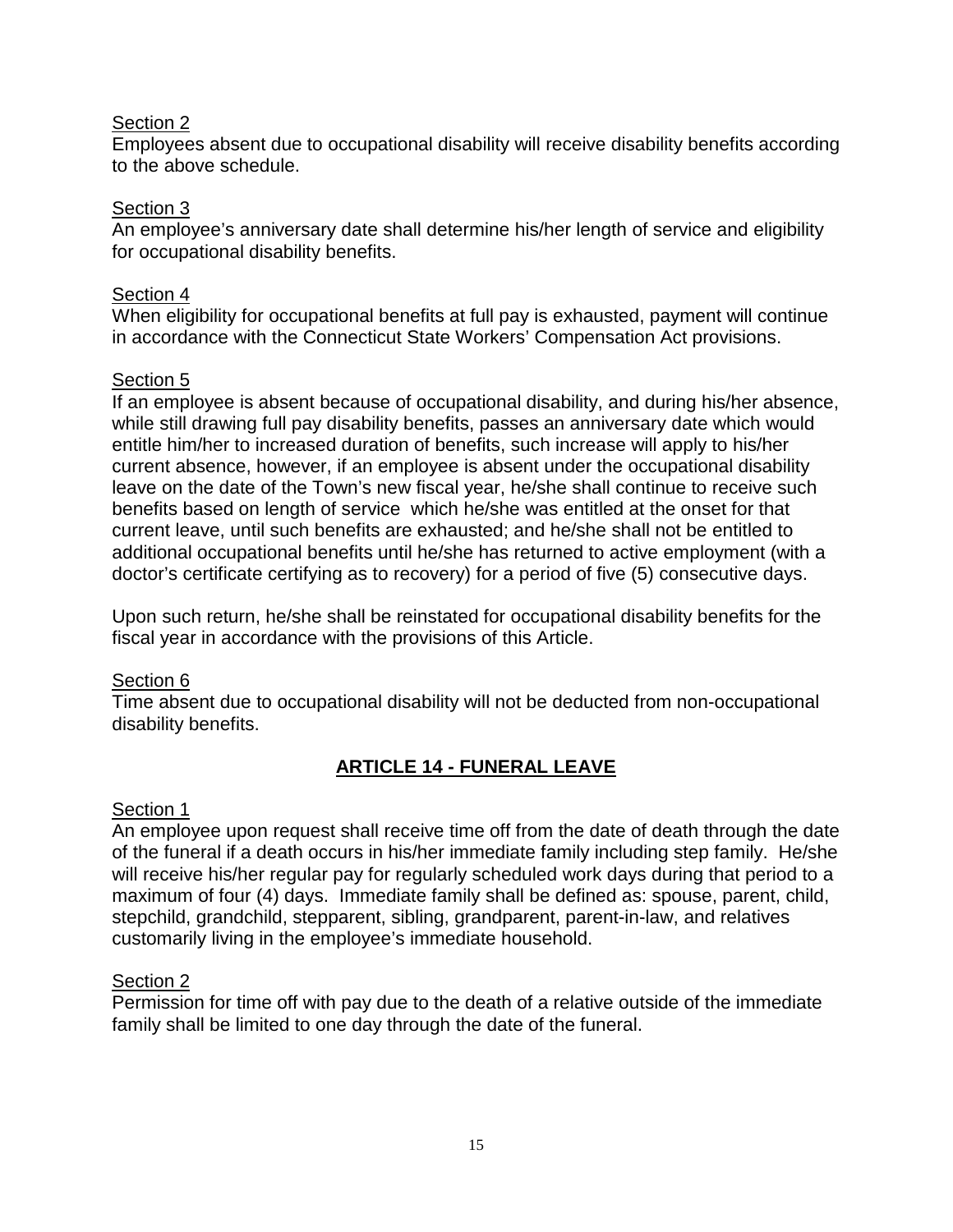Employees absent due to occupational disability will receive disability benefits according to the above schedule.

#### Section 3

An employee's anniversary date shall determine his/her length of service and eligibility for occupational disability benefits.

#### Section 4

When eligibility for occupational benefits at full pay is exhausted, payment will continue in accordance with the Connecticut State Workers' Compensation Act provisions.

#### Section 5

If an employee is absent because of occupational disability, and during his/her absence, while still drawing full pay disability benefits, passes an anniversary date which would entitle him/her to increased duration of benefits, such increase will apply to his/her current absence, however, if an employee is absent under the occupational disability leave on the date of the Town's new fiscal year, he/she shall continue to receive such benefits based on length of service which he/she was entitled at the onset for that current leave, until such benefits are exhausted; and he/she shall not be entitled to additional occupational benefits until he/she has returned to active employment (with a doctor's certificate certifying as to recovery) for a period of five (5) consecutive days.

Upon such return, he/she shall be reinstated for occupational disability benefits for the fiscal year in accordance with the provisions of this Article.

#### Section 6

Time absent due to occupational disability will not be deducted from non-occupational disability benefits.

## **ARTICLE 14 - FUNERAL LEAVE**

#### Section 1

An employee upon request shall receive time off from the date of death through the date of the funeral if a death occurs in his/her immediate family including step family. He/she will receive his/her regular pay for regularly scheduled work days during that period to a maximum of four (4) days. Immediate family shall be defined as: spouse, parent, child, stepchild, grandchild, stepparent, sibling, grandparent, parent-in-law, and relatives customarily living in the employee's immediate household.

#### Section 2

Permission for time off with pay due to the death of a relative outside of the immediate family shall be limited to one day through the date of the funeral.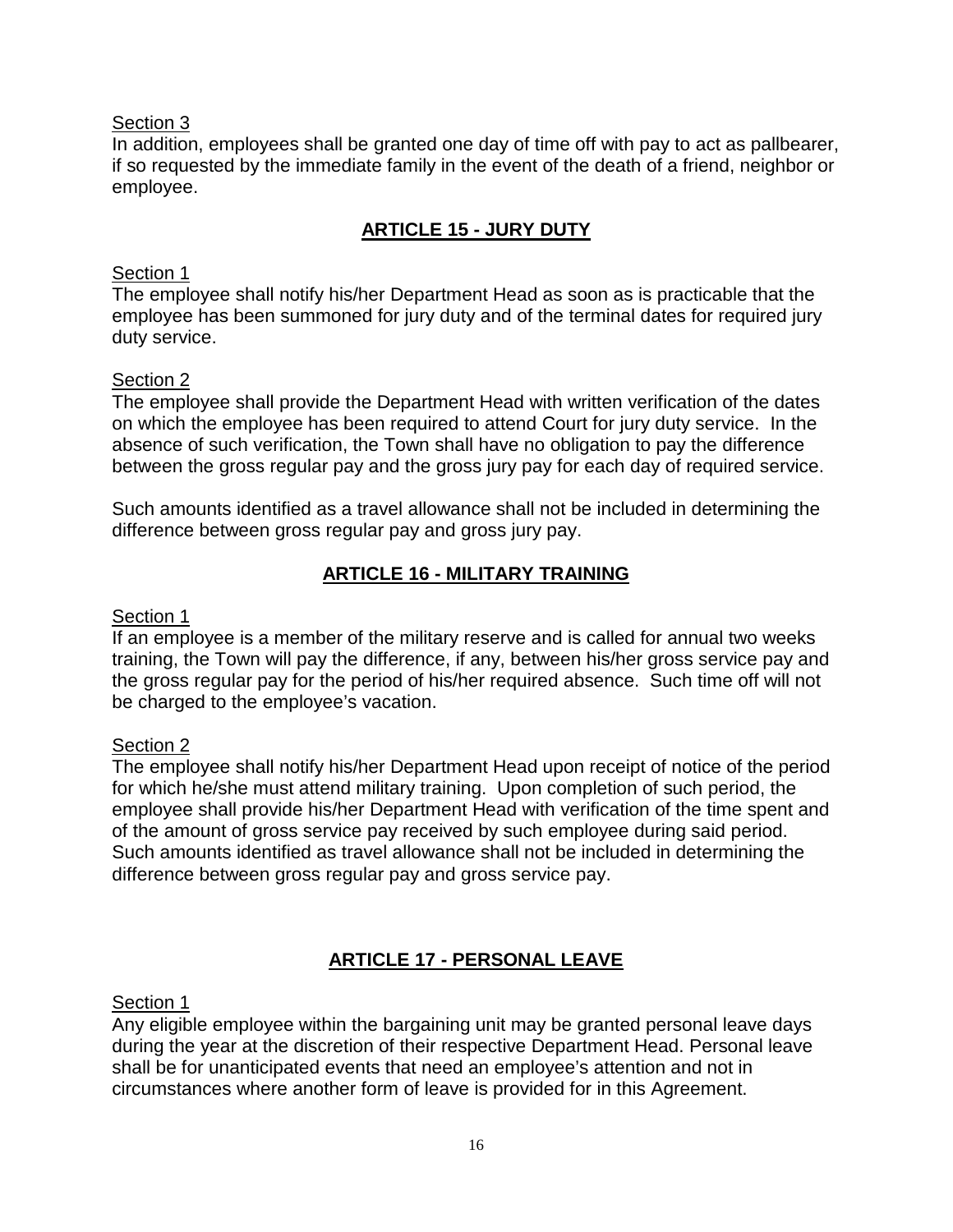In addition, employees shall be granted one day of time off with pay to act as pallbearer, if so requested by the immediate family in the event of the death of a friend, neighbor or employee.

# **ARTICLE 15 - JURY DUTY**

## Section 1

The employee shall notify his/her Department Head as soon as is practicable that the employee has been summoned for jury duty and of the terminal dates for required jury duty service.

## Section 2

The employee shall provide the Department Head with written verification of the dates on which the employee has been required to attend Court for jury duty service. In the absence of such verification, the Town shall have no obligation to pay the difference between the gross regular pay and the gross jury pay for each day of required service.

Such amounts identified as a travel allowance shall not be included in determining the difference between gross regular pay and gross jury pay.

# **ARTICLE 16 - MILITARY TRAINING**

## Section 1

If an employee is a member of the military reserve and is called for annual two weeks training, the Town will pay the difference, if any, between his/her gross service pay and the gross regular pay for the period of his/her required absence. Such time off will not be charged to the employee's vacation.

# Section 2

The employee shall notify his/her Department Head upon receipt of notice of the period for which he/she must attend military training. Upon completion of such period, the employee shall provide his/her Department Head with verification of the time spent and of the amount of gross service pay received by such employee during said period. Such amounts identified as travel allowance shall not be included in determining the difference between gross regular pay and gross service pay.

# **ARTICLE 17 - PERSONAL LEAVE**

## Section 1

Any eligible employee within the bargaining unit may be granted personal leave days during the year at the discretion of their respective Department Head. Personal leave shall be for unanticipated events that need an employee's attention and not in circumstances where another form of leave is provided for in this Agreement.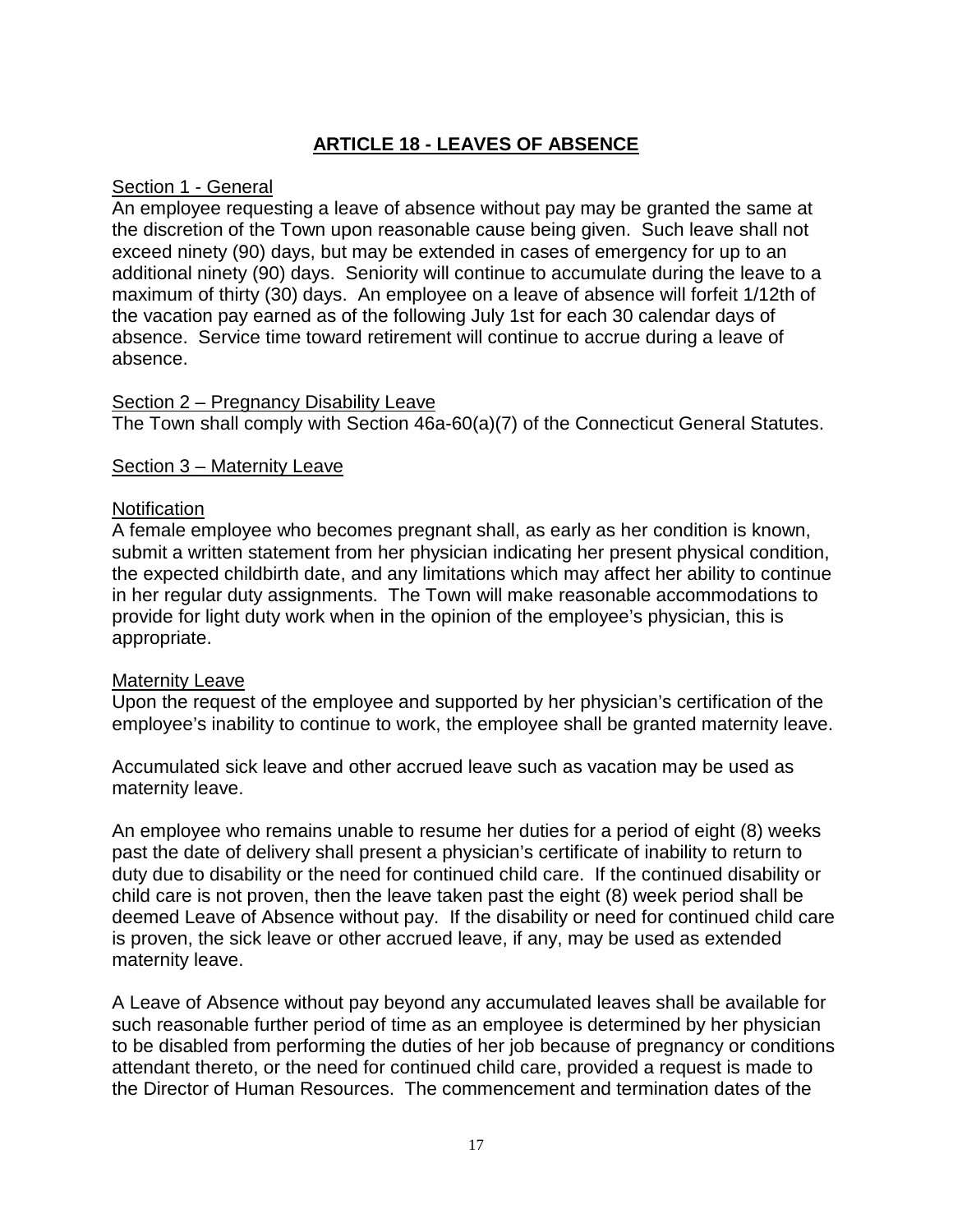# **ARTICLE 18 - LEAVES OF ABSENCE**

#### Section 1 - General

An employee requesting a leave of absence without pay may be granted the same at the discretion of the Town upon reasonable cause being given. Such leave shall not exceed ninety (90) days, but may be extended in cases of emergency for up to an additional ninety (90) days. Seniority will continue to accumulate during the leave to a maximum of thirty (30) days. An employee on a leave of absence will forfeit 1/12th of the vacation pay earned as of the following July 1st for each 30 calendar days of absence. Service time toward retirement will continue to accrue during a leave of absence.

#### Section 2 – Pregnancy Disability Leave

The Town shall comply with Section 46a-60(a)(7) of the Connecticut General Statutes.

#### Section 3 – Maternity Leave

#### **Notification**

A female employee who becomes pregnant shall, as early as her condition is known, submit a written statement from her physician indicating her present physical condition, the expected childbirth date, and any limitations which may affect her ability to continue in her regular duty assignments. The Town will make reasonable accommodations to provide for light duty work when in the opinion of the employee's physician, this is appropriate.

#### Maternity Leave

Upon the request of the employee and supported by her physician's certification of the employee's inability to continue to work, the employee shall be granted maternity leave.

Accumulated sick leave and other accrued leave such as vacation may be used as maternity leave.

An employee who remains unable to resume her duties for a period of eight (8) weeks past the date of delivery shall present a physician's certificate of inability to return to duty due to disability or the need for continued child care. If the continued disability or child care is not proven, then the leave taken past the eight (8) week period shall be deemed Leave of Absence without pay. If the disability or need for continued child care is proven, the sick leave or other accrued leave, if any, may be used as extended maternity leave.

A Leave of Absence without pay beyond any accumulated leaves shall be available for such reasonable further period of time as an employee is determined by her physician to be disabled from performing the duties of her job because of pregnancy or conditions attendant thereto, or the need for continued child care, provided a request is made to the Director of Human Resources. The commencement and termination dates of the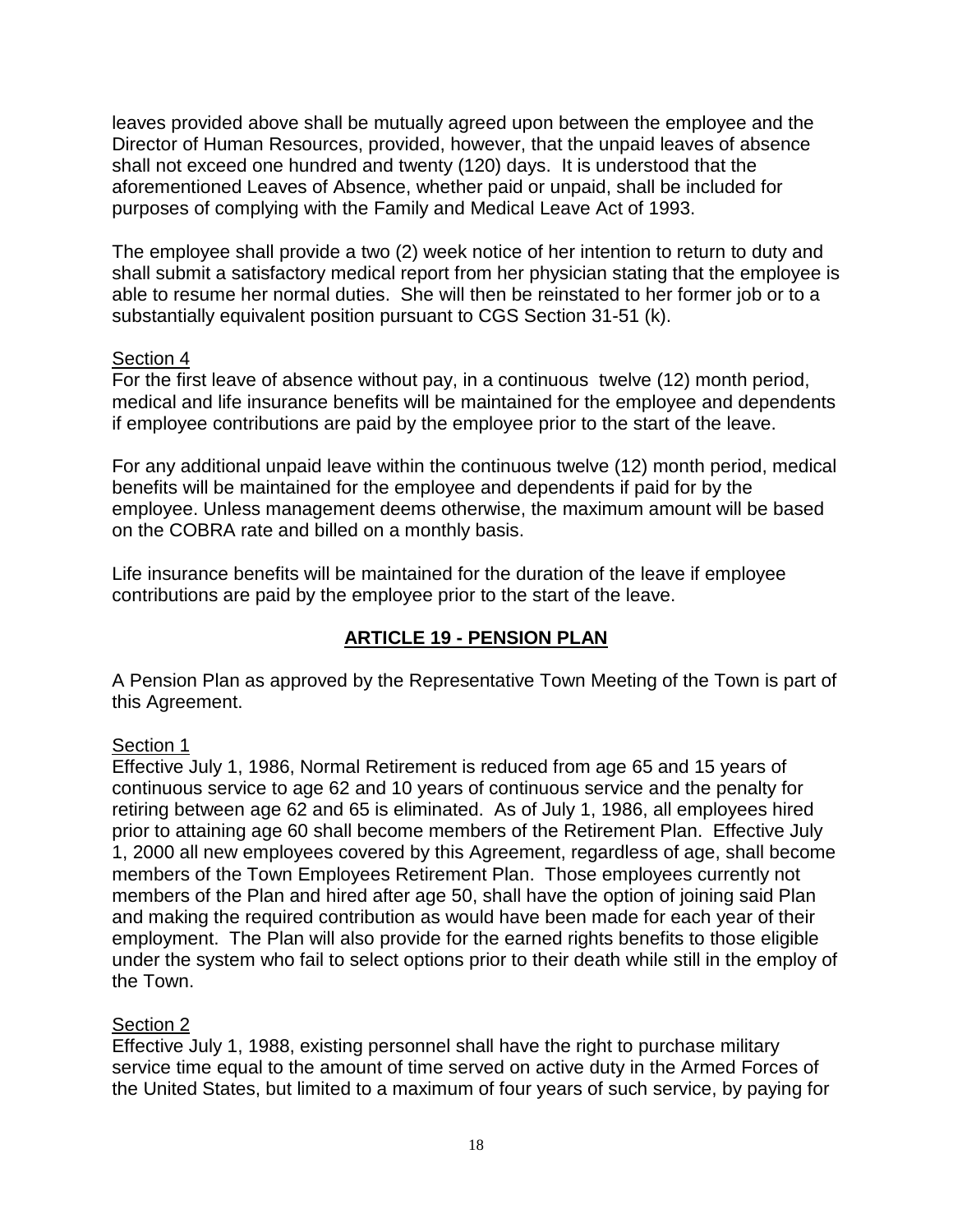leaves provided above shall be mutually agreed upon between the employee and the Director of Human Resources, provided, however, that the unpaid leaves of absence shall not exceed one hundred and twenty (120) days. It is understood that the aforementioned Leaves of Absence, whether paid or unpaid, shall be included for purposes of complying with the Family and Medical Leave Act of 1993.

The employee shall provide a two (2) week notice of her intention to return to duty and shall submit a satisfactory medical report from her physician stating that the employee is able to resume her normal duties. She will then be reinstated to her former job or to a substantially equivalent position pursuant to CGS Section 31-51 (k).

## Section 4

For the first leave of absence without pay, in a continuous twelve (12) month period, medical and life insurance benefits will be maintained for the employee and dependents if employee contributions are paid by the employee prior to the start of the leave.

For any additional unpaid leave within the continuous twelve (12) month period, medical benefits will be maintained for the employee and dependents if paid for by the employee. Unless management deems otherwise, the maximum amount will be based on the COBRA rate and billed on a monthly basis.

Life insurance benefits will be maintained for the duration of the leave if employee contributions are paid by the employee prior to the start of the leave.

# **ARTICLE 19 - PENSION PLAN**

A Pension Plan as approved by the Representative Town Meeting of the Town is part of this Agreement.

## Section 1

Effective July 1, 1986, Normal Retirement is reduced from age 65 and 15 years of continuous service to age 62 and 10 years of continuous service and the penalty for retiring between age 62 and 65 is eliminated. As of July 1, 1986, all employees hired prior to attaining age 60 shall become members of the Retirement Plan. Effective July 1, 2000 all new employees covered by this Agreement, regardless of age, shall become members of the Town Employees Retirement Plan. Those employees currently not members of the Plan and hired after age 50, shall have the option of joining said Plan and making the required contribution as would have been made for each year of their employment. The Plan will also provide for the earned rights benefits to those eligible under the system who fail to select options prior to their death while still in the employ of the Town.

#### Section 2

Effective July 1, 1988, existing personnel shall have the right to purchase military service time equal to the amount of time served on active duty in the Armed Forces of the United States, but limited to a maximum of four years of such service, by paying for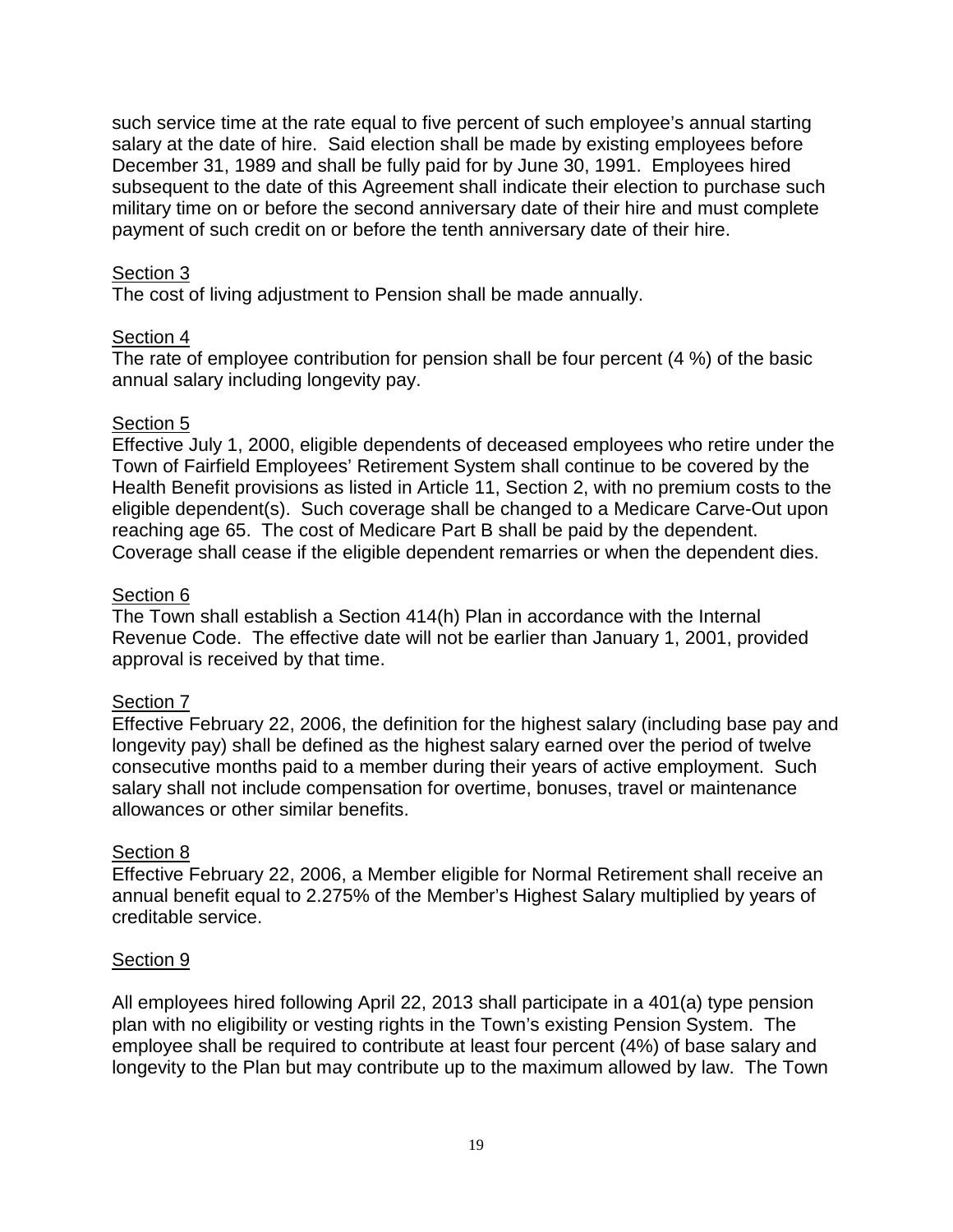such service time at the rate equal to five percent of such employee's annual starting salary at the date of hire. Said election shall be made by existing employees before December 31, 1989 and shall be fully paid for by June 30, 1991. Employees hired subsequent to the date of this Agreement shall indicate their election to purchase such military time on or before the second anniversary date of their hire and must complete payment of such credit on or before the tenth anniversary date of their hire.

#### Section 3

The cost of living adjustment to Pension shall be made annually.

#### Section 4

The rate of employee contribution for pension shall be four percent (4 %) of the basic annual salary including longevity pay.

#### Section 5

Effective July 1, 2000, eligible dependents of deceased employees who retire under the Town of Fairfield Employees' Retirement System shall continue to be covered by the Health Benefit provisions as listed in Article 11, Section 2, with no premium costs to the eligible dependent(s). Such coverage shall be changed to a Medicare Carve-Out upon reaching age 65. The cost of Medicare Part B shall be paid by the dependent. Coverage shall cease if the eligible dependent remarries or when the dependent dies.

#### Section 6

The Town shall establish a Section 414(h) Plan in accordance with the Internal Revenue Code. The effective date will not be earlier than January 1, 2001, provided approval is received by that time.

#### Section 7

Effective February 22, 2006, the definition for the highest salary (including base pay and longevity pay) shall be defined as the highest salary earned over the period of twelve consecutive months paid to a member during their years of active employment. Such salary shall not include compensation for overtime, bonuses, travel or maintenance allowances or other similar benefits.

#### Section 8

Effective February 22, 2006, a Member eligible for Normal Retirement shall receive an annual benefit equal to 2.275% of the Member's Highest Salary multiplied by years of creditable service.

#### Section 9

All employees hired following April 22, 2013 shall participate in a 401(a) type pension plan with no eligibility or vesting rights in the Town's existing Pension System. The employee shall be required to contribute at least four percent (4%) of base salary and longevity to the Plan but may contribute up to the maximum allowed by law. The Town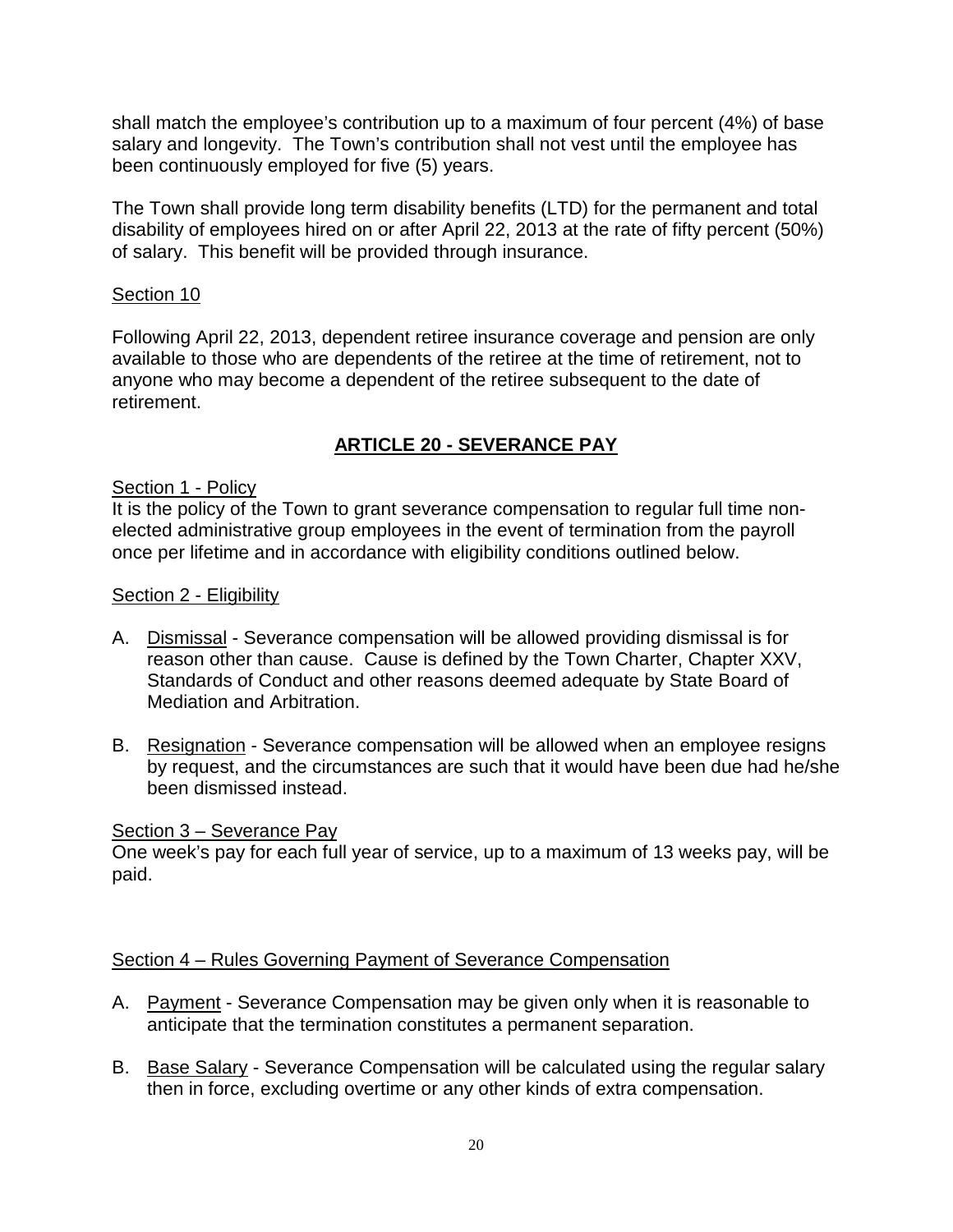shall match the employee's contribution up to a maximum of four percent (4%) of base salary and longevity. The Town's contribution shall not vest until the employee has been continuously employed for five (5) years.

The Town shall provide long term disability benefits (LTD) for the permanent and total disability of employees hired on or after April 22, 2013 at the rate of fifty percent (50%) of salary. This benefit will be provided through insurance.

## Section 10

Following April 22, 2013, dependent retiree insurance coverage and pension are only available to those who are dependents of the retiree at the time of retirement, not to anyone who may become a dependent of the retiree subsequent to the date of retirement.

# **ARTICLE 20 - SEVERANCE PAY**

## Section 1 - Policy

It is the policy of the Town to grant severance compensation to regular full time nonelected administrative group employees in the event of termination from the payroll once per lifetime and in accordance with eligibility conditions outlined below.

#### Section 2 - Eligibility

- A. Dismissal Severance compensation will be allowed providing dismissal is for reason other than cause. Cause is defined by the Town Charter, Chapter XXV, Standards of Conduct and other reasons deemed adequate by State Board of Mediation and Arbitration.
- B. Resignation Severance compensation will be allowed when an employee resigns by request, and the circumstances are such that it would have been due had he/she been dismissed instead.

#### Section 3 – Severance Pay

One week's pay for each full year of service, up to a maximum of 13 weeks pay, will be paid.

#### Section 4 – Rules Governing Payment of Severance Compensation

- A. Payment Severance Compensation may be given only when it is reasonable to anticipate that the termination constitutes a permanent separation.
- B. Base Salary Severance Compensation will be calculated using the regular salary then in force, excluding overtime or any other kinds of extra compensation.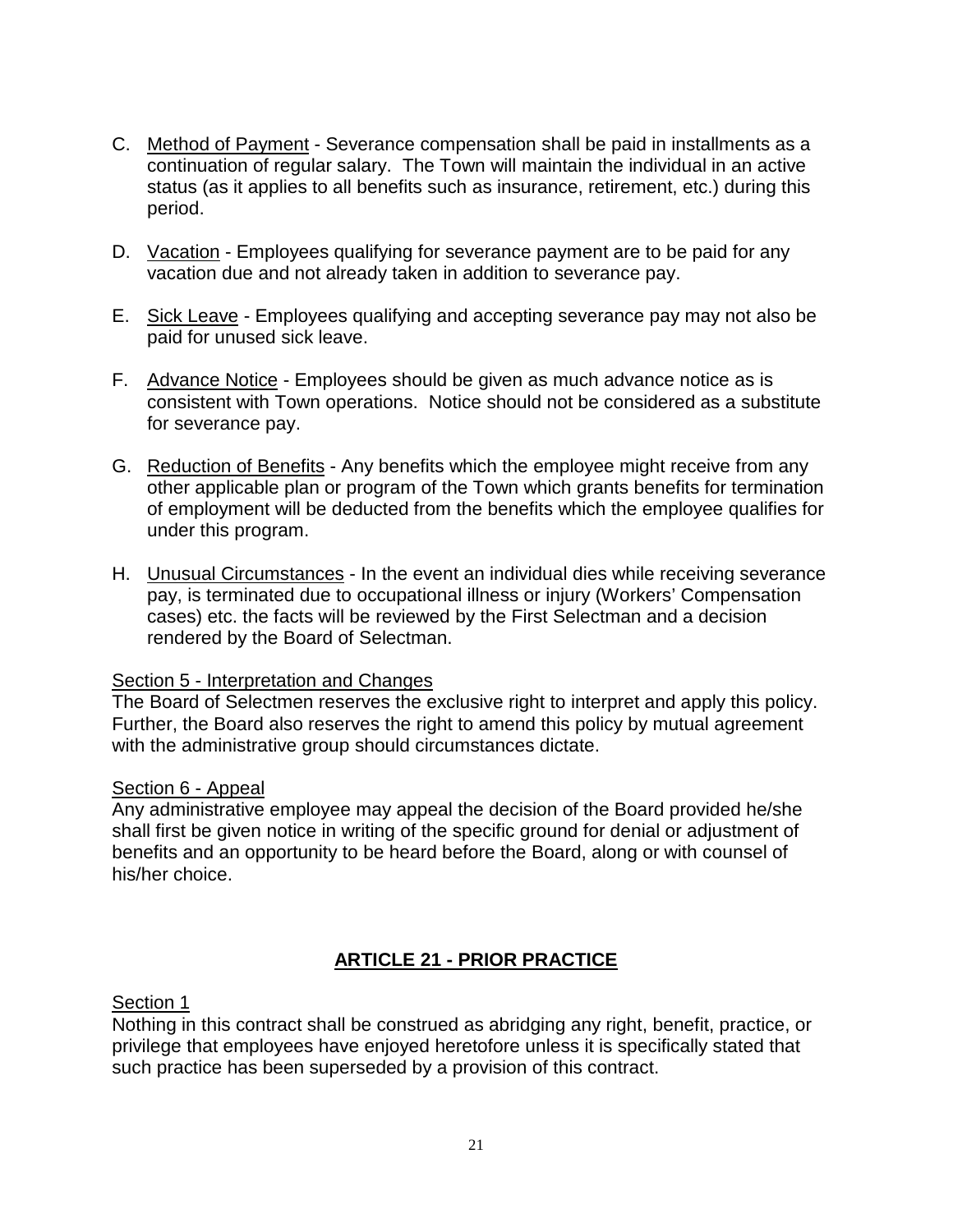- C. Method of Payment Severance compensation shall be paid in installments as a continuation of regular salary. The Town will maintain the individual in an active status (as it applies to all benefits such as insurance, retirement, etc.) during this period.
- D. Vacation Employees qualifying for severance payment are to be paid for any vacation due and not already taken in addition to severance pay.
- E. Sick Leave Employees qualifying and accepting severance pay may not also be paid for unused sick leave.
- F. Advance Notice Employees should be given as much advance notice as is consistent with Town operations. Notice should not be considered as a substitute for severance pay.
- G. Reduction of Benefits Any benefits which the employee might receive from any other applicable plan or program of the Town which grants benefits for termination of employment will be deducted from the benefits which the employee qualifies for under this program.
- H. Unusual Circumstances In the event an individual dies while receiving severance pay, is terminated due to occupational illness or injury (Workers' Compensation cases) etc. the facts will be reviewed by the First Selectman and a decision rendered by the Board of Selectman.

#### Section 5 - Interpretation and Changes

The Board of Selectmen reserves the exclusive right to interpret and apply this policy. Further, the Board also reserves the right to amend this policy by mutual agreement with the administrative group should circumstances dictate.

#### Section 6 - Appeal

Any administrative employee may appeal the decision of the Board provided he/she shall first be given notice in writing of the specific ground for denial or adjustment of benefits and an opportunity to be heard before the Board, along or with counsel of his/her choice.

## **ARTICLE 21 - PRIOR PRACTICE**

#### Section 1

Nothing in this contract shall be construed as abridging any right, benefit, practice, or privilege that employees have enjoyed heretofore unless it is specifically stated that such practice has been superseded by a provision of this contract.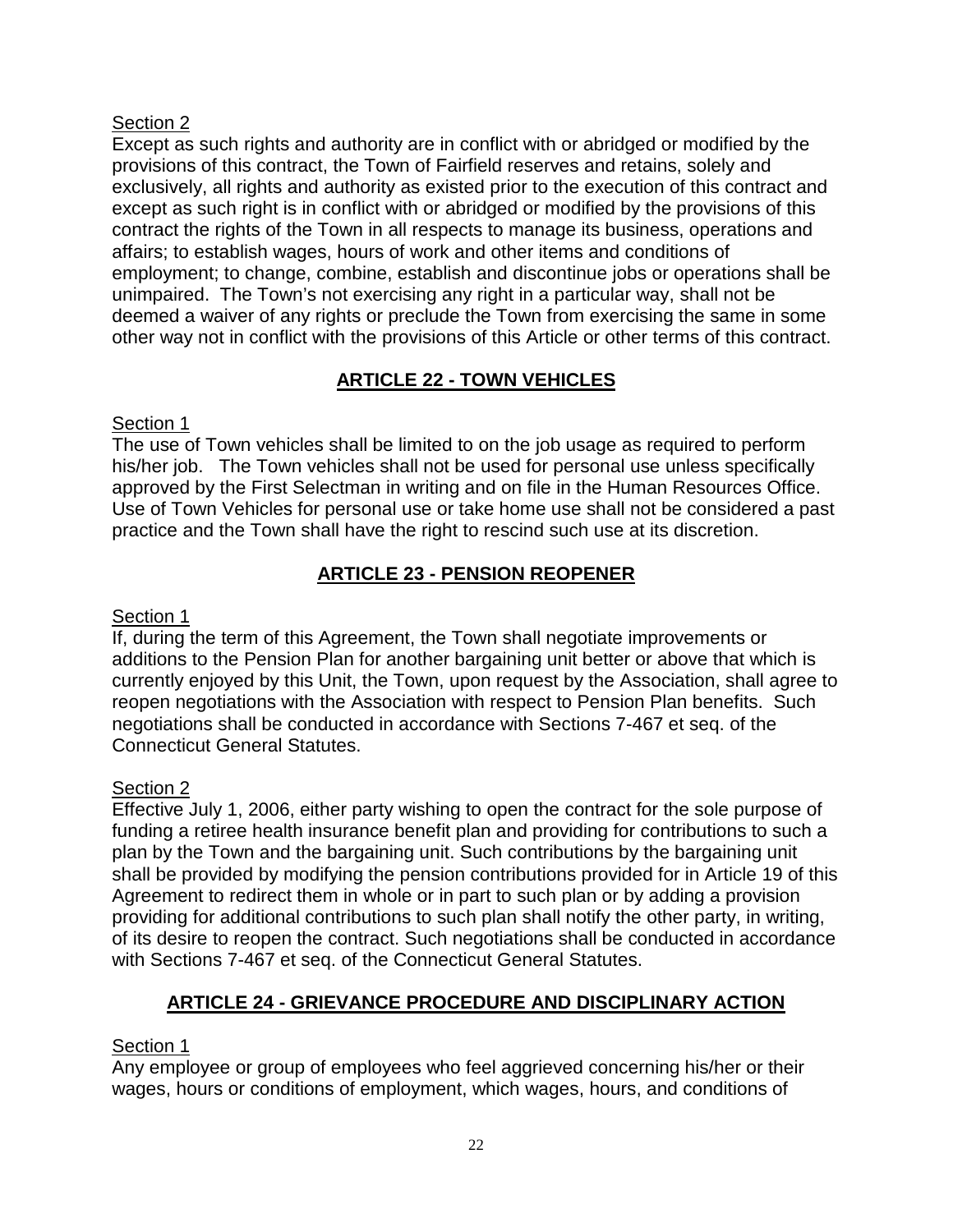Except as such rights and authority are in conflict with or abridged or modified by the provisions of this contract, the Town of Fairfield reserves and retains, solely and exclusively, all rights and authority as existed prior to the execution of this contract and except as such right is in conflict with or abridged or modified by the provisions of this contract the rights of the Town in all respects to manage its business, operations and affairs; to establish wages, hours of work and other items and conditions of employment; to change, combine, establish and discontinue jobs or operations shall be unimpaired. The Town's not exercising any right in a particular way, shall not be deemed a waiver of any rights or preclude the Town from exercising the same in some other way not in conflict with the provisions of this Article or other terms of this contract.

# **ARTICLE 22 - TOWN VEHICLES**

# Section 1

The use of Town vehicles shall be limited to on the job usage as required to perform his/her job. The Town vehicles shall not be used for personal use unless specifically approved by the First Selectman in writing and on file in the Human Resources Office. Use of Town Vehicles for personal use or take home use shall not be considered a past practice and the Town shall have the right to rescind such use at its discretion.

# **ARTICLE 23 - PENSION REOPENER**

# Section 1

If, during the term of this Agreement, the Town shall negotiate improvements or additions to the Pension Plan for another bargaining unit better or above that which is currently enjoyed by this Unit, the Town, upon request by the Association, shall agree to reopen negotiations with the Association with respect to Pension Plan benefits. Such negotiations shall be conducted in accordance with Sections 7-467 et seq. of the Connecticut General Statutes.

# Section 2

Effective July 1, 2006, either party wishing to open the contract for the sole purpose of funding a retiree health insurance benefit plan and providing for contributions to such a plan by the Town and the bargaining unit. Such contributions by the bargaining unit shall be provided by modifying the pension contributions provided for in Article 19 of this Agreement to redirect them in whole or in part to such plan or by adding a provision providing for additional contributions to such plan shall notify the other party, in writing, of its desire to reopen the contract. Such negotiations shall be conducted in accordance with Sections 7-467 et seq. of the Connecticut General Statutes.

# **ARTICLE 24 - GRIEVANCE PROCEDURE AND DISCIPLINARY ACTION**

# Section 1

Any employee or group of employees who feel aggrieved concerning his/her or their wages, hours or conditions of employment, which wages, hours, and conditions of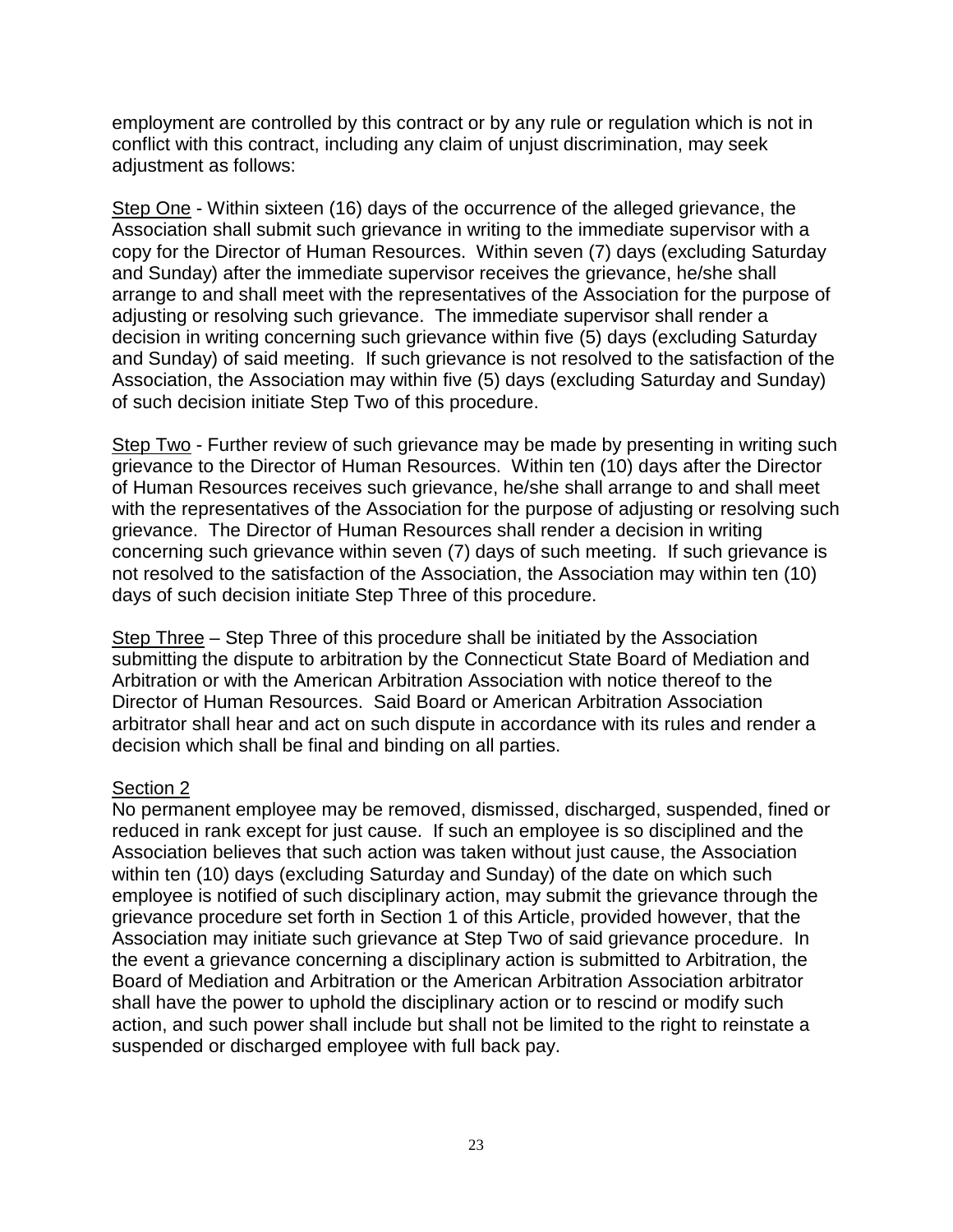employment are controlled by this contract or by any rule or regulation which is not in conflict with this contract, including any claim of unjust discrimination, may seek adjustment as follows:

Step One - Within sixteen (16) days of the occurrence of the alleged grievance, the Association shall submit such grievance in writing to the immediate supervisor with a copy for the Director of Human Resources. Within seven (7) days (excluding Saturday and Sunday) after the immediate supervisor receives the grievance, he/she shall arrange to and shall meet with the representatives of the Association for the purpose of adjusting or resolving such grievance. The immediate supervisor shall render a decision in writing concerning such grievance within five (5) days (excluding Saturday and Sunday) of said meeting. If such grievance is not resolved to the satisfaction of the Association, the Association may within five (5) days (excluding Saturday and Sunday) of such decision initiate Step Two of this procedure.

Step Two - Further review of such grievance may be made by presenting in writing such grievance to the Director of Human Resources. Within ten (10) days after the Director of Human Resources receives such grievance, he/she shall arrange to and shall meet with the representatives of the Association for the purpose of adjusting or resolving such grievance. The Director of Human Resources shall render a decision in writing concerning such grievance within seven (7) days of such meeting. If such grievance is not resolved to the satisfaction of the Association, the Association may within ten (10) days of such decision initiate Step Three of this procedure.

Step Three – Step Three of this procedure shall be initiated by the Association submitting the dispute to arbitration by the Connecticut State Board of Mediation and Arbitration or with the American Arbitration Association with notice thereof to the Director of Human Resources. Said Board or American Arbitration Association arbitrator shall hear and act on such dispute in accordance with its rules and render a decision which shall be final and binding on all parties.

#### Section 2

No permanent employee may be removed, dismissed, discharged, suspended, fined or reduced in rank except for just cause. If such an employee is so disciplined and the Association believes that such action was taken without just cause, the Association within ten (10) days (excluding Saturday and Sunday) of the date on which such employee is notified of such disciplinary action, may submit the grievance through the grievance procedure set forth in Section 1 of this Article, provided however, that the Association may initiate such grievance at Step Two of said grievance procedure. In the event a grievance concerning a disciplinary action is submitted to Arbitration, the Board of Mediation and Arbitration or the American Arbitration Association arbitrator shall have the power to uphold the disciplinary action or to rescind or modify such action, and such power shall include but shall not be limited to the right to reinstate a suspended or discharged employee with full back pay.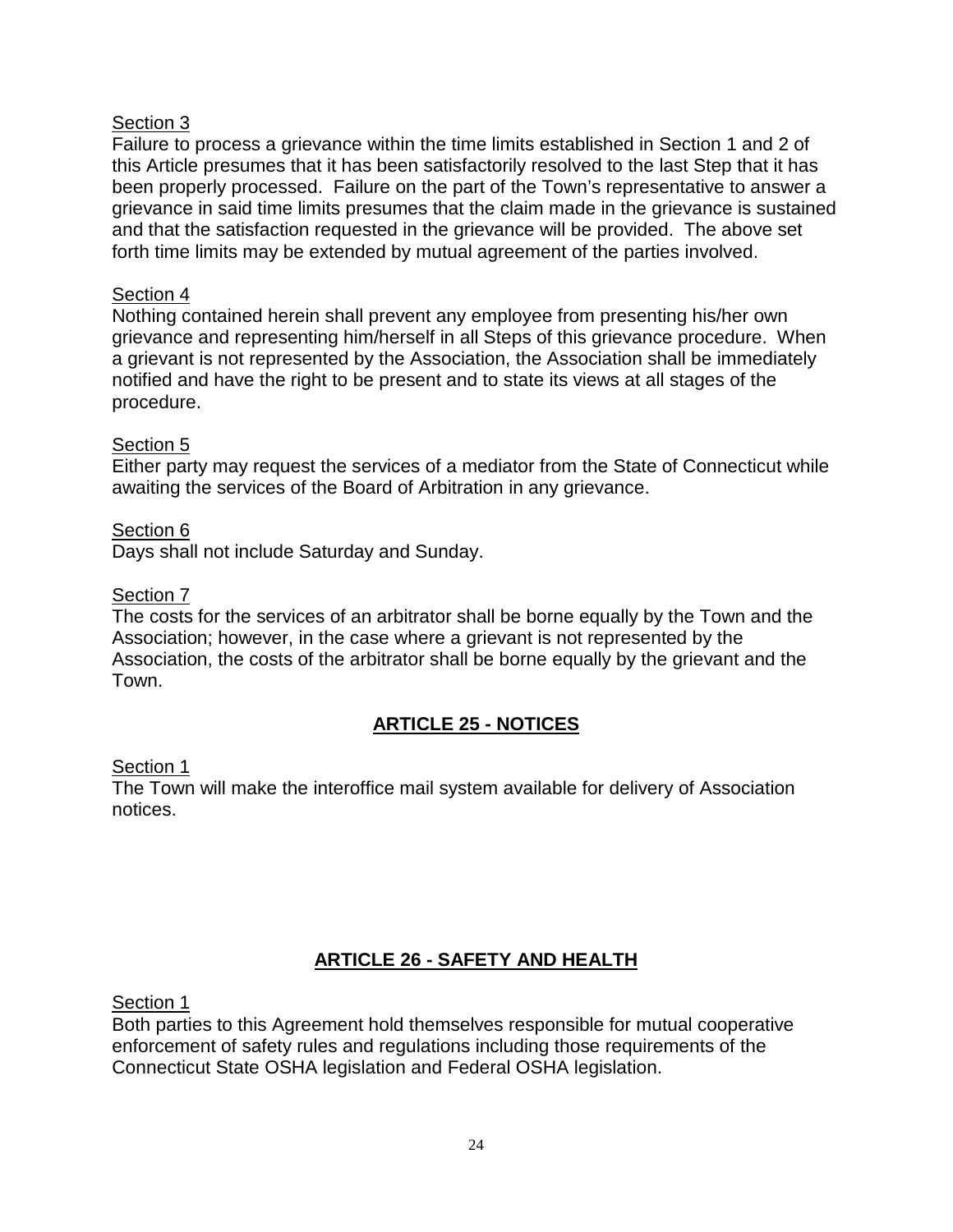Failure to process a grievance within the time limits established in Section 1 and 2 of this Article presumes that it has been satisfactorily resolved to the last Step that it has been properly processed. Failure on the part of the Town's representative to answer a grievance in said time limits presumes that the claim made in the grievance is sustained and that the satisfaction requested in the grievance will be provided. The above set forth time limits may be extended by mutual agreement of the parties involved.

## Section 4

Nothing contained herein shall prevent any employee from presenting his/her own grievance and representing him/herself in all Steps of this grievance procedure. When a grievant is not represented by the Association, the Association shall be immediately notified and have the right to be present and to state its views at all stages of the procedure.

#### Section 5

Either party may request the services of a mediator from the State of Connecticut while awaiting the services of the Board of Arbitration in any grievance.

Section 6 Days shall not include Saturday and Sunday.

## Section 7

The costs for the services of an arbitrator shall be borne equally by the Town and the Association; however, in the case where a grievant is not represented by the Association, the costs of the arbitrator shall be borne equally by the grievant and the Town.

# **ARTICLE 25 - NOTICES**

#### Section 1

The Town will make the interoffice mail system available for delivery of Association notices.

# **ARTICLE 26 - SAFETY AND HEALTH**

Section 1

Both parties to this Agreement hold themselves responsible for mutual cooperative enforcement of safety rules and regulations including those requirements of the Connecticut State OSHA legislation and Federal OSHA legislation.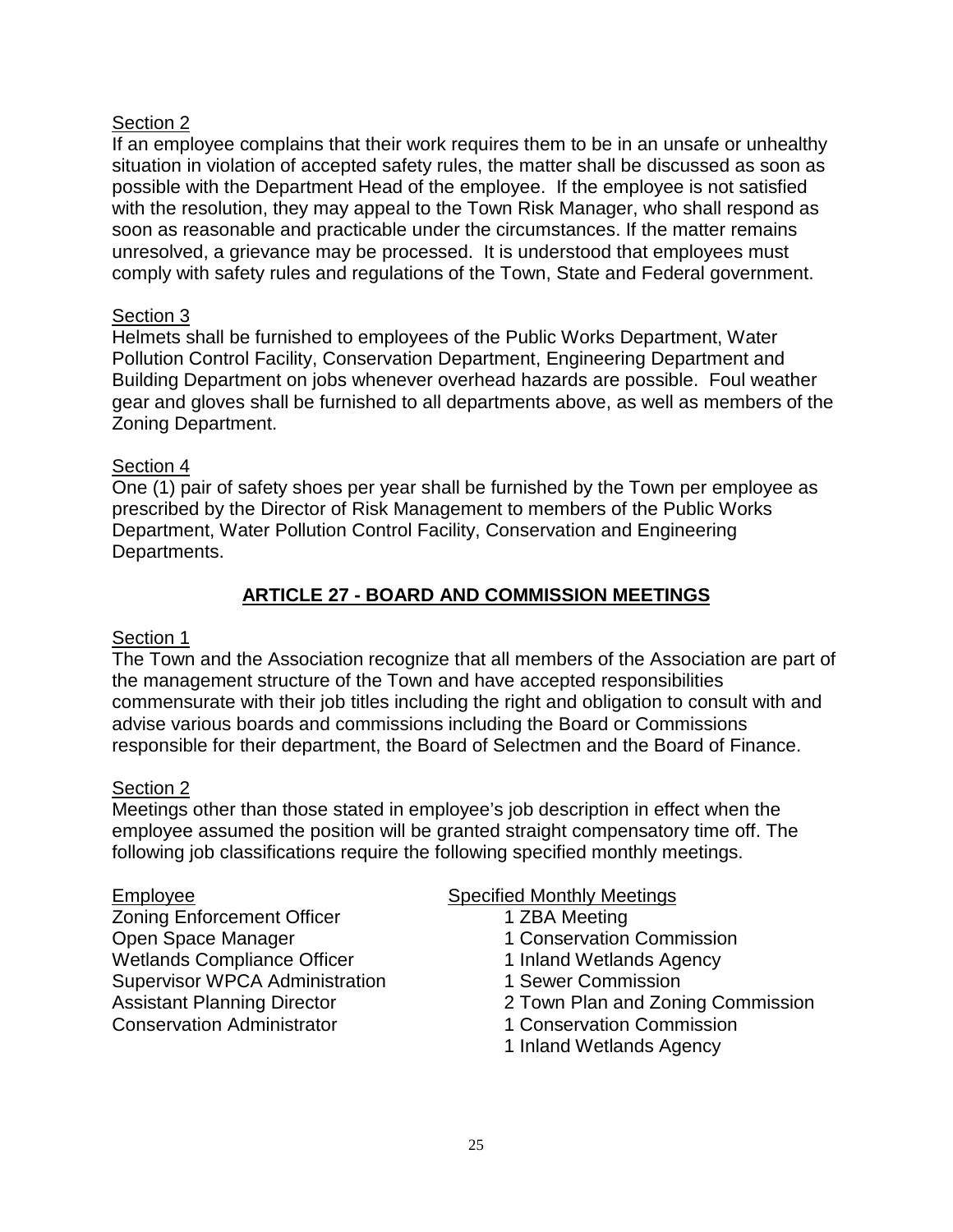If an employee complains that their work requires them to be in an unsafe or unhealthy situation in violation of accepted safety rules, the matter shall be discussed as soon as possible with the Department Head of the employee. If the employee is not satisfied with the resolution, they may appeal to the Town Risk Manager, who shall respond as soon as reasonable and practicable under the circumstances. If the matter remains unresolved, a grievance may be processed. It is understood that employees must comply with safety rules and regulations of the Town, State and Federal government.

## Section 3

Helmets shall be furnished to employees of the Public Works Department, Water Pollution Control Facility, Conservation Department, Engineering Department and Building Department on jobs whenever overhead hazards are possible. Foul weather gear and gloves shall be furnished to all departments above, as well as members of the Zoning Department.

#### Section 4

One (1) pair of safety shoes per year shall be furnished by the Town per employee as prescribed by the Director of Risk Management to members of the Public Works Department, Water Pollution Control Facility, Conservation and Engineering Departments.

## **ARTICLE 27 - BOARD AND COMMISSION MEETINGS**

#### Section 1

The Town and the Association recognize that all members of the Association are part of the management structure of the Town and have accepted responsibilities commensurate with their job titles including the right and obligation to consult with and advise various boards and commissions including the Board or Commissions responsible for their department, the Board of Selectmen and the Board of Finance.

#### Section 2

Meetings other than those stated in employee's job description in effect when the employee assumed the position will be granted straight compensatory time off. The following job classifications require the following specified monthly meetings.

Zoning Enforcement Officer 1 ZBA Meeting Open Space Manager 1 Conservation Commission Wetlands Compliance Officer 1 1 Inland Wetlands Agency Supervisor WPCA Administration 1 Sewer Commission Conservation Administrator 1 Conservation Commission

#### Employee Specified Monthly Meetings

- -
	-
	-
- Assistant Planning Director 2 Town Plan and Zoning Commission
	-
	- 1 Inland Wetlands Agency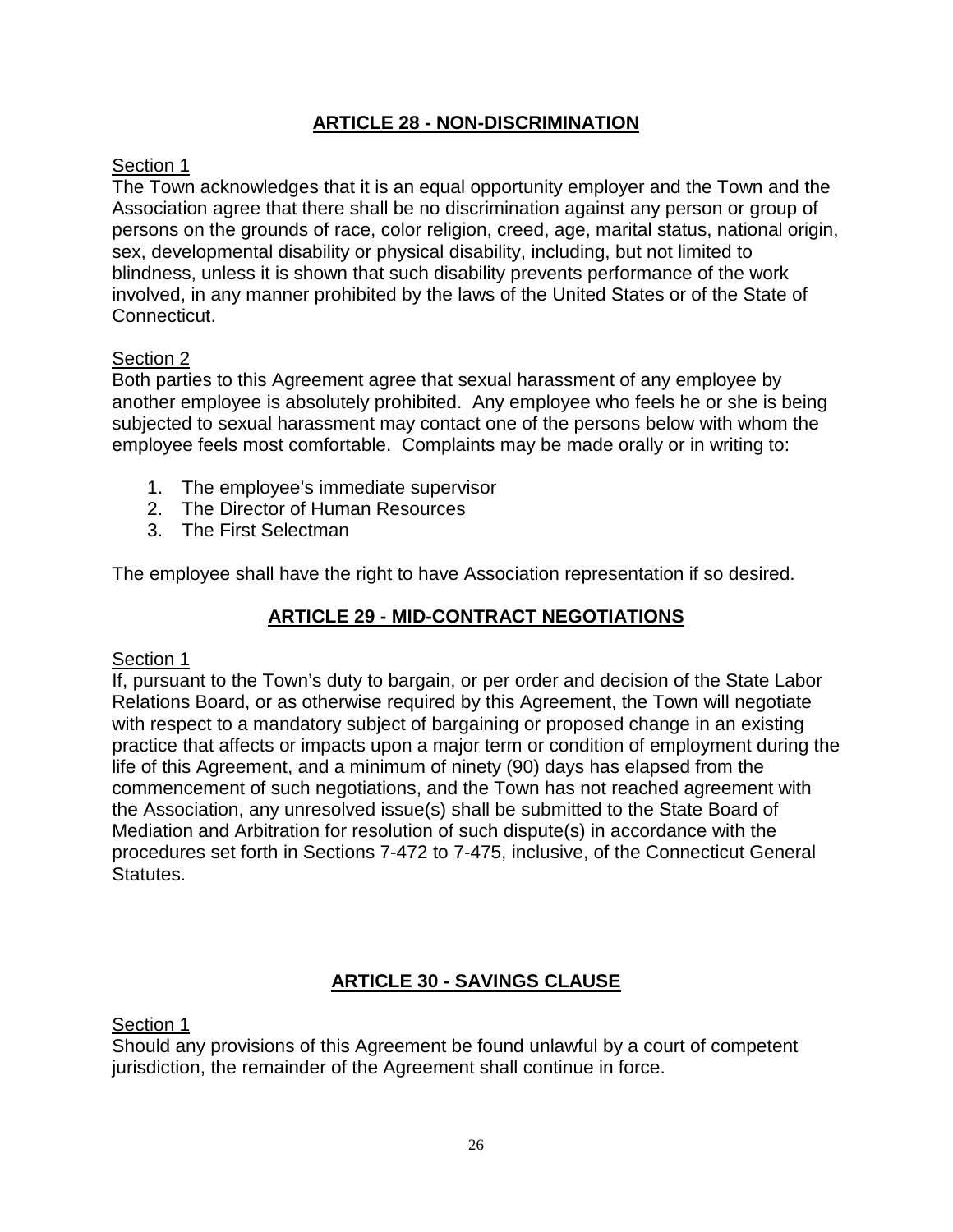# **ARTICLE 28 - NON-DISCRIMINATION**

## Section 1

The Town acknowledges that it is an equal opportunity employer and the Town and the Association agree that there shall be no discrimination against any person or group of persons on the grounds of race, color religion, creed, age, marital status, national origin, sex, developmental disability or physical disability, including, but not limited to blindness, unless it is shown that such disability prevents performance of the work involved, in any manner prohibited by the laws of the United States or of the State of Connecticut.

# Section 2

Both parties to this Agreement agree that sexual harassment of any employee by another employee is absolutely prohibited. Any employee who feels he or she is being subjected to sexual harassment may contact one of the persons below with whom the employee feels most comfortable. Complaints may be made orally or in writing to:

- 1. The employee's immediate supervisor
- 2. The Director of Human Resources
- 3. The First Selectman

The employee shall have the right to have Association representation if so desired.

# **ARTICLE 29 - MID-CONTRACT NEGOTIATIONS**

#### Section 1

If, pursuant to the Town's duty to bargain, or per order and decision of the State Labor Relations Board, or as otherwise required by this Agreement, the Town will negotiate with respect to a mandatory subject of bargaining or proposed change in an existing practice that affects or impacts upon a major term or condition of employment during the life of this Agreement, and a minimum of ninety (90) days has elapsed from the commencement of such negotiations, and the Town has not reached agreement with the Association, any unresolved issue(s) shall be submitted to the State Board of Mediation and Arbitration for resolution of such dispute(s) in accordance with the procedures set forth in Sections 7-472 to 7-475, inclusive, of the Connecticut General Statutes.

# **ARTICLE 30 - SAVINGS CLAUSE**

Section 1

Should any provisions of this Agreement be found unlawful by a court of competent iurisdiction, the remainder of the Agreement shall continue in force.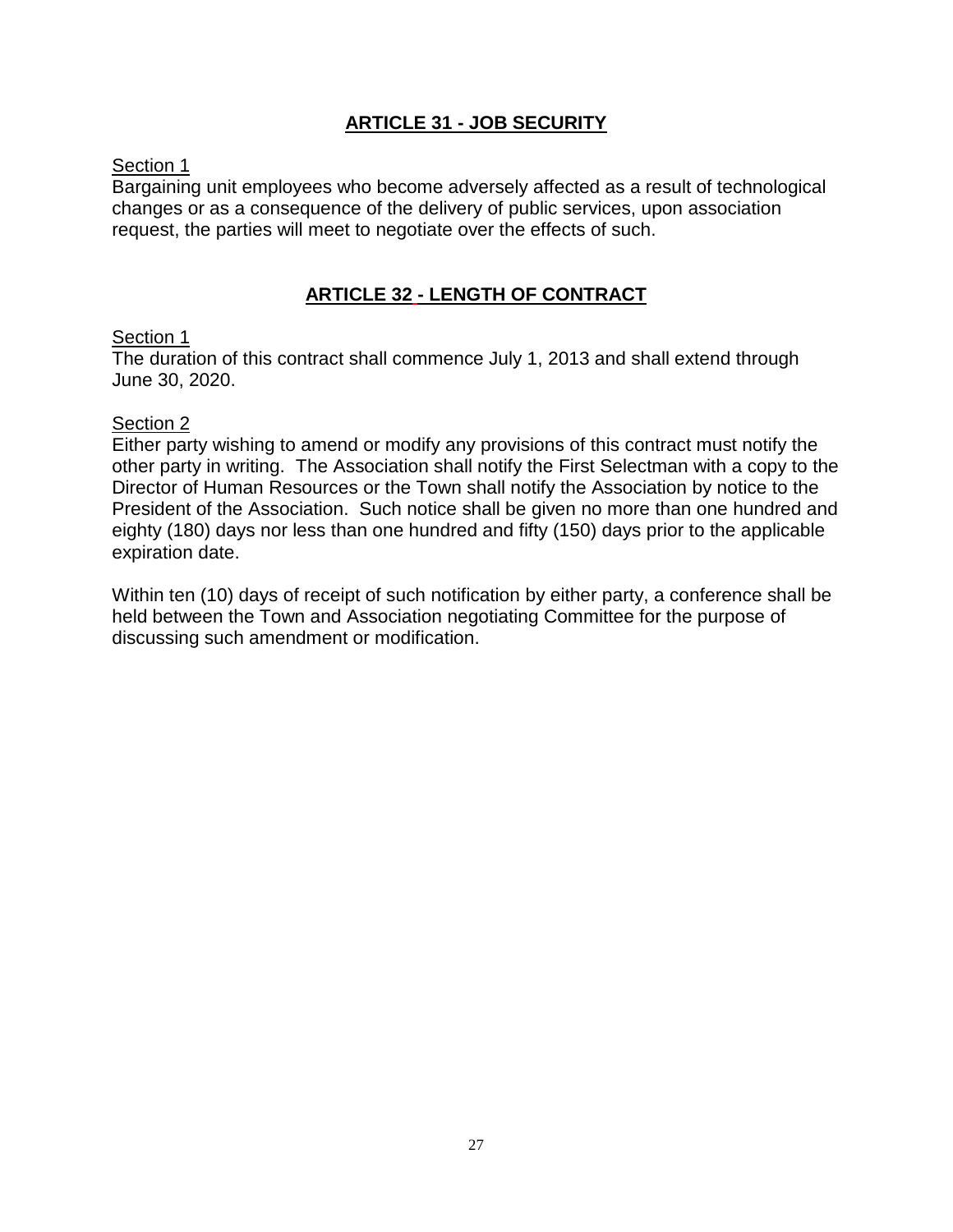## **ARTICLE 31 - JOB SECURITY**

## Section 1

Bargaining unit employees who become adversely affected as a result of technological changes or as a consequence of the delivery of public services, upon association request, the parties will meet to negotiate over the effects of such.

# **ARTICLE 32 - LENGTH OF CONTRACT**

#### Section 1

The duration of this contract shall commence July 1, 2013 and shall extend through June 30, 2020.

## Section 2

Either party wishing to amend or modify any provisions of this contract must notify the other party in writing. The Association shall notify the First Selectman with a copy to the Director of Human Resources or the Town shall notify the Association by notice to the President of the Association. Such notice shall be given no more than one hundred and eighty (180) days nor less than one hundred and fifty (150) days prior to the applicable expiration date.

Within ten (10) days of receipt of such notification by either party, a conference shall be held between the Town and Association negotiating Committee for the purpose of discussing such amendment or modification.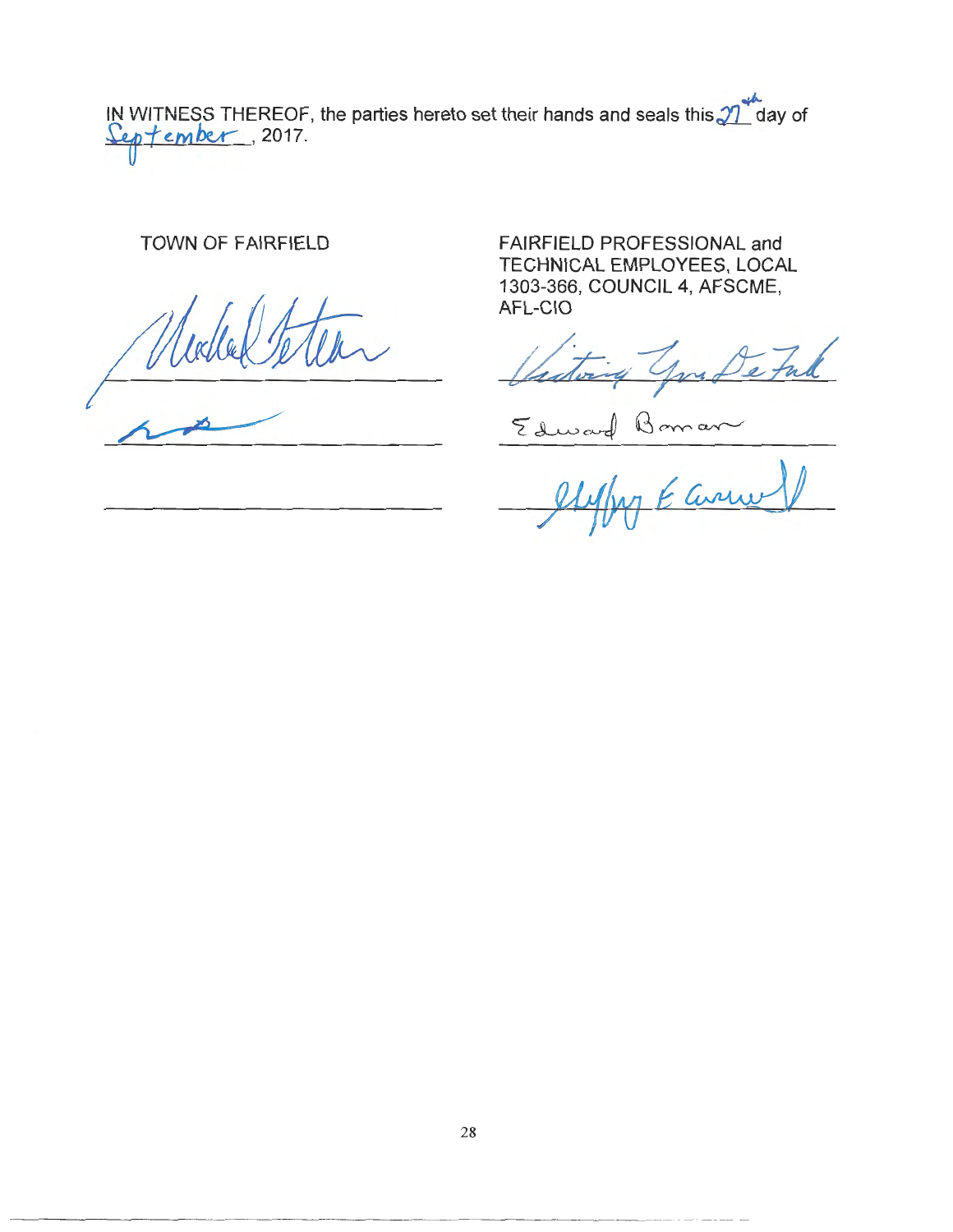$.4$ IN WITNESS THEREOF, the parties hereto set their hands and seals this  $\mathcal{J}\Gamma$  day of ~f *e.tv1bu--* , 2017.

TOWN OF FAIRFIELD

FAIRFIELD PROFESSIONAL and TECHNICAL EMPLOYEES, LOCAL 1303-366, COUNCIL 4, AFSCME, AFL-CIO

you De Ful

 $z_{dword}$  Bomar

Earne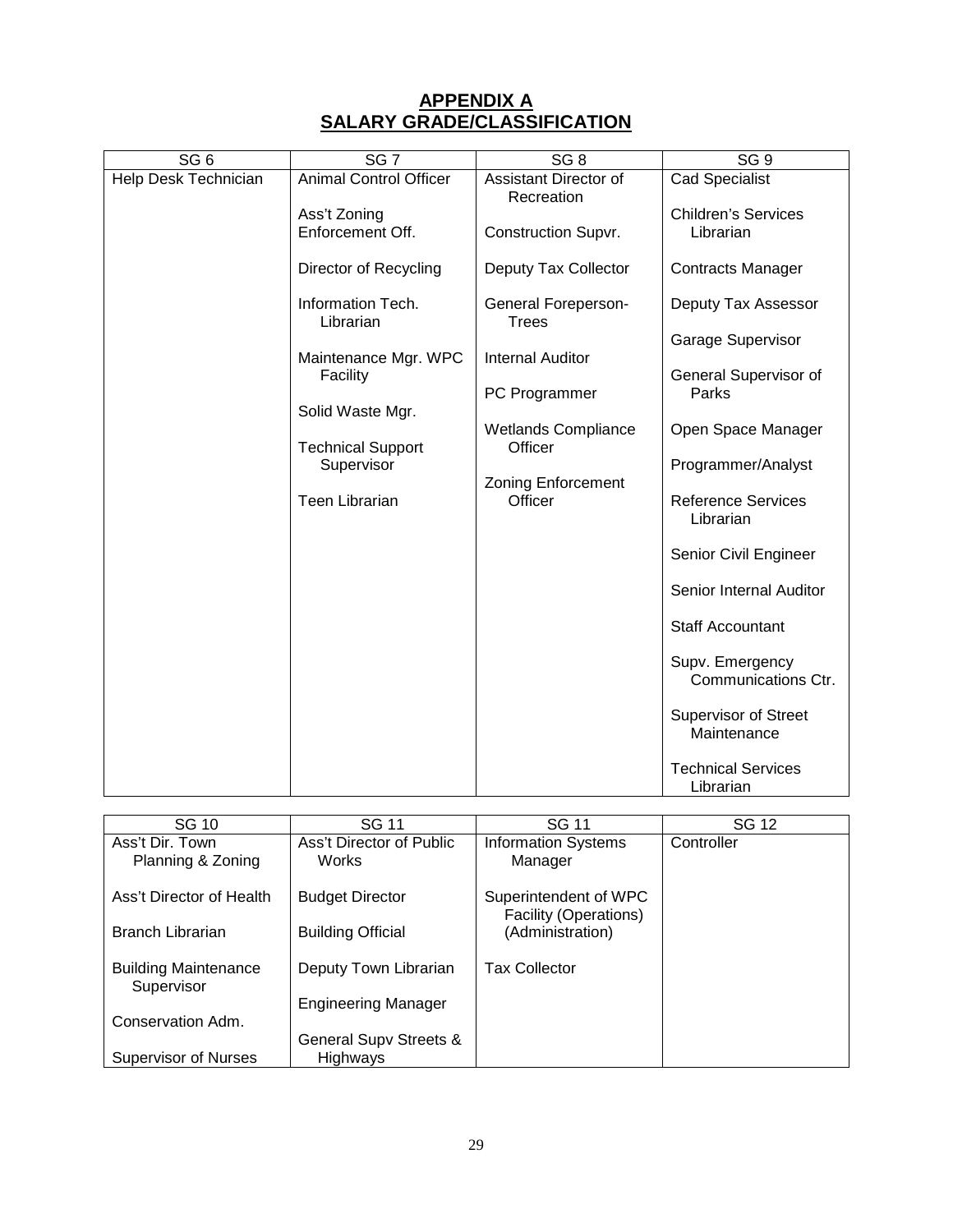## **APPENDIX A SALARY GRADE/CLASSIFICATION**

| SG <sub>6</sub>      | SG 7                                         | SG <sub>8</sub>                          | SG9                                        |
|----------------------|----------------------------------------------|------------------------------------------|--------------------------------------------|
| Help Desk Technician | <b>Animal Control Officer</b>                | Assistant Director of                    | Cad Specialist                             |
|                      | Ass't Zoning<br>Enforcement Off.             | Recreation<br><b>Construction Supvr.</b> | <b>Children's Services</b><br>Librarian    |
|                      | Director of Recycling                        | Deputy Tax Collector                     | <b>Contracts Manager</b>                   |
|                      | Information Tech.<br>Librarian               | <b>General Foreperson-</b><br>Trees      | Deputy Tax Assessor                        |
|                      | Maintenance Mgr. WPC                         | <b>Internal Auditor</b>                  | Garage Supervisor                          |
|                      | Facility                                     | PC Programmer                            | General Supervisor of<br>Parks             |
|                      | Solid Waste Mgr.<br><b>Technical Support</b> | <b>Wetlands Compliance</b><br>Officer    | Open Space Manager                         |
|                      | Supervisor                                   |                                          | Programmer/Analyst                         |
|                      | Teen Librarian                               | <b>Zoning Enforcement</b><br>Officer     | <b>Reference Services</b><br>Librarian     |
|                      |                                              |                                          | Senior Civil Engineer                      |
|                      |                                              |                                          | Senior Internal Auditor                    |
|                      |                                              |                                          | <b>Staff Accountant</b>                    |
|                      |                                              |                                          | Supv. Emergency<br>Communications Ctr.     |
|                      |                                              |                                          | <b>Supervisor of Street</b><br>Maintenance |
|                      |                                              |                                          | <b>Technical Services</b><br>Librarian     |

| SG 10                                     | SG 11                      | <b>SG 11</b>                              | SG 12      |
|-------------------------------------------|----------------------------|-------------------------------------------|------------|
| Ass't Dir. Town                           | Ass't Director of Public   | <b>Information Systems</b>                | Controller |
| Planning & Zoning                         | <b>Works</b>               | Manager                                   |            |
| Ass't Director of Health                  | <b>Budget Director</b>     | Superintendent of WPC                     |            |
| <b>Branch Librarian</b>                   | <b>Building Official</b>   | Facility (Operations)<br>(Administration) |            |
|                                           |                            |                                           |            |
| <b>Building Maintenance</b><br>Supervisor | Deputy Town Librarian      | <b>Tax Collector</b>                      |            |
|                                           | <b>Engineering Manager</b> |                                           |            |
| Conservation Adm.                         |                            |                                           |            |
|                                           | General Supv Streets &     |                                           |            |
| <b>Supervisor of Nurses</b>               | <b>Highways</b>            |                                           |            |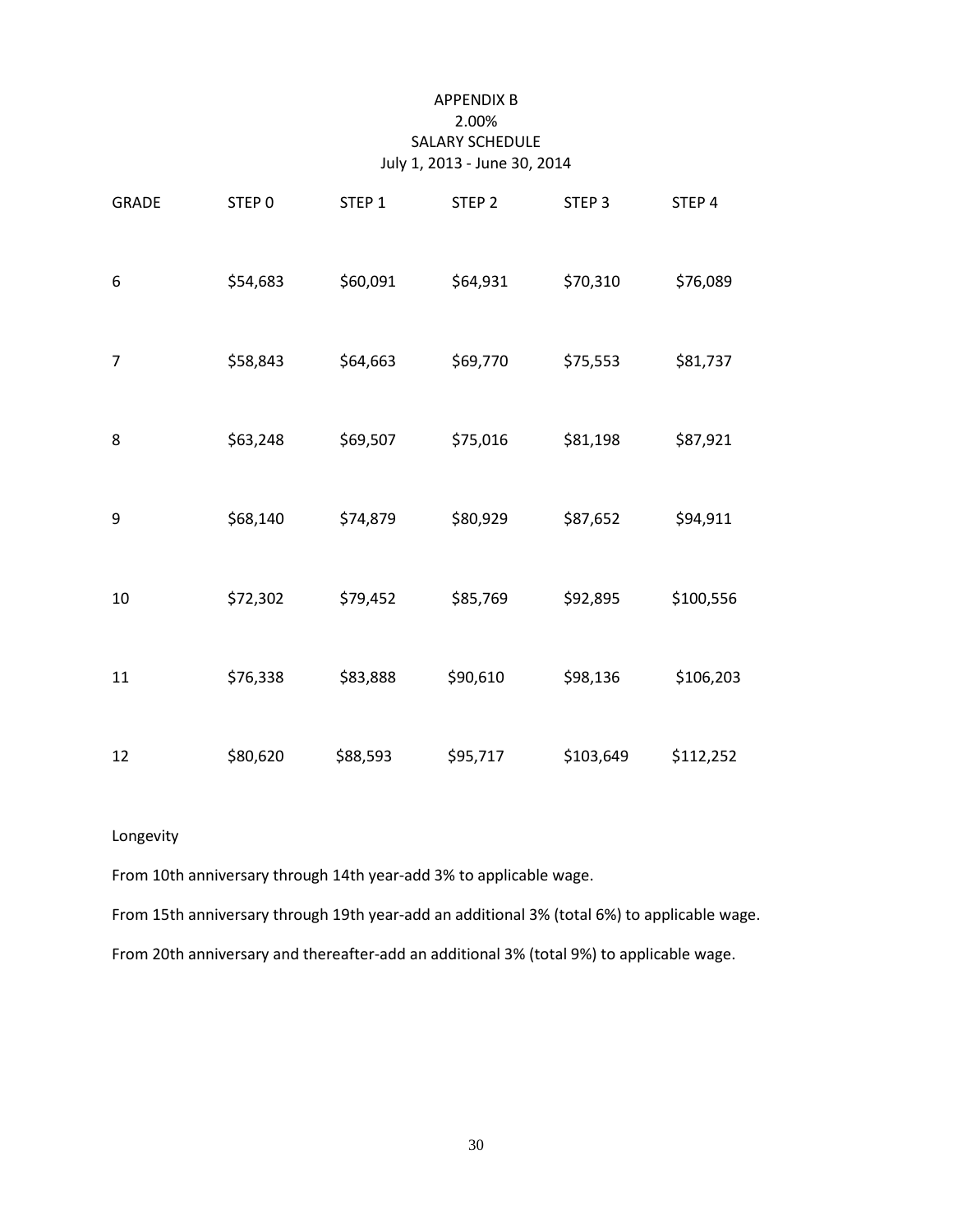#### APPENDIX B 2.00% SALARY SCHEDULE July 1, 2013 - June 30, 2014

| <b>GRADE</b> | STEP 0   | STEP 1   | STEP <sub>2</sub> | STEP <sub>3</sub> | STEP 4    |
|--------------|----------|----------|-------------------|-------------------|-----------|
| 6            | \$54,683 | \$60,091 | \$64,931          | \$70,310          | \$76,089  |
| 7            | \$58,843 | \$64,663 | \$69,770          | \$75,553          | \$81,737  |
| 8            | \$63,248 | \$69,507 | \$75,016          | \$81,198          | \$87,921  |
| 9            | \$68,140 | \$74,879 | \$80,929          | \$87,652          | \$94,911  |
| 10           | \$72,302 | \$79,452 | \$85,769          | \$92,895          | \$100,556 |
| 11           | \$76,338 | \$83,888 | \$90,610          | \$98,136          | \$106,203 |
| 12           | \$80,620 | \$88,593 | \$95,717          | \$103,649         | \$112,252 |

#### Longevity

From 10th anniversary through 14th year-add 3% to applicable wage.

From 15th anniversary through 19th year-add an additional 3% (total 6%) to applicable wage.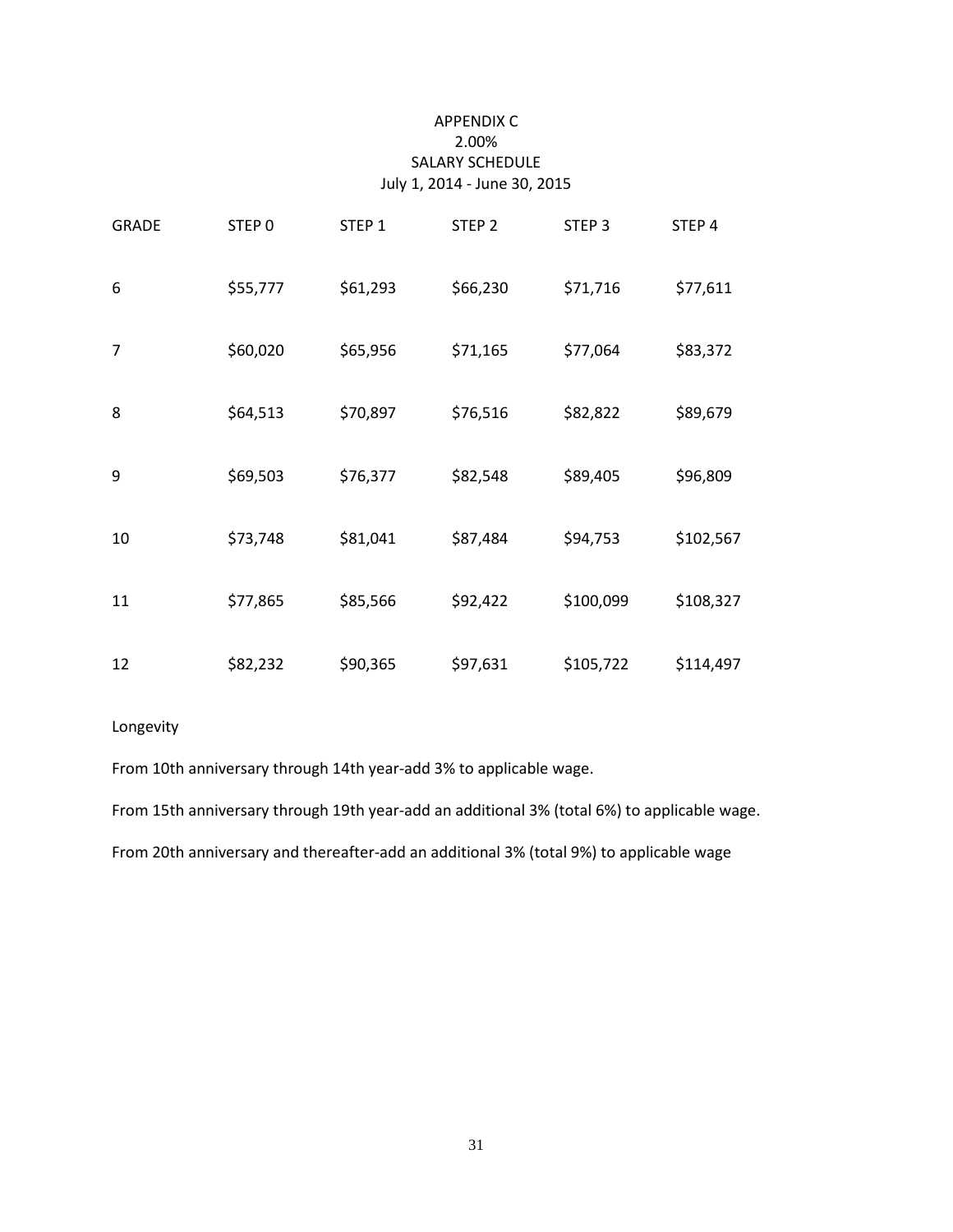#### APPENDIX C 2.00% SALARY SCHEDULE July 1, 2014 - June 30, 2015

| <b>GRADE</b> | STEP <sub>0</sub> | STEP <sub>1</sub> | STEP <sub>2</sub> | STEP <sub>3</sub> | STEP 4    |
|--------------|-------------------|-------------------|-------------------|-------------------|-----------|
| 6            | \$55,777          | \$61,293          | \$66,230          | \$71,716          | \$77,611  |
| 7            | \$60,020          | \$65,956          | \$71,165          | \$77,064          | \$83,372  |
| 8            | \$64,513          | \$70,897          | \$76,516          | \$82,822          | \$89,679  |
| 9            | \$69,503          | \$76,377          | \$82,548          | \$89,405          | \$96,809  |
| 10           | \$73,748          | \$81,041          | \$87,484          | \$94,753          | \$102,567 |
| 11           | \$77,865          | \$85,566          | \$92,422          | \$100,099         | \$108,327 |
| 12           | \$82,232          | \$90,365          | \$97,631          | \$105,722         | \$114,497 |

#### Longevity

From 10th anniversary through 14th year-add 3% to applicable wage.

From 15th anniversary through 19th year-add an additional 3% (total 6%) to applicable wage.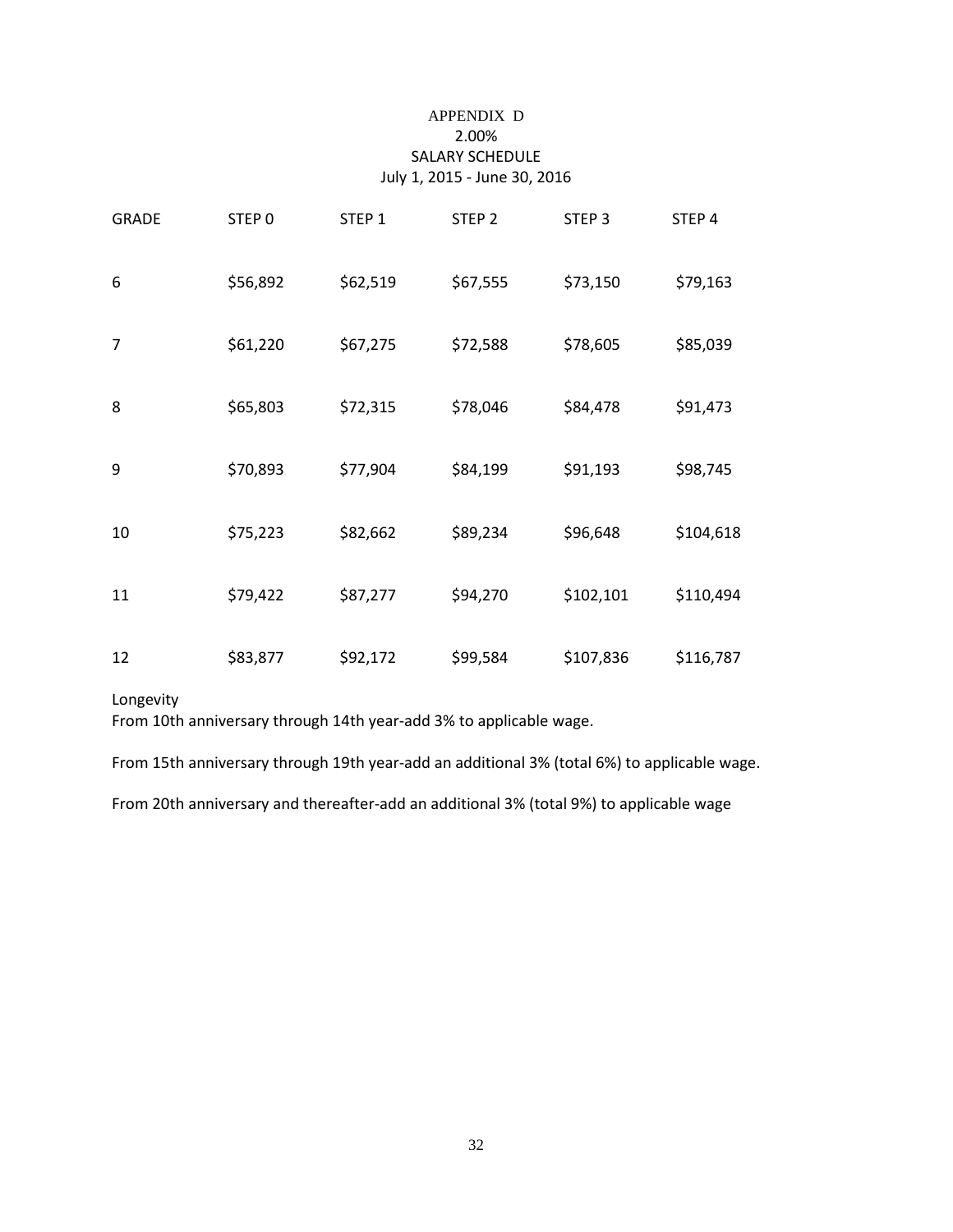#### APPENDIX D 2.00% SALARY SCHEDULE July 1, 2015 - June 30, 2016

| <b>GRADE</b> | STEP <sub>0</sub> | STEP <sub>1</sub> | STEP <sub>2</sub> | STEP <sub>3</sub> | STEP 4    |
|--------------|-------------------|-------------------|-------------------|-------------------|-----------|
| 6            | \$56,892          | \$62,519          | \$67,555          | \$73,150          | \$79,163  |
| 7            | \$61,220          | \$67,275          | \$72,588          | \$78,605          | \$85,039  |
| 8            | \$65,803          | \$72,315          | \$78,046          | \$84,478          | \$91,473  |
| 9            | \$70,893          | \$77,904          | \$84,199          | \$91,193          | \$98,745  |
| 10           | \$75,223          | \$82,662          | \$89,234          | \$96,648          | \$104,618 |
| 11           | \$79,422          | \$87,277          | \$94,270          | \$102,101         | \$110,494 |
| 12           | \$83,877          | \$92,172          | \$99,584          | \$107,836         | \$116,787 |

Longevity

From 10th anniversary through 14th year-add 3% to applicable wage.

From 15th anniversary through 19th year-add an additional 3% (total 6%) to applicable wage.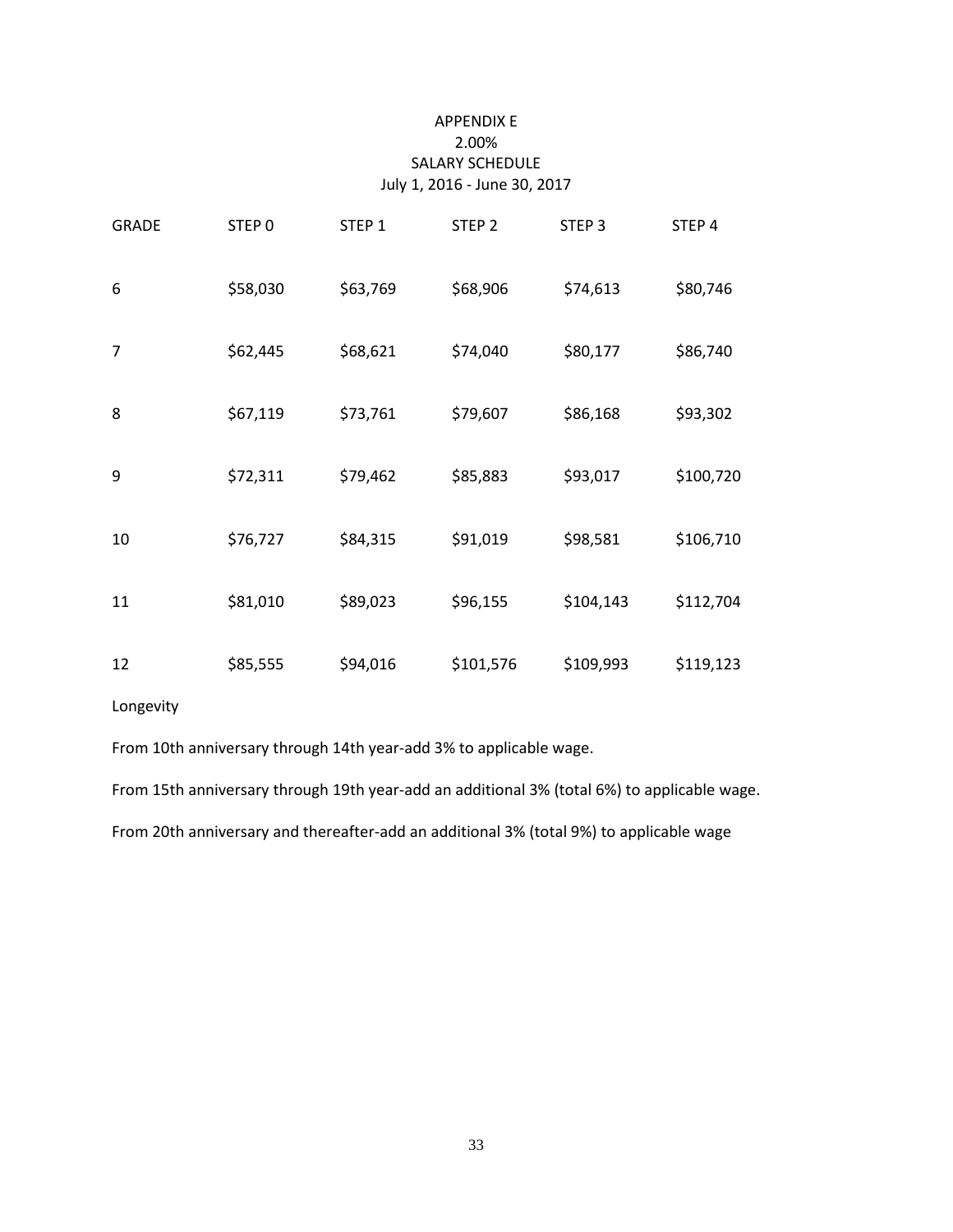#### APPENDIX E 2.00% SALARY SCHEDULE July 1, 2016 - June 30, 2017

| <b>GRADE</b>   | STEP <sub>0</sub> | STEP <sub>1</sub> | STEP <sub>2</sub> | STEP <sub>3</sub> | STEP 4    |
|----------------|-------------------|-------------------|-------------------|-------------------|-----------|
| 6              | \$58,030          | \$63,769          | \$68,906          | \$74,613          | \$80,746  |
| $\overline{7}$ | \$62,445          | \$68,621          | \$74,040          | \$80,177          | \$86,740  |
| 8              | \$67,119          | \$73,761          | \$79,607          | \$86,168          | \$93,302  |
| 9              | \$72,311          | \$79,462          | \$85,883          | \$93,017          | \$100,720 |
| 10             | \$76,727          | \$84,315          | \$91,019          | \$98,581          | \$106,710 |
| 11             | \$81,010          | \$89,023          | \$96,155          | \$104,143         | \$112,704 |
| 12             | \$85,555          | \$94,016          | \$101,576         | \$109,993         | \$119,123 |

Longevity

From 10th anniversary through 14th year-add 3% to applicable wage.

From 15th anniversary through 19th year-add an additional 3% (total 6%) to applicable wage.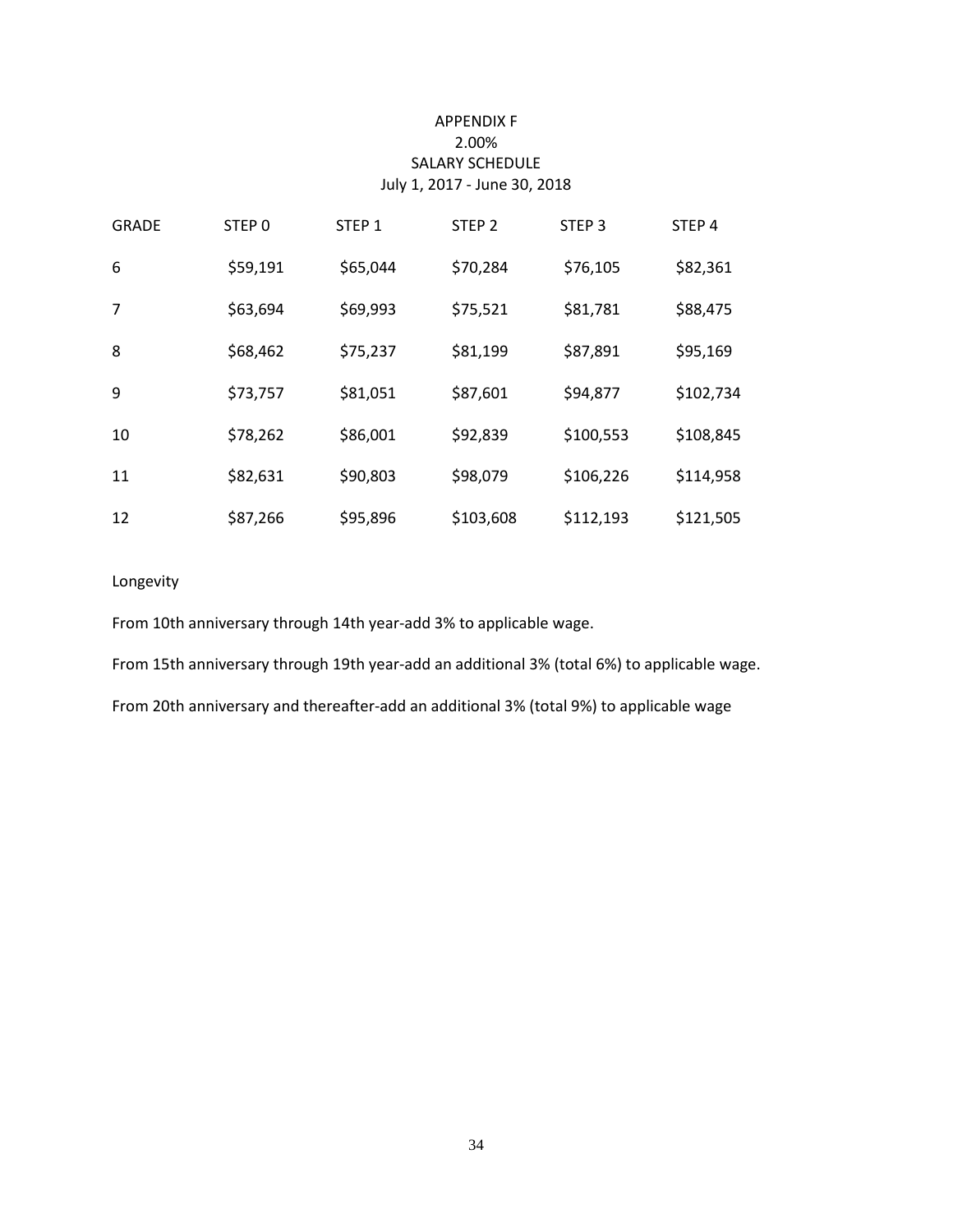#### APPENDIX F 2.00% SALARY SCHEDULE July 1, 2017 - June 30, 2018

| <b>GRADE</b> | STEP 0   | STEP <sub>1</sub> | STEP <sub>2</sub> | STEP <sub>3</sub> | STEP <sub>4</sub> |
|--------------|----------|-------------------|-------------------|-------------------|-------------------|
| 6            | \$59,191 | \$65,044          | \$70,284          | \$76,105          | \$82,361          |
| 7            | \$63,694 | \$69,993          | \$75,521          | \$81,781          | \$88,475          |
| 8            | \$68,462 | \$75,237          | \$81,199          | \$87,891          | \$95,169          |
| 9            | \$73,757 | \$81,051          | \$87,601          | \$94,877          | \$102,734         |
| 10           | \$78,262 | \$86,001          | \$92,839          | \$100,553         | \$108,845         |
| 11           | \$82,631 | \$90,803          | \$98,079          | \$106,226         | \$114,958         |
| 12           | \$87,266 | \$95,896          | \$103,608         | \$112,193         | \$121,505         |

#### Longevity

From 10th anniversary through 14th year-add 3% to applicable wage.

From 15th anniversary through 19th year-add an additional 3% (total 6%) to applicable wage.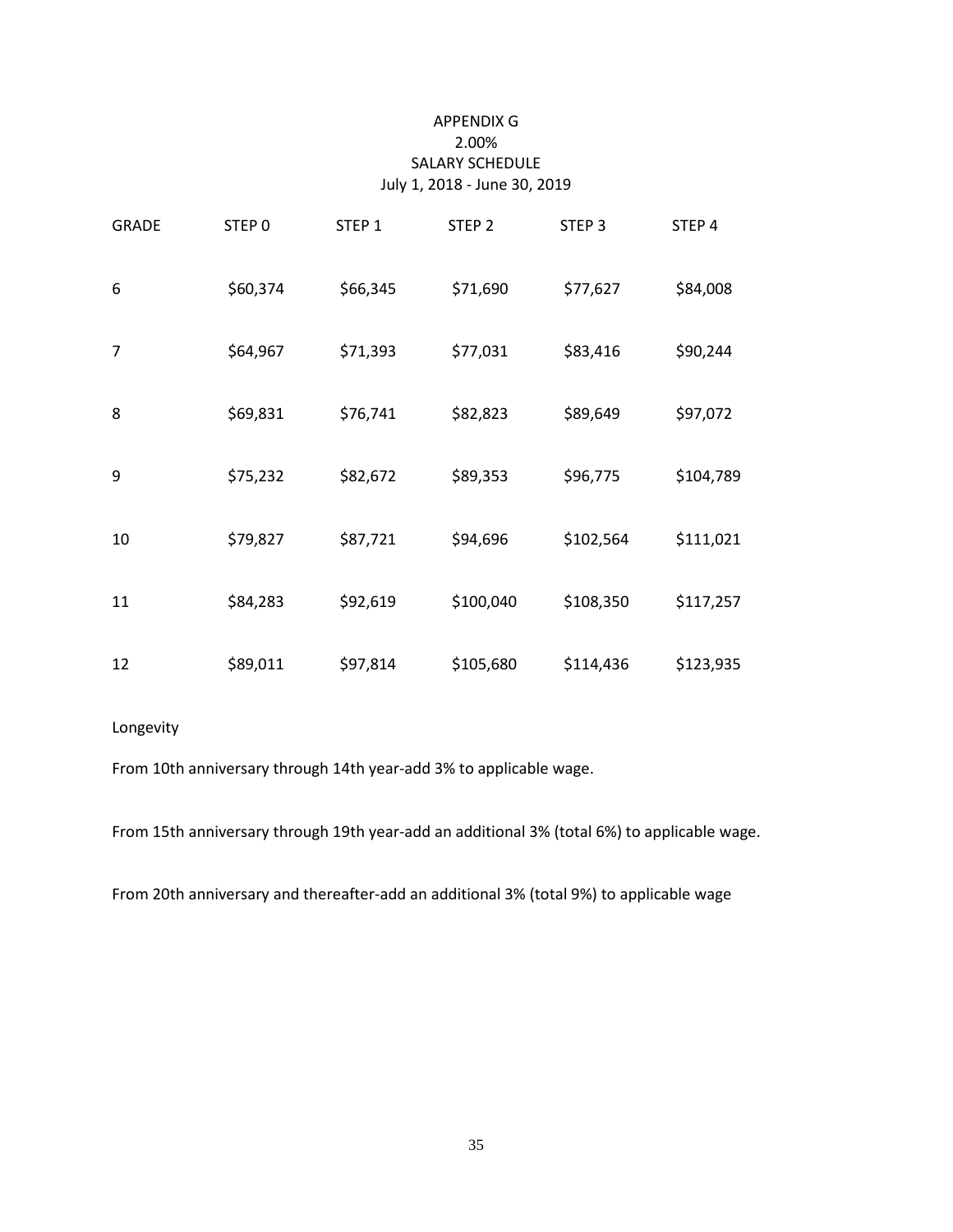#### APPENDIX G 2.00% SALARY SCHEDULE July 1, 2018 - June 30, 2019

| <b>GRADE</b> | STEP <sub>0</sub> | STEP <sub>1</sub> | STEP <sub>2</sub> | STEP <sub>3</sub> | STEP 4    |
|--------------|-------------------|-------------------|-------------------|-------------------|-----------|
| 6            | \$60,374          | \$66,345          | \$71,690          | \$77,627          | \$84,008  |
| 7            | \$64,967          | \$71,393          | \$77,031          | \$83,416          | \$90,244  |
| 8            | \$69,831          | \$76,741          | \$82,823          | \$89,649          | \$97,072  |
| 9            | \$75,232          | \$82,672          | \$89,353          | \$96,775          | \$104,789 |
| 10           | \$79,827          | \$87,721          | \$94,696          | \$102,564         | \$111,021 |
| 11           | \$84,283          | \$92,619          | \$100,040         | \$108,350         | \$117,257 |
| 12           | \$89,011          | \$97,814          | \$105,680         | \$114,436         | \$123,935 |

#### Longevity

From 10th anniversary through 14th year-add 3% to applicable wage.

From 15th anniversary through 19th year-add an additional 3% (total 6%) to applicable wage.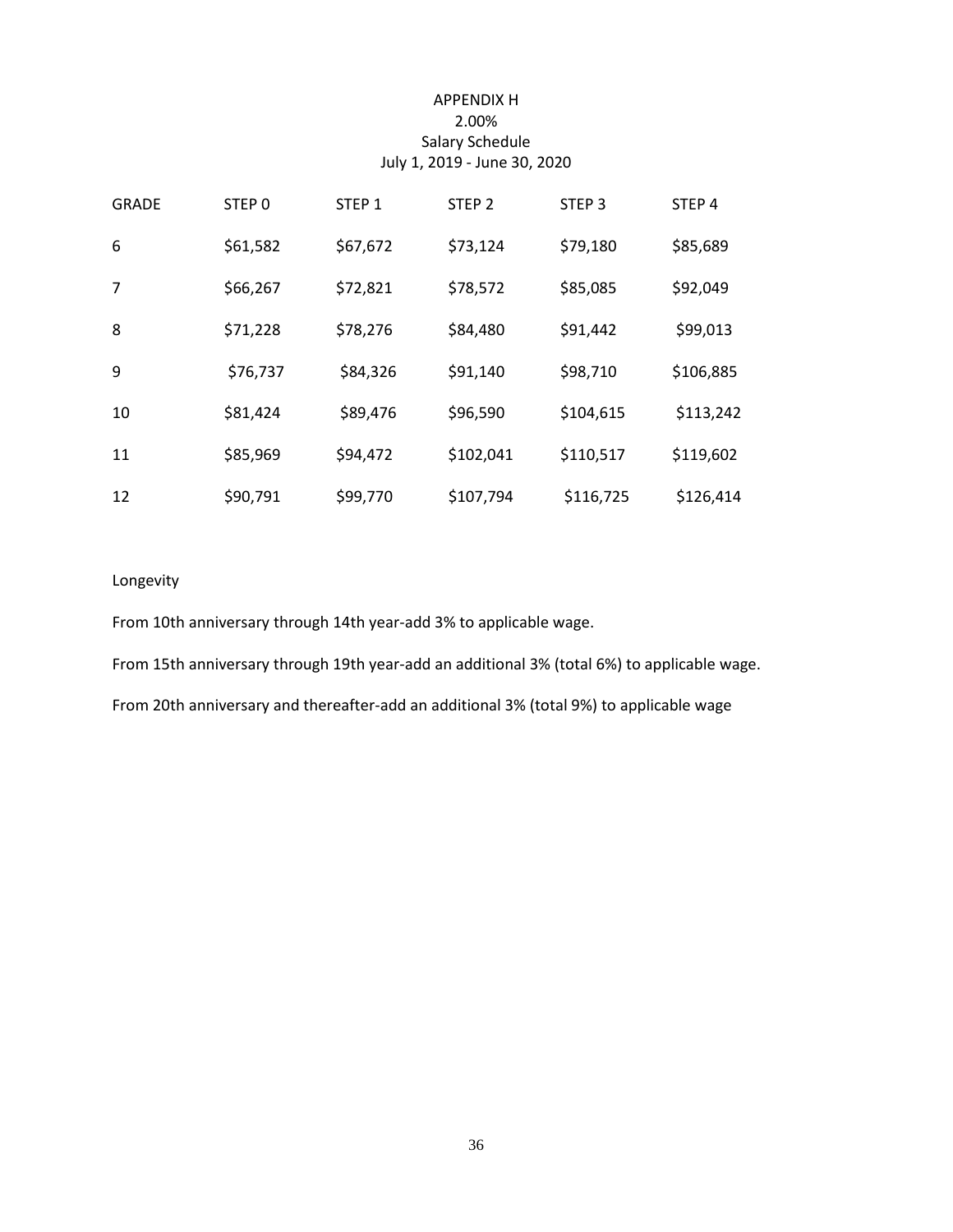#### APPENDIX H 2.00% Salary Schedule July 1, 2019 - June 30, 2020

| <b>GRADE</b> | STEP 0   | STEP <sub>1</sub> | STEP <sub>2</sub> | STEP <sub>3</sub> | STEP <sub>4</sub> |
|--------------|----------|-------------------|-------------------|-------------------|-------------------|
| 6            | \$61,582 | \$67,672          | \$73,124          | \$79,180          | \$85,689          |
| 7            | \$66,267 | \$72,821          | \$78,572          | \$85,085          | \$92,049          |
| 8            | \$71,228 | \$78,276          | \$84,480          | \$91,442          | \$99,013          |
| 9            | \$76,737 | \$84,326          | \$91,140          | \$98,710          | \$106,885         |
| 10           | \$81,424 | \$89,476          | \$96,590          | \$104,615         | \$113,242         |
| 11           | \$85,969 | \$94,472          | \$102,041         | \$110,517         | \$119,602         |
| 12           | \$90,791 | \$99,770          | \$107,794         | \$116,725         | \$126,414         |

#### Longevity

From 10th anniversary through 14th year-add 3% to applicable wage.

From 15th anniversary through 19th year-add an additional 3% (total 6%) to applicable wage.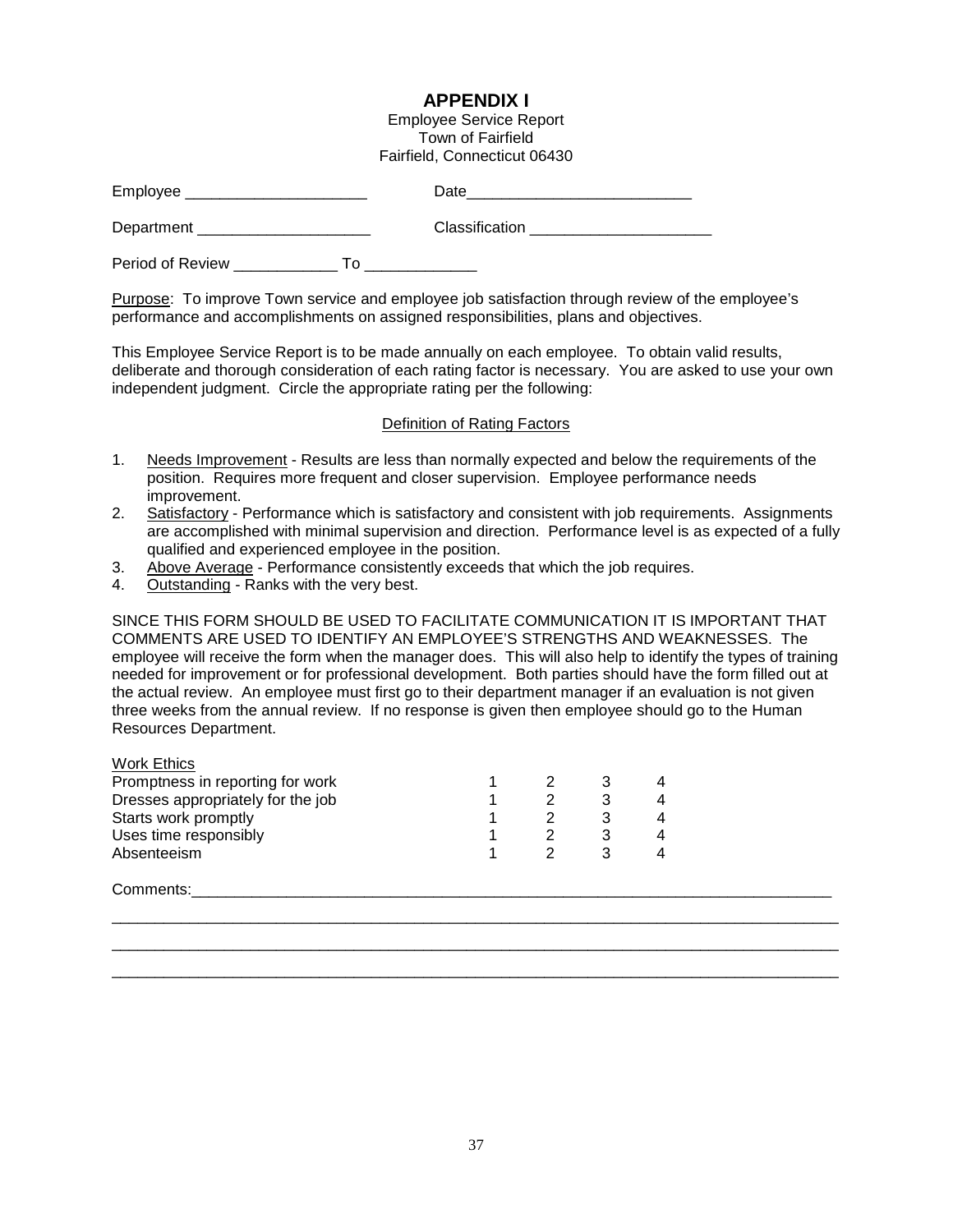#### **APPENDIX I**

Employee Service Report Town of Fairfield Fairfield, Connecticut 06430

| Employee               | Date           |
|------------------------|----------------|
| Department             | Classification |
| Period of Review<br>۱o |                |

Purpose: To improve Town service and employee job satisfaction through review of the employee's performance and accomplishments on assigned responsibilities, plans and objectives.

This Employee Service Report is to be made annually on each employee. To obtain valid results, deliberate and thorough consideration of each rating factor is necessary. You are asked to use your own independent judgment. Circle the appropriate rating per the following:

#### Definition of Rating Factors

- 1. Needs Improvement Results are less than normally expected and below the requirements of the position. Requires more frequent and closer supervision. Employee performance needs improvement.
- 2. Satisfactory Performance which is satisfactory and consistent with job requirements. Assignments are accomplished with minimal supervision and direction. Performance level is as expected of a fully qualified and experienced employee in the position.
- 3. Above Average Performance consistently exceeds that which the job requires.
- 4. Outstanding Ranks with the very best.

SINCE THIS FORM SHOULD BE USED TO FACILITATE COMMUNICATION IT IS IMPORTANT THAT COMMENTS ARE USED TO IDENTIFY AN EMPLOYEE'S STRENGTHS AND WEAKNESSES. The employee will receive the form when the manager does. This will also help to identify the types of training needed for improvement or for professional development. Both parties should have the form filled out at the actual review. An employee must first go to their department manager if an evaluation is not given three weeks from the annual review. If no response is given then employee should go to the Human Resources Department.

| Work Ethics                       |  |  |
|-----------------------------------|--|--|
| Promptness in reporting for work  |  |  |
| Dresses appropriately for the job |  |  |
| Starts work promptly              |  |  |
| Uses time responsibly             |  |  |
| Absenteeism                       |  |  |
|                                   |  |  |

Comments:\_\_\_\_\_\_\_\_\_\_\_\_\_\_\_\_\_\_\_\_\_\_\_\_\_\_\_\_\_\_\_\_\_\_\_\_\_\_\_\_\_\_\_\_\_\_\_\_\_\_\_\_\_\_\_\_\_\_\_\_\_\_\_\_\_\_\_\_\_\_\_\_\_\_

\_\_\_\_\_\_\_\_\_\_\_\_\_\_\_\_\_\_\_\_\_\_\_\_\_\_\_\_\_\_\_\_\_\_\_\_\_\_\_\_\_\_\_\_\_\_\_\_\_\_\_\_\_\_\_\_\_\_\_\_\_\_\_\_\_\_\_\_\_\_\_\_\_\_\_\_\_\_\_\_\_\_\_\_ \_\_\_\_\_\_\_\_\_\_\_\_\_\_\_\_\_\_\_\_\_\_\_\_\_\_\_\_\_\_\_\_\_\_\_\_\_\_\_\_\_\_\_\_\_\_\_\_\_\_\_\_\_\_\_\_\_\_\_\_\_\_\_\_\_\_\_\_\_\_\_\_\_\_\_\_\_\_\_\_\_\_\_\_ \_\_\_\_\_\_\_\_\_\_\_\_\_\_\_\_\_\_\_\_\_\_\_\_\_\_\_\_\_\_\_\_\_\_\_\_\_\_\_\_\_\_\_\_\_\_\_\_\_\_\_\_\_\_\_\_\_\_\_\_\_\_\_\_\_\_\_\_\_\_\_\_\_\_\_\_\_\_\_\_\_\_\_\_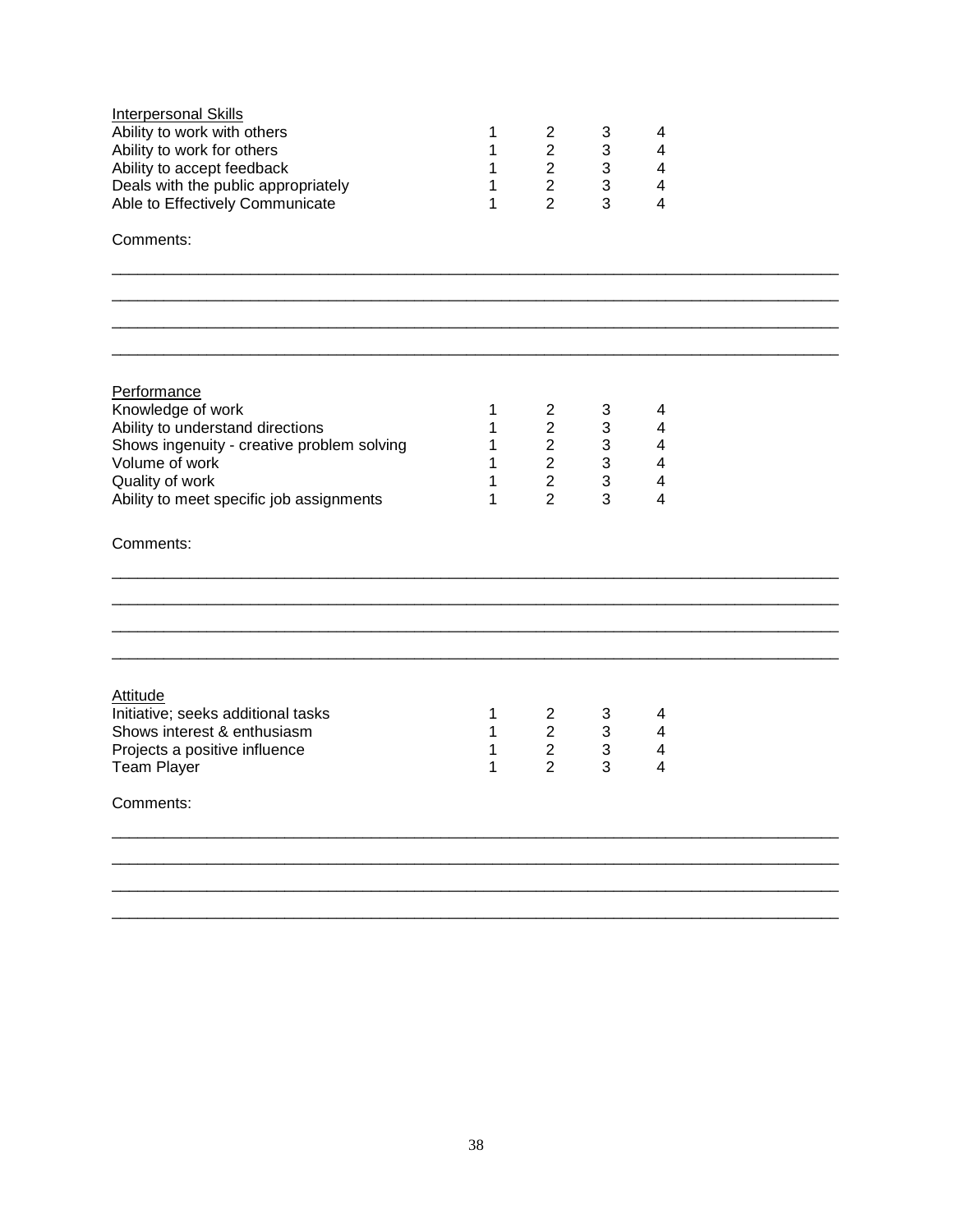| <b>Interpersonal Skills</b><br>Ability to work with others<br>Ability to work for others<br>Ability to accept feedback<br>Deals with the public appropriately<br>Able to Effectively Communicate    | 1<br>1<br>1<br>1<br>1      | $\overline{2}$<br>$\overline{2}$<br>$2^{\circ}$<br>$\overline{2}$<br>$\overline{2}$         | 3<br>3<br>$\mathbf{3}$<br>$\mathfrak{S}$<br>3                 | 4<br>4<br>4<br>4<br>4                                                                        |  |
|-----------------------------------------------------------------------------------------------------------------------------------------------------------------------------------------------------|----------------------------|---------------------------------------------------------------------------------------------|---------------------------------------------------------------|----------------------------------------------------------------------------------------------|--|
| Comments:                                                                                                                                                                                           |                            |                                                                                             |                                                               |                                                                                              |  |
|                                                                                                                                                                                                     |                            |                                                                                             |                                                               |                                                                                              |  |
|                                                                                                                                                                                                     |                            |                                                                                             |                                                               |                                                                                              |  |
| Performance<br>Knowledge of work<br>Ability to understand directions<br>Shows ingenuity - creative problem solving<br>Volume of work<br>Quality of work<br>Ability to meet specific job assignments | 1<br>1<br>1<br>1<br>1<br>1 | $\overline{2}$<br>$\overline{2}$<br>$\overline{2}$<br>$\overline{2}$<br>$\overline{2}$<br>2 | 3<br>$\mathbf{3}$<br>3<br>$\mathbf{3}$<br>$\mathfrak{S}$<br>3 | 4<br>$\overline{\mathbf{4}}$<br>4<br>$\overline{\mathbf{4}}$<br>$\overline{\mathbf{4}}$<br>4 |  |
| Comments:                                                                                                                                                                                           |                            |                                                                                             |                                                               |                                                                                              |  |
|                                                                                                                                                                                                     |                            |                                                                                             |                                                               |                                                                                              |  |
|                                                                                                                                                                                                     |                            |                                                                                             |                                                               |                                                                                              |  |
| <b>Attitude</b><br>Initiative; seeks additional tasks<br>Shows interest & enthusiasm<br>Projects a positive influence<br><b>Team Player</b><br>Comments:                                            | 1<br>1<br>1<br>1           | $2^{\circ}$<br>$2^{\circ}$<br>$\overline{2}$<br>$\overline{2}$                              | $\mathbf{3}$<br>$\mathbf{3}$<br>$\mathbf{3}$<br>3             | 4<br>$\overline{\mathbf{4}}$<br>4<br>4                                                       |  |
|                                                                                                                                                                                                     |                            |                                                                                             |                                                               |                                                                                              |  |
|                                                                                                                                                                                                     |                            |                                                                                             |                                                               |                                                                                              |  |
|                                                                                                                                                                                                     |                            |                                                                                             |                                                               |                                                                                              |  |
|                                                                                                                                                                                                     |                            |                                                                                             |                                                               |                                                                                              |  |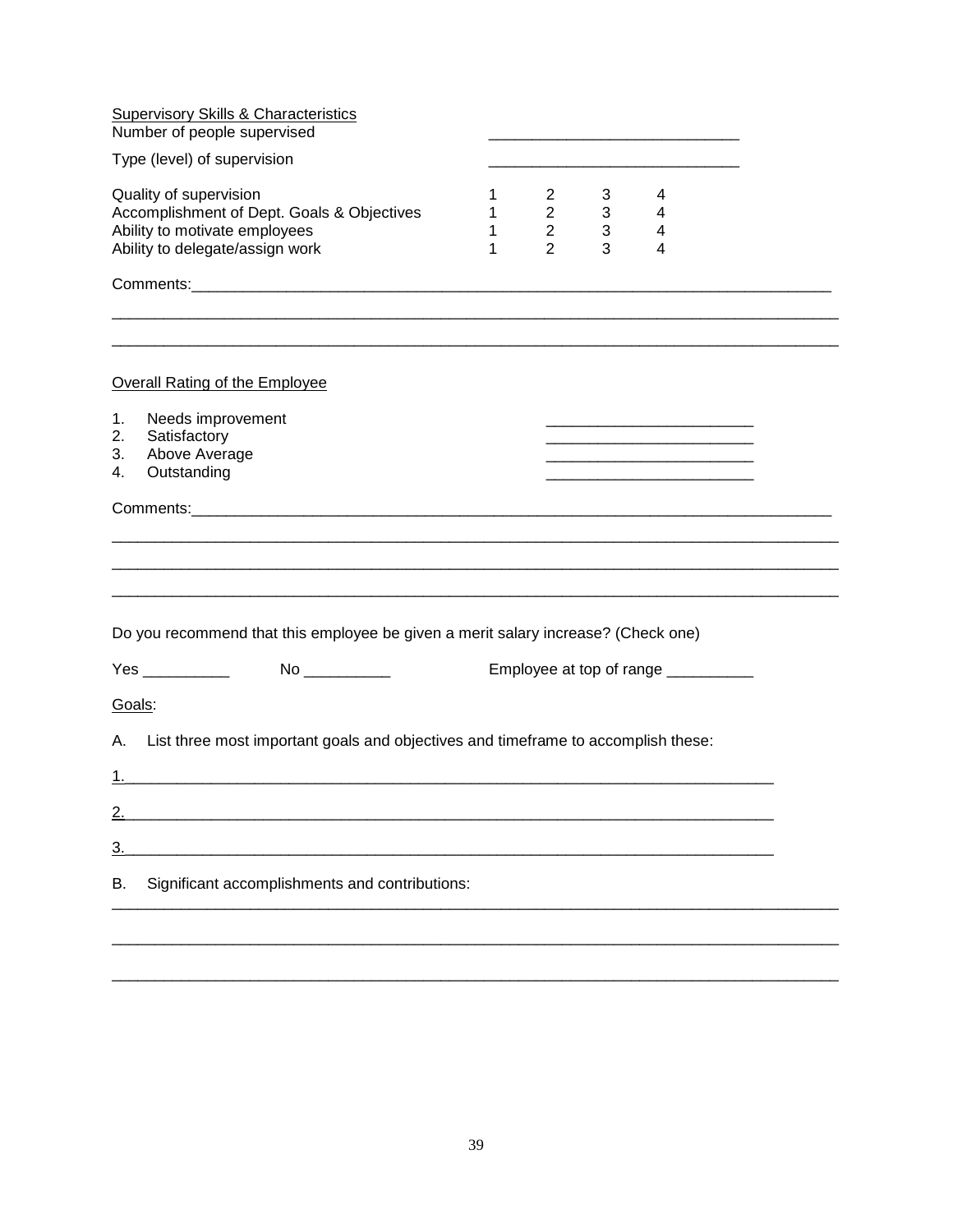| <b>Supervisory Skills &amp; Characteristics</b><br>Number of people supervised                                                           |                  |                                                                 |                               |                                     |  |
|------------------------------------------------------------------------------------------------------------------------------------------|------------------|-----------------------------------------------------------------|-------------------------------|-------------------------------------|--|
| Type (level) of supervision                                                                                                              |                  |                                                                 |                               |                                     |  |
| Quality of supervision<br>Accomplishment of Dept. Goals & Objectives<br>Ability to motivate employees<br>Ability to delegate/assign work | 1<br>1<br>1<br>1 | $\mathbf{2}$<br>$2^{\circ}$<br>$\overline{2}$<br>$\overline{2}$ | 3<br>3 <sup>1</sup><br>3<br>3 | 4<br>4<br>4<br>4                    |  |
|                                                                                                                                          |                  |                                                                 |                               |                                     |  |
|                                                                                                                                          |                  |                                                                 |                               |                                     |  |
| Overall Rating of the Employee                                                                                                           |                  |                                                                 |                               |                                     |  |
| Needs improvement<br>1.<br>2.<br>Satisfactory<br>Above Average<br>3.<br>Outstanding<br>4.                                                |                  |                                                                 |                               |                                     |  |
|                                                                                                                                          |                  |                                                                 |                               |                                     |  |
|                                                                                                                                          |                  |                                                                 |                               |                                     |  |
|                                                                                                                                          |                  |                                                                 |                               |                                     |  |
| Do you recommend that this employee be given a merit salary increase? (Check one)                                                        |                  |                                                                 |                               |                                     |  |
| Yes ___________                                                                                                                          |                  |                                                                 |                               | Employee at top of range __________ |  |
| Goals:                                                                                                                                   |                  |                                                                 |                               |                                     |  |
| List three most important goals and objectives and timeframe to accomplish these:<br>А.                                                  |                  |                                                                 |                               |                                     |  |
| 1.,                                                                                                                                      |                  |                                                                 |                               |                                     |  |
| 2.                                                                                                                                       |                  |                                                                 |                               |                                     |  |
| $\underline{3}$ .                                                                                                                        |                  |                                                                 |                               |                                     |  |
| Significant accomplishments and contributions:<br>В.                                                                                     |                  |                                                                 |                               |                                     |  |
|                                                                                                                                          |                  |                                                                 |                               |                                     |  |
|                                                                                                                                          |                  |                                                                 |                               |                                     |  |